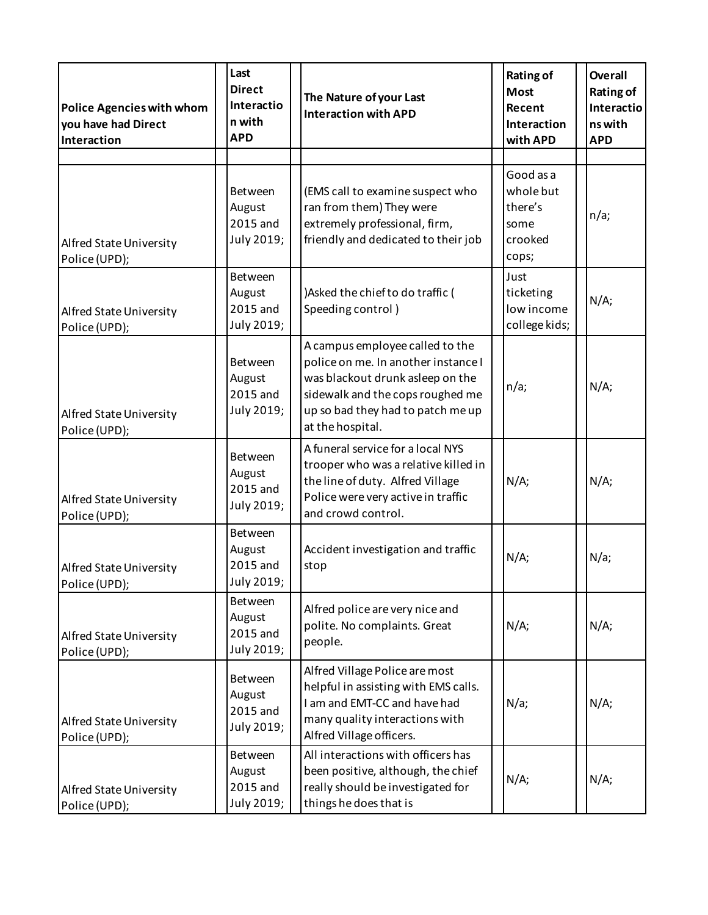| <b>Police Agencies with whom</b><br>you have had Direct<br>Interaction | Last<br><b>Direct</b><br>Interactio<br>n with<br><b>APD</b> | The Nature of your Last<br><b>Interaction with APD</b>                                                                                                                                                  | <b>Rating of</b><br><b>Most</b><br>Recent<br>Interaction<br>with APD | <b>Overall</b><br><b>Rating of</b><br>Interactio<br>ns with<br><b>APD</b> |
|------------------------------------------------------------------------|-------------------------------------------------------------|---------------------------------------------------------------------------------------------------------------------------------------------------------------------------------------------------------|----------------------------------------------------------------------|---------------------------------------------------------------------------|
| Alfred State University<br>Police (UPD);                               | Between<br>August<br>2015 and<br>July 2019;                 | (EMS call to examine suspect who<br>ran from them) They were<br>extremely professional, firm,<br>friendly and dedicated to their job                                                                    | Good as a<br>whole but<br>there's<br>some<br>crooked<br>cops;        | n/a;                                                                      |
| Alfred State University<br>Police (UPD);                               | Between<br>August<br>2015 and<br>July 2019;                 | )Asked the chief to do traffic (<br>Speeding control)                                                                                                                                                   | Just<br>ticketing<br>low income<br>college kids;                     | N/A;                                                                      |
| Alfred State University<br>Police (UPD);                               | Between<br>August<br>2015 and<br>July 2019;                 | A campus employee called to the<br>police on me. In another instance I<br>was blackout drunk asleep on the<br>sidewalk and the cops roughed me<br>up so bad they had to patch me up<br>at the hospital. | n/a;                                                                 | N/A;                                                                      |
| Alfred State University<br>Police (UPD);                               | Between<br>August<br>2015 and<br>July 2019;                 | A funeral service for a local NYS<br>trooper who was a relative killed in<br>the line of duty. Alfred Village<br>Police were very active in traffic<br>and crowd control.                               | N/A;                                                                 | N/A;                                                                      |
| Alfred State University<br>Police (UPD);                               | Between<br>August<br>2015 and<br>July 2019;                 | Accident investigation and traffic<br>stop                                                                                                                                                              | N/A;                                                                 | N/a;                                                                      |
| Alfred State University<br>Police (UPD);                               | Between<br>August<br>2015 and<br>July 2019;                 | Alfred police are very nice and<br>polite. No complaints. Great<br>people.                                                                                                                              | N/A;                                                                 | N/A;                                                                      |
| Alfred State University<br>Police (UPD);                               | Between<br>August<br>2015 and<br>July 2019;                 | Alfred Village Police are most<br>helpful in assisting with EMS calls.<br>I am and EMT-CC and have had<br>many quality interactions with<br>Alfred Village officers.                                    | N/a;                                                                 | N/A;                                                                      |
| Alfred State University<br>Police (UPD);                               | Between<br>August<br>2015 and<br>July 2019;                 | All interactions with officers has<br>been positive, although, the chief<br>really should be investigated for<br>things he does that is                                                                 | N/A;                                                                 | N/A;                                                                      |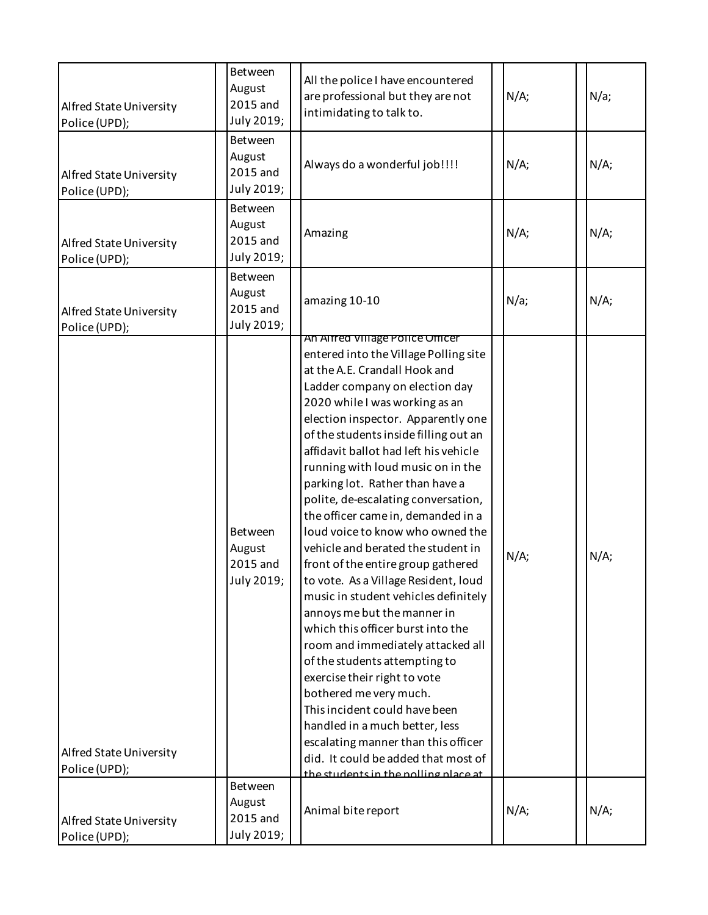| Alfred State University<br>Police (UPD); | <b>Between</b><br>August<br>2015 and<br>July 2019; | All the police I have encountered<br>are professional but they are not<br>intimidating to talk to.                                                                                                                                                                                                                                                                                                                                                                                                                                                                                                                                                                                                                                                                                                                                                                                                                                                                                                                                                       | N/A; | N/a; |
|------------------------------------------|----------------------------------------------------|----------------------------------------------------------------------------------------------------------------------------------------------------------------------------------------------------------------------------------------------------------------------------------------------------------------------------------------------------------------------------------------------------------------------------------------------------------------------------------------------------------------------------------------------------------------------------------------------------------------------------------------------------------------------------------------------------------------------------------------------------------------------------------------------------------------------------------------------------------------------------------------------------------------------------------------------------------------------------------------------------------------------------------------------------------|------|------|
| Alfred State University<br>Police (UPD); | Between<br>August<br>2015 and<br>July 2019;        | Always do a wonderful job!!!!                                                                                                                                                                                                                                                                                                                                                                                                                                                                                                                                                                                                                                                                                                                                                                                                                                                                                                                                                                                                                            | N/A; | N/A; |
| Alfred State University<br>Police (UPD); | <b>Between</b><br>August<br>2015 and<br>July 2019; | Amazing                                                                                                                                                                                                                                                                                                                                                                                                                                                                                                                                                                                                                                                                                                                                                                                                                                                                                                                                                                                                                                                  | N/A; | N/A; |
| Alfred State University<br>Police (UPD); | Between<br>August<br>2015 and<br>July 2019;        | amazing 10-10                                                                                                                                                                                                                                                                                                                                                                                                                                                                                                                                                                                                                                                                                                                                                                                                                                                                                                                                                                                                                                            | N/a; | N/A; |
| Alfred State University<br>Police (UPD); | Between<br>August<br>2015 and<br>July 2019;        | An Alfred VIIIage Police Officer<br>entered into the Village Polling site<br>at the A.E. Crandall Hook and<br>Ladder company on election day<br>2020 while I was working as an<br>election inspector. Apparently one<br>of the students inside filling out an<br>affidavit ballot had left his vehicle<br>running with loud music on in the<br>parking lot. Rather than have a<br>polite, de-escalating conversation,<br>the officer came in, demanded in a<br>loud voice to know who owned the<br>vehicle and berated the student in<br>front of the entire group gathered<br>to vote. As a Village Resident, loud<br>music in student vehicles definitely<br>annoys me but the manner in<br>which this officer burst into the<br>room and immediately attacked all<br>of the students attempting to<br>exercise their right to vote<br>bothered me very much.<br>This incident could have been<br>handled in a much better, less<br>escalating manner than this officer<br>did. It could be added that most of<br>the students in the nolling place at | N/A; | N/A; |
| Alfred State University<br>Police (UPD); | Between<br>August<br>2015 and<br>July 2019;        | Animal bite report                                                                                                                                                                                                                                                                                                                                                                                                                                                                                                                                                                                                                                                                                                                                                                                                                                                                                                                                                                                                                                       | N/A; | N/A; |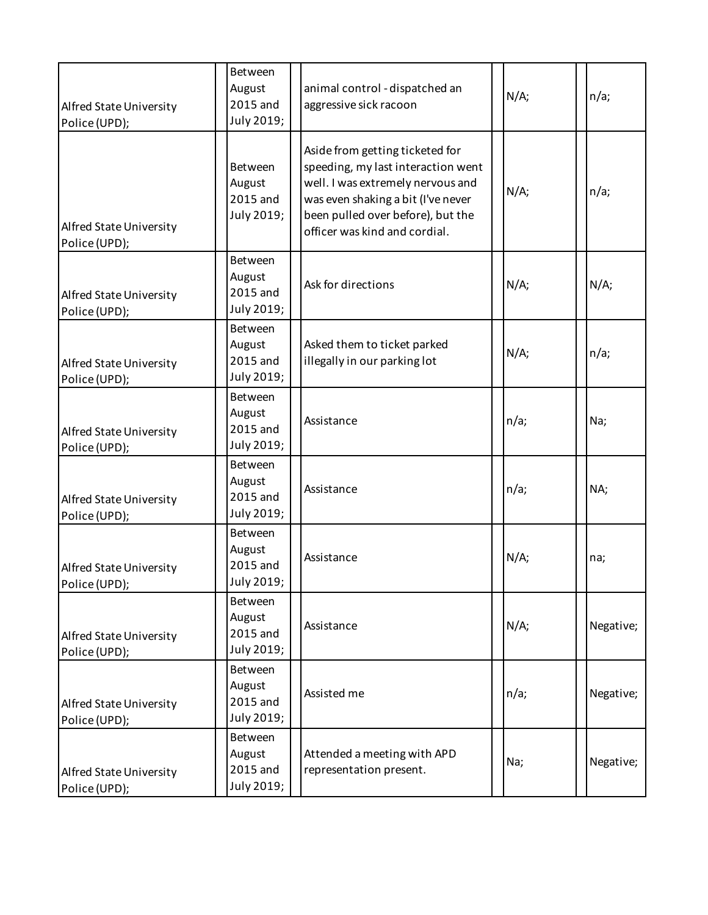| Alfred State University<br>Police (UPD); | Between<br>August<br>2015 and<br>July 2019;        | animal control - dispatched an<br>aggressive sick racoon                                                                                                                                                               | N/A; | n/a;      |
|------------------------------------------|----------------------------------------------------|------------------------------------------------------------------------------------------------------------------------------------------------------------------------------------------------------------------------|------|-----------|
| Alfred State University<br>Police (UPD); | Between<br>August<br>2015 and<br>July 2019;        | Aside from getting ticketed for<br>speeding, my last interaction went<br>well. I was extremely nervous and<br>was even shaking a bit (I've never<br>been pulled over before), but the<br>officer was kind and cordial. | N/A; | n/a;      |
| Alfred State University<br>Police (UPD); | Between<br>August<br>2015 and<br>July 2019;        | Ask for directions                                                                                                                                                                                                     | N/A; | N/A;      |
| Alfred State University<br>Police (UPD); | <b>Between</b><br>August<br>2015 and<br>July 2019; | Asked them to ticket parked<br>illegally in our parking lot                                                                                                                                                            | N/A; | n/a;      |
| Alfred State University<br>Police (UPD); | Between<br>August<br>2015 and<br>July 2019;        | Assistance                                                                                                                                                                                                             | n/a; | Na;       |
| Alfred State University<br>Police (UPD); | Between<br>August<br>2015 and<br>July 2019;        | Assistance                                                                                                                                                                                                             | n/a; | NA;       |
| Alfred State University<br>Police (UPD); | Between<br>August<br>2015 and<br>July 2019;        | Assistance                                                                                                                                                                                                             | N/A; | na;       |
| Alfred State University<br>Police (UPD); | Between<br>August<br>2015 and<br>July 2019;        | Assistance                                                                                                                                                                                                             | N/A; | Negative; |
| Alfred State University<br>Police (UPD); | Between<br>August<br>2015 and<br>July 2019;        | Assisted me                                                                                                                                                                                                            | n/a; | Negative; |
| Alfred State University<br>Police (UPD); | Between<br>August<br>2015 and<br>July 2019;        | Attended a meeting with APD<br>representation present.                                                                                                                                                                 | Na;  | Negative; |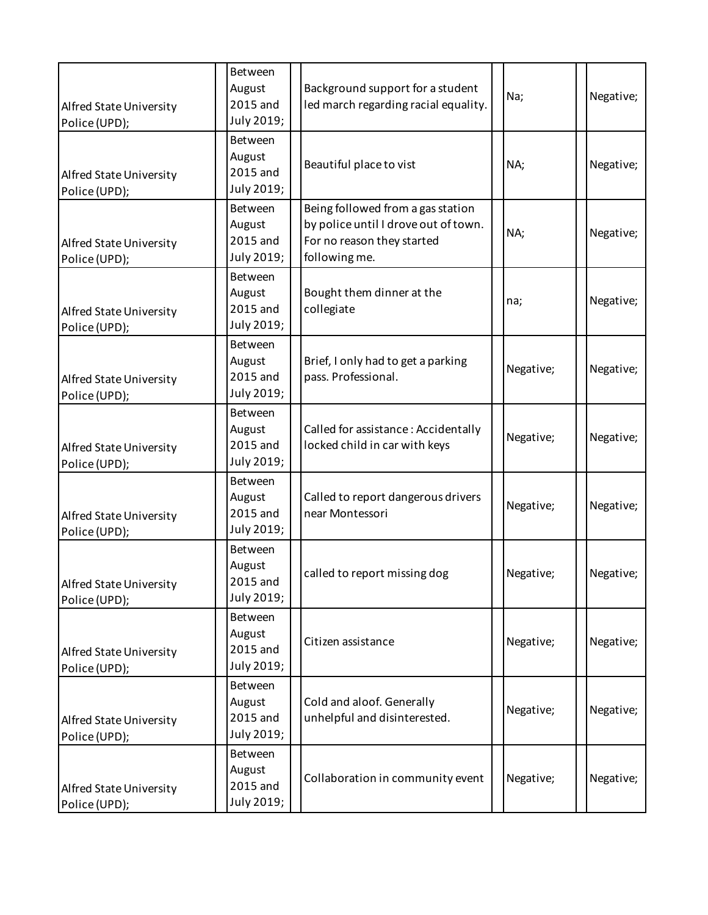| Alfred State University<br>Police (UPD); | Between<br>August<br>2015 and<br>July 2019;        | Background support for a student<br>led march regarding racial equality.                                                 | Na;       | Negative; |
|------------------------------------------|----------------------------------------------------|--------------------------------------------------------------------------------------------------------------------------|-----------|-----------|
| Alfred State University<br>Police (UPD); | Between<br>August<br>2015 and<br>July 2019;        | Beautiful place to vist                                                                                                  | NA;       | Negative; |
| Alfred State University<br>Police (UPD); | <b>Between</b><br>August<br>2015 and<br>July 2019; | Being followed from a gas station<br>by police until I drove out of town.<br>For no reason they started<br>following me. | NA;       | Negative; |
| Alfred State University<br>Police (UPD); | Between<br>August<br>2015 and<br>July 2019;        | Bought them dinner at the<br>collegiate                                                                                  | na;       | Negative; |
| Alfred State University<br>Police (UPD); | Between<br>August<br>2015 and<br>July 2019;        | Brief, I only had to get a parking<br>pass. Professional.                                                                | Negative; | Negative; |
| Alfred State University<br>Police (UPD); | Between<br>August<br>2015 and<br>July 2019;        | Called for assistance: Accidentally<br>locked child in car with keys                                                     | Negative; | Negative; |
| Alfred State University<br>Police (UPD); | Between<br>August<br>2015 and<br>July 2019;        | Called to report dangerous drivers<br>near Montessori                                                                    | Negative; | Negative; |
| Alfred State University<br>Police (UPD); | Between<br>August<br>2015 and<br>July 2019;        | called to report missing dog                                                                                             | Negative; | Negative; |
| Alfred State University<br>Police (UPD); | Between<br>August<br>2015 and<br>July 2019;        | Citizen assistance                                                                                                       | Negative; | Negative; |
| Alfred State University<br>Police (UPD); | Between<br>August<br>2015 and<br>July 2019;        | Cold and aloof. Generally<br>unhelpful and disinterested.                                                                | Negative; | Negative; |
| Alfred State University<br>Police (UPD); | Between<br>August<br>2015 and<br>July 2019;        | Collaboration in community event                                                                                         | Negative; | Negative; |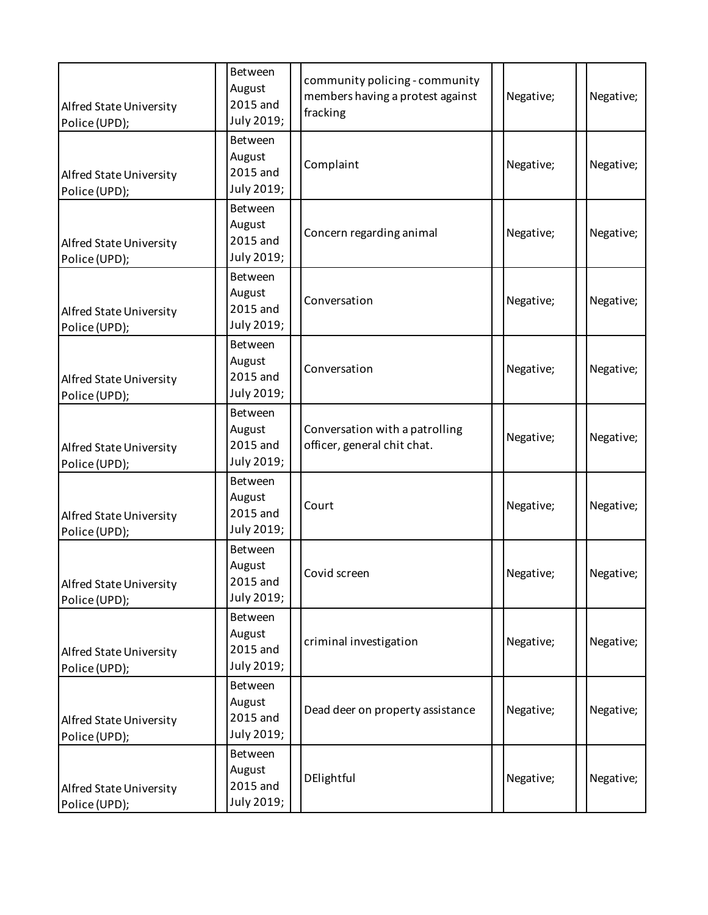| Alfred State University<br>Police (UPD); | Between<br>August<br>2015 and<br>July 2019; | community policing - community<br>members having a protest against<br>fracking | Negative; | Negative; |
|------------------------------------------|---------------------------------------------|--------------------------------------------------------------------------------|-----------|-----------|
| Alfred State University<br>Police (UPD); | Between<br>August<br>2015 and<br>July 2019; | Complaint                                                                      | Negative; | Negative; |
| Alfred State University<br>Police (UPD); | Between<br>August<br>2015 and<br>July 2019; | Concern regarding animal                                                       | Negative; | Negative; |
| Alfred State University<br>Police (UPD); | Between<br>August<br>2015 and<br>July 2019; | Conversation                                                                   | Negative; | Negative; |
| Alfred State University<br>Police (UPD); | Between<br>August<br>2015 and<br>July 2019; | Conversation                                                                   | Negative; | Negative; |
| Alfred State University<br>Police (UPD); | Between<br>August<br>2015 and<br>July 2019; | Conversation with a patrolling<br>officer, general chit chat.                  | Negative; | Negative; |
| Alfred State University<br>Police (UPD); | Between<br>August<br>2015 and<br>July 2019; | Court                                                                          | Negative; | Negative; |
| Alfred State University<br>Police (UPD); | Between<br>August<br>2015 and<br>July 2019; | Covid screen                                                                   | Negative; | Negative; |
| Alfred State University<br>Police (UPD); | Between<br>August<br>2015 and<br>July 2019; | criminal investigation                                                         | Negative; | Negative; |
| Alfred State University<br>Police (UPD); | Between<br>August<br>2015 and<br>July 2019; | Dead deer on property assistance                                               | Negative; | Negative; |
| Alfred State University<br>Police (UPD); | Between<br>August<br>2015 and<br>July 2019; | DElightful                                                                     | Negative; | Negative; |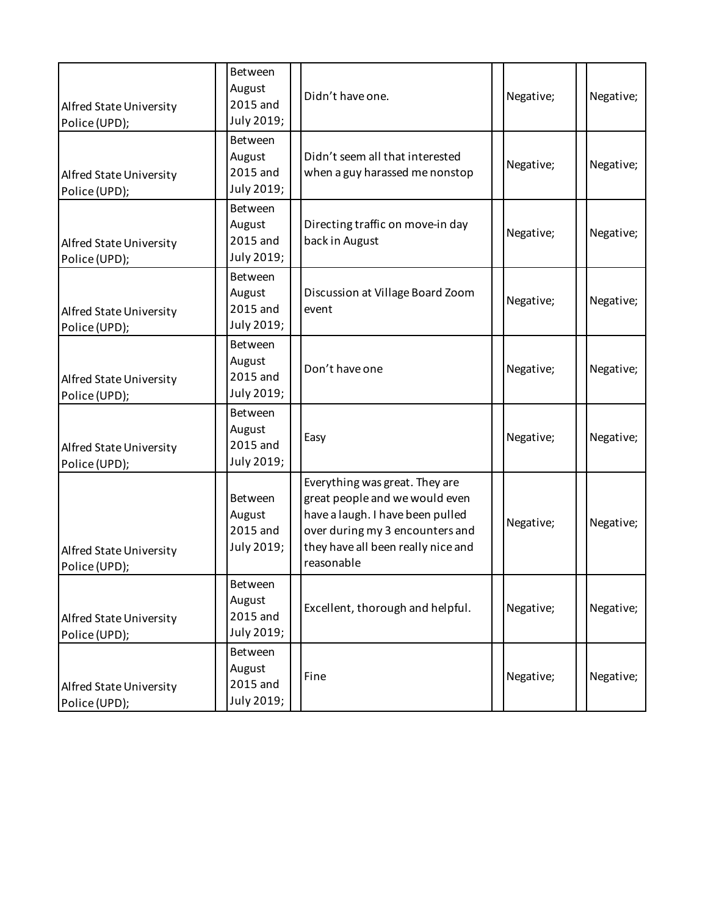| Alfred State University<br>Police (UPD); | Between<br>August<br>2015 and<br>July 2019; | Didn't have one.                                                                                                                                                                            | Negative; | Negative; |
|------------------------------------------|---------------------------------------------|---------------------------------------------------------------------------------------------------------------------------------------------------------------------------------------------|-----------|-----------|
| Alfred State University<br>Police (UPD); | Between<br>August<br>2015 and<br>July 2019; | Didn't seem all that interested<br>when a guy harassed me nonstop                                                                                                                           | Negative; | Negative; |
| Alfred State University<br>Police (UPD); | Between<br>August<br>2015 and<br>July 2019; | Directing traffic on move-in day<br>back in August                                                                                                                                          | Negative; | Negative; |
| Alfred State University<br>Police (UPD); | Between<br>August<br>2015 and<br>July 2019; | Discussion at Village Board Zoom<br>event                                                                                                                                                   | Negative; | Negative; |
| Alfred State University<br>Police (UPD); | Between<br>August<br>2015 and<br>July 2019; | Don't have one                                                                                                                                                                              | Negative; | Negative; |
| Alfred State University<br>Police (UPD); | Between<br>August<br>2015 and<br>July 2019; | Easy                                                                                                                                                                                        | Negative; | Negative; |
| Alfred State University<br>Police (UPD); | Between<br>August<br>2015 and<br>July 2019; | Everything was great. They are<br>great people and we would even<br>have a laugh. I have been pulled<br>over during my 3 encounters and<br>they have all been really nice and<br>reasonable | Negative; | Negative; |
| Alfred State University<br>Police (UPD); | Between<br>August<br>2015 and<br>July 2019; | Excellent, thorough and helpful.                                                                                                                                                            | Negative; | Negative; |
| Alfred State University<br>Police (UPD); | Between<br>August<br>2015 and<br>July 2019; | Fine                                                                                                                                                                                        | Negative; | Negative; |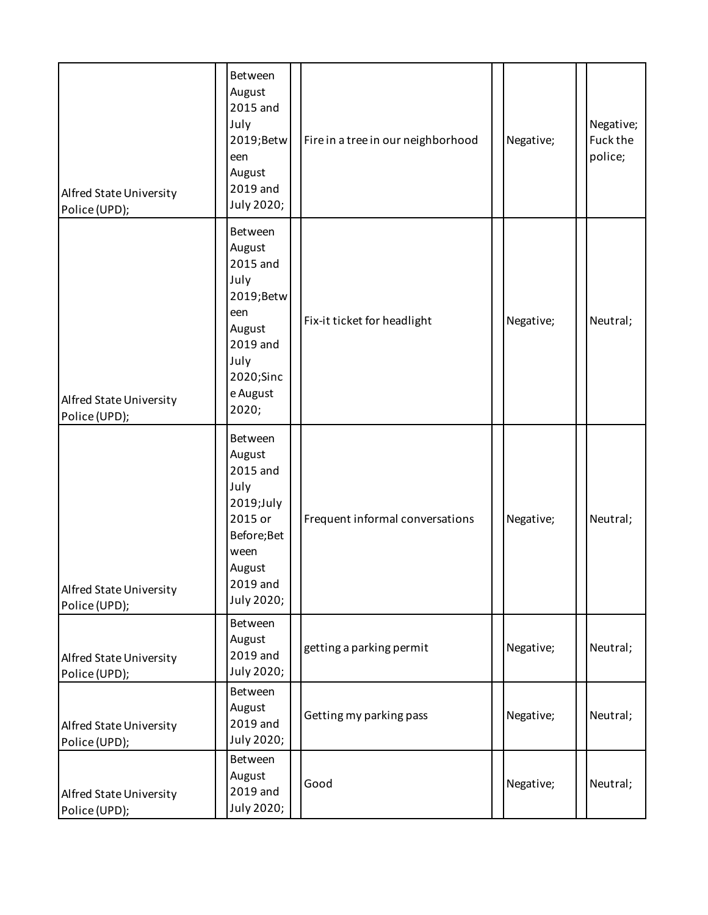| Alfred State University<br>Police (UPD); | Between<br>August<br>2015 and<br>July<br>2019;Betw<br>een<br>August<br>2019 and<br>July 2020;                             | Fire in a tree in our neighborhood | Negative; | Negative;<br>Fuck the<br>police; |
|------------------------------------------|---------------------------------------------------------------------------------------------------------------------------|------------------------------------|-----------|----------------------------------|
| Alfred State University<br>Police (UPD); | Between<br>August<br>2015 and<br>July<br>2019;Betw<br>een<br>August<br>2019 and<br>July<br>2020;Sinc<br>e August<br>2020; | Fix-it ticket for headlight        | Negative; | Neutral;                         |
| Alfred State University<br>Police (UPD); | Between<br>August<br>2015 and<br>July<br>2019;July<br>2015 or<br>Before; Bet<br>ween<br>August<br>2019 and<br>July 2020;  | Frequent informal conversations    | Negative; | Neutral;                         |
| Alfred State University<br>Police (UPD); | Between<br>August<br>2019 and<br>July 2020;                                                                               | getting a parking permit           | Negative; | Neutral;                         |
| Alfred State University<br>Police (UPD); | Between<br>August<br>2019 and<br>July 2020;                                                                               | Getting my parking pass            | Negative; | Neutral;                         |
| Alfred State University<br>Police (UPD); | Between<br>August<br>2019 and<br>July 2020;                                                                               | Good                               | Negative; | Neutral;                         |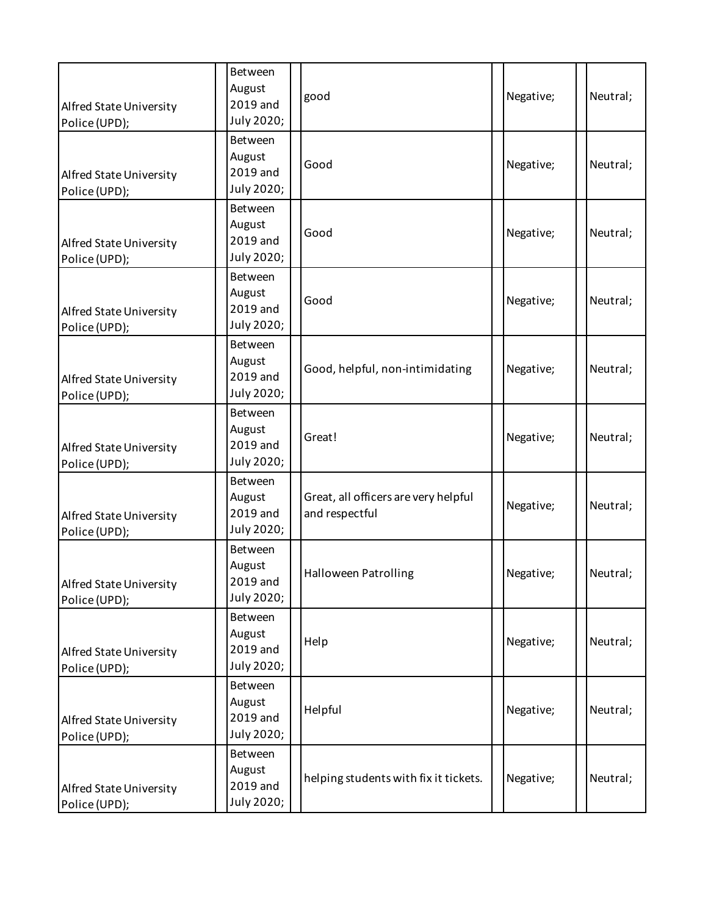| Alfred State University<br>Police (UPD); | Between<br>August<br>2019 and<br>July 2020; | good                                                   | Negative; | Neutral; |
|------------------------------------------|---------------------------------------------|--------------------------------------------------------|-----------|----------|
| Alfred State University<br>Police (UPD); | Between<br>August<br>2019 and<br>July 2020; | Good                                                   | Negative; | Neutral; |
| Alfred State University<br>Police (UPD); | Between<br>August<br>2019 and<br>July 2020; | Good                                                   | Negative; | Neutral; |
| Alfred State University<br>Police (UPD); | Between<br>August<br>2019 and<br>July 2020; | Good                                                   | Negative; | Neutral; |
| Alfred State University<br>Police (UPD); | Between<br>August<br>2019 and<br>July 2020; | Good, helpful, non-intimidating                        | Negative; | Neutral; |
| Alfred State University<br>Police (UPD); | Between<br>August<br>2019 and<br>July 2020; | Great!                                                 | Negative; | Neutral; |
| Alfred State University<br>Police (UPD); | Between<br>August<br>2019 and<br>July 2020; | Great, all officers are very helpful<br>and respectful | Negative; | Neutral; |
| Alfred State University<br>Police (UPD); | Between<br>August<br>2019 and<br>July 2020; | Halloween Patrolling                                   | Negative; | Neutral; |
| Alfred State University<br>Police (UPD); | Between<br>August<br>2019 and<br>July 2020; | Help                                                   | Negative; | Neutral; |
| Alfred State University<br>Police (UPD); | Between<br>August<br>2019 and<br>July 2020; | Helpful                                                | Negative; | Neutral; |
| Alfred State University<br>Police (UPD); | Between<br>August<br>2019 and<br>July 2020; | helping students with fix it tickets.                  | Negative; | Neutral; |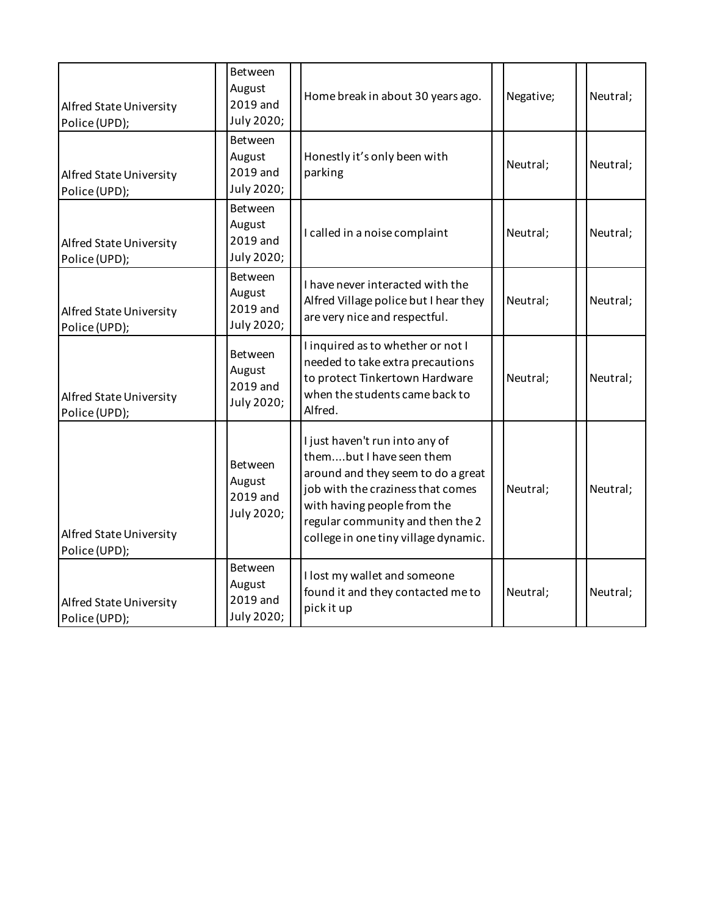| Alfred State University<br>Police (UPD); | Between<br>August<br>2019 and<br>July 2020;        | Home break in about 30 years ago.                                                                                                                                                                                                                | Negative; | Neutral; |
|------------------------------------------|----------------------------------------------------|--------------------------------------------------------------------------------------------------------------------------------------------------------------------------------------------------------------------------------------------------|-----------|----------|
| Alfred State University<br>Police (UPD); | Between<br>August<br>2019 and<br>July 2020;        | Honestly it's only been with<br>parking                                                                                                                                                                                                          | Neutral;  | Neutral; |
| Alfred State University<br>Police (UPD); | Between<br>August<br>2019 and<br>July 2020;        | I called in a noise complaint                                                                                                                                                                                                                    | Neutral;  | Neutral; |
| Alfred State University<br>Police (UPD); | Between<br>August<br>2019 and<br>July 2020;        | I have never interacted with the<br>Alfred Village police but I hear they<br>are very nice and respectful.                                                                                                                                       | Neutral;  | Neutral; |
| Alfred State University<br>Police (UPD); | Between<br>August<br>2019 and<br>July 2020;        | I inquired as to whether or not I<br>needed to take extra precautions<br>to protect Tinkertown Hardware<br>when the students came back to<br>Alfred.                                                                                             | Neutral;  | Neutral; |
| Alfred State University<br>Police (UPD); | <b>Between</b><br>August<br>2019 and<br>July 2020; | I just haven't run into any of<br>thembut I have seen them<br>around and they seem to do a great<br>job with the craziness that comes<br>with having people from the<br>regular community and then the 2<br>college in one tiny village dynamic. | Neutral;  | Neutral; |
| Alfred State University<br>Police (UPD); | Between<br>August<br>2019 and<br>July 2020;        | I lost my wallet and someone<br>found it and they contacted me to<br>pick it up                                                                                                                                                                  | Neutral;  | Neutral; |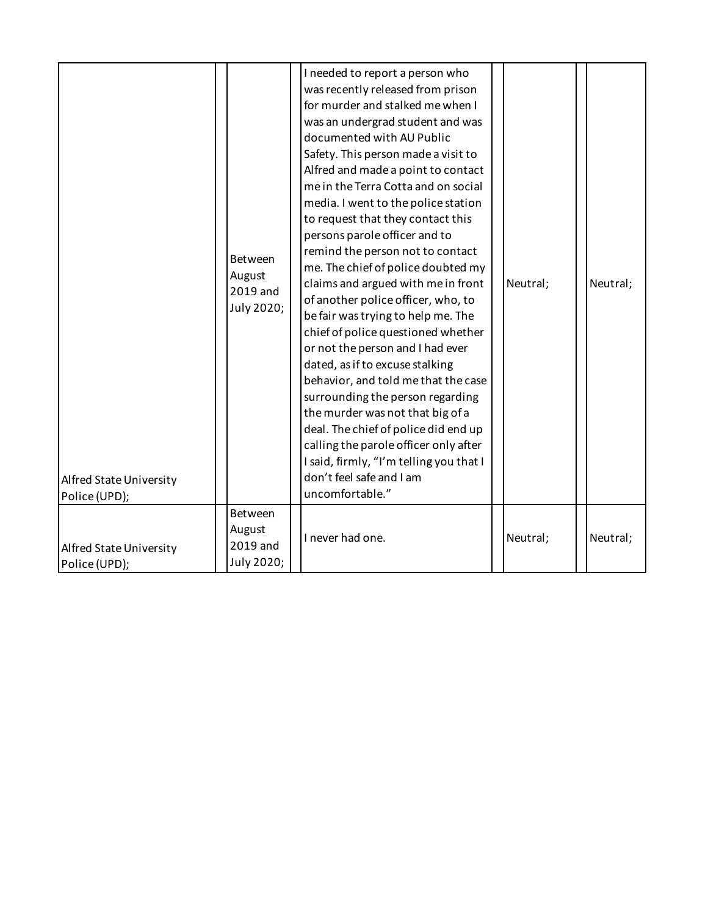| Alfred State University<br>Police (UPD); | Between<br>August<br>2019 and<br>July 2020; | I needed to report a person who<br>was recently released from prison<br>for murder and stalked me when I<br>was an undergrad student and was<br>documented with AU Public<br>Safety. This person made a visit to<br>Alfred and made a point to contact<br>me in the Terra Cotta and on social<br>media. I went to the police station<br>to request that they contact this<br>persons parole officer and to<br>remind the person not to contact<br>me. The chief of police doubted my<br>claims and argued with me in front<br>of another police officer, who, to<br>be fair was trying to help me. The<br>chief of police questioned whether<br>or not the person and I had ever<br>dated, as if to excuse stalking<br>behavior, and told me that the case<br>surrounding the person regarding<br>the murder was not that big of a<br>deal. The chief of police did end up<br>calling the parole officer only after<br>I said, firmly, "I'm telling you that I<br>don't feel safe and I am<br>uncomfortable." | Neutral; | Neutral; |
|------------------------------------------|---------------------------------------------|---------------------------------------------------------------------------------------------------------------------------------------------------------------------------------------------------------------------------------------------------------------------------------------------------------------------------------------------------------------------------------------------------------------------------------------------------------------------------------------------------------------------------------------------------------------------------------------------------------------------------------------------------------------------------------------------------------------------------------------------------------------------------------------------------------------------------------------------------------------------------------------------------------------------------------------------------------------------------------------------------------------|----------|----------|
| Alfred State University<br>Police (UPD); | Between<br>August<br>2019 and<br>July 2020; | I never had one.                                                                                                                                                                                                                                                                                                                                                                                                                                                                                                                                                                                                                                                                                                                                                                                                                                                                                                                                                                                              | Neutral; | Neutral; |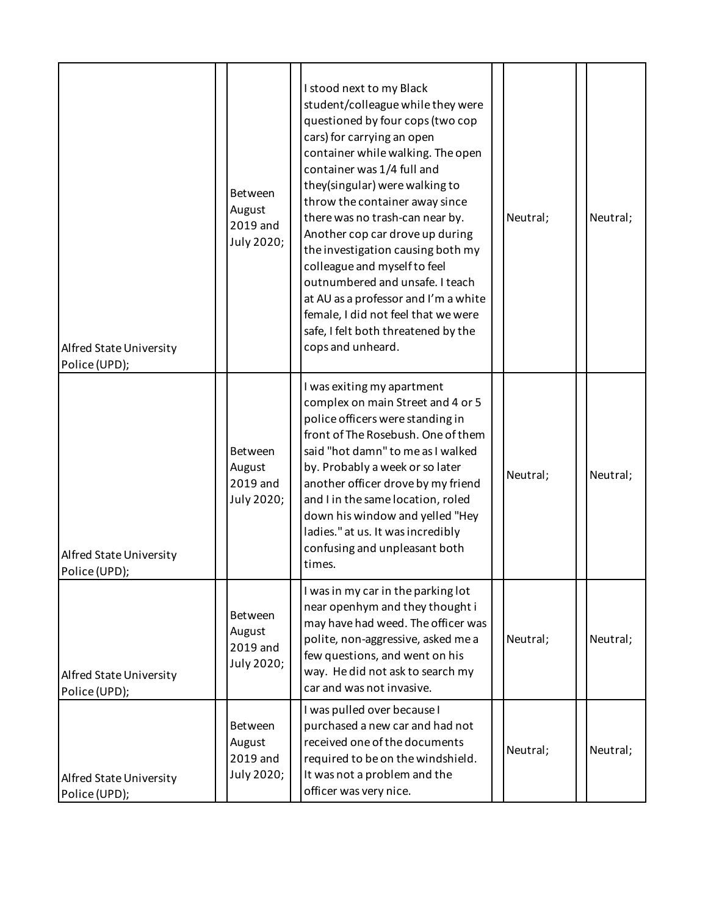| Alfred State University<br>Police (UPD); | Between<br>August<br>2019 and<br>July 2020; | I stood next to my Black<br>student/colleague while they were<br>questioned by four cops (two cop<br>cars) for carrying an open<br>container while walking. The open<br>container was 1/4 full and<br>they(singular) were walking to<br>throw the container away since<br>there was no trash-can near by.<br>Neutral;<br>Another cop car drove up during<br>the investigation causing both my<br>colleague and myself to feel<br>outnumbered and unsafe. I teach<br>at AU as a professor and I'm a white<br>female, I did not feel that we were<br>safe, I felt both threatened by the<br>cops and unheard. | Neutral; |
|------------------------------------------|---------------------------------------------|-------------------------------------------------------------------------------------------------------------------------------------------------------------------------------------------------------------------------------------------------------------------------------------------------------------------------------------------------------------------------------------------------------------------------------------------------------------------------------------------------------------------------------------------------------------------------------------------------------------|----------|
| Alfred State University<br>Police (UPD); | Between<br>August<br>2019 and<br>July 2020; | I was exiting my apartment<br>complex on main Street and 4 or 5<br>police officers were standing in<br>front of The Rosebush. One of them<br>said "hot damn" to me as I walked<br>by. Probably a week or so later<br>Neutral;<br>another officer drove by my friend<br>and I in the same location, roled<br>down his window and yelled "Hey<br>ladies." at us. It was incredibly<br>confusing and unpleasant both<br>times.                                                                                                                                                                                 | Neutral; |
| Alfred State University<br>Police (UPD); | Between<br>August<br>2019 and<br>July 2020; | I was in my car in the parking lot<br>near openhym and they thought i<br>may have had weed. The officer was<br>polite, non-aggressive, asked me a<br>Neutral;<br>few questions, and went on his<br>way. He did not ask to search my<br>car and was not invasive.                                                                                                                                                                                                                                                                                                                                            | Neutral; |
| Alfred State University<br>Police (UPD); | Between<br>August<br>2019 and<br>July 2020; | I was pulled over because I<br>purchased a new car and had not<br>received one of the documents<br>Neutral;<br>required to be on the windshield.<br>It was not a problem and the<br>officer was very nice.                                                                                                                                                                                                                                                                                                                                                                                                  | Neutral; |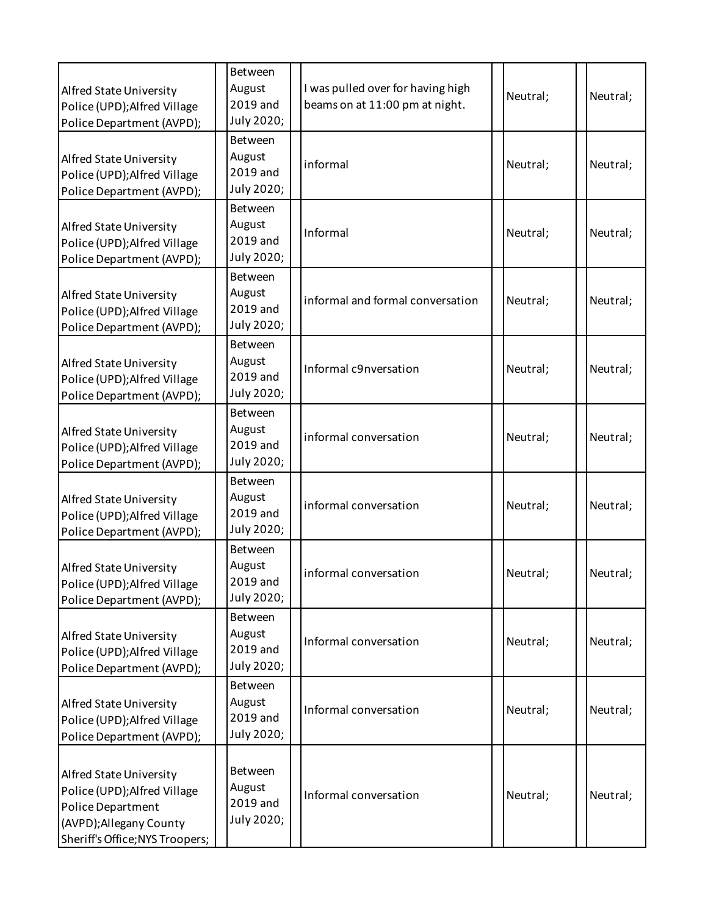| Alfred State University<br>Police (UPD); Alfred Village<br>Police Department (AVPD);                                                       | Between<br>August<br>2019 and<br>July 2020;        | I was pulled over for having high<br>beams on at 11:00 pm at night. | Neutral; | Neutral; |
|--------------------------------------------------------------------------------------------------------------------------------------------|----------------------------------------------------|---------------------------------------------------------------------|----------|----------|
| Alfred State University<br>Police (UPD); Alfred Village<br>Police Department (AVPD);                                                       | Between<br>August<br>2019 and<br>July 2020;        | informal                                                            | Neutral; | Neutral; |
| Alfred State University<br>Police (UPD); Alfred Village<br>Police Department (AVPD);                                                       | Between<br>August<br>2019 and<br>July 2020;        | Informal                                                            | Neutral; | Neutral; |
| Alfred State University<br>Police (UPD); Alfred Village<br>Police Department (AVPD);                                                       | Between<br>August<br>2019 and<br>July 2020;        | informal and formal conversation                                    | Neutral; | Neutral; |
| Alfred State University<br>Police (UPD); Alfred Village<br>Police Department (AVPD);                                                       | Between<br>August<br>2019 and<br>July 2020;        | Informal c9nversation                                               | Neutral; | Neutral; |
| Alfred State University<br>Police (UPD); Alfred Village<br>Police Department (AVPD);                                                       | Between<br>August<br>2019 and<br>July 2020;        | informal conversation                                               | Neutral; | Neutral; |
| Alfred State University<br>Police (UPD); Alfred Village<br>Police Department (AVPD);                                                       | Between<br>August<br>2019 and<br>July 2020;        | informal conversation                                               | Neutral; | Neutral; |
| Alfred State University<br>Police (UPD); Alfred Village<br>Police Department (AVPD);                                                       | Between<br>August<br>2019 and<br>July 2020;        | informal conversation                                               | Neutral; | Neutral; |
| Alfred State University<br>Police (UPD); Alfred Village<br>Police Department (AVPD);                                                       | Between<br>August<br>2019 and<br>July 2020;        | Informal conversation                                               | Neutral; | Neutral; |
| Alfred State University<br>Police (UPD); Alfred Village<br>Police Department (AVPD);                                                       | Between<br>August<br>2019 and<br>July 2020;        | Informal conversation                                               | Neutral; | Neutral; |
| Alfred State University<br>Police (UPD); Alfred Village<br>Police Department<br>(AVPD); Allegany County<br>Sheriff's Office; NYS Troopers; | <b>Between</b><br>August<br>2019 and<br>July 2020; | Informal conversation                                               | Neutral; | Neutral; |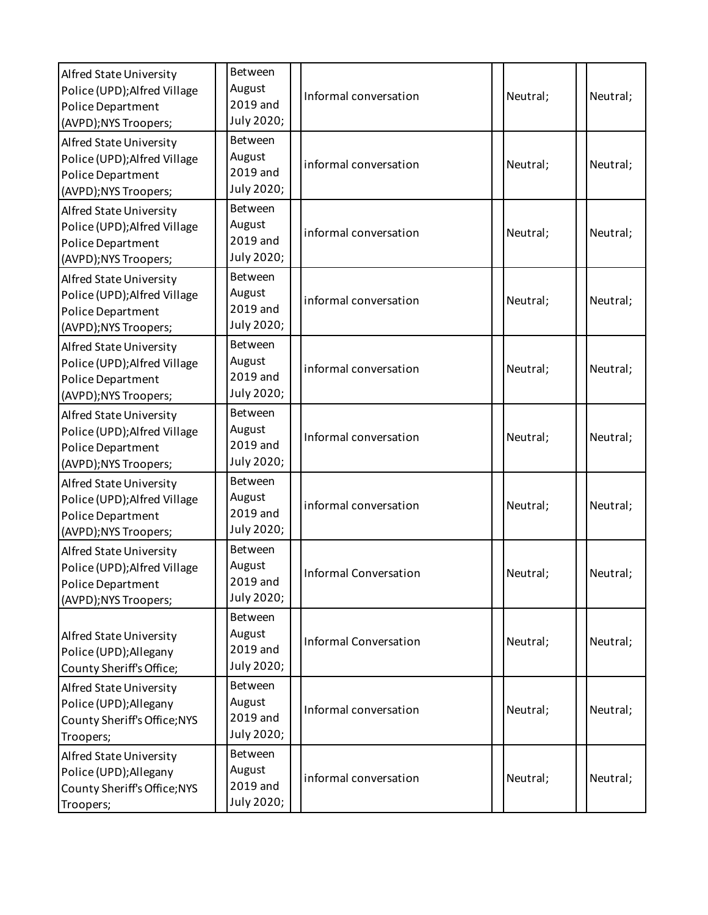| Alfred State University<br>Police (UPD); Alfred Village<br>Police Department<br>(AVPD);NYS Troopers; | Between<br>August<br>2019 and<br>July 2020; | Informal conversation        | Neutral; | Neutral: |
|------------------------------------------------------------------------------------------------------|---------------------------------------------|------------------------------|----------|----------|
| Alfred State University<br>Police (UPD); Alfred Village<br>Police Department<br>(AVPD);NYS Troopers; | Between<br>August<br>2019 and<br>July 2020; | informal conversation        | Neutral; | Neutral; |
| Alfred State University<br>Police (UPD); Alfred Village<br>Police Department<br>(AVPD);NYS Troopers; | Between<br>August<br>2019 and<br>July 2020; | informal conversation        | Neutral; | Neutral; |
| Alfred State University<br>Police (UPD); Alfred Village<br>Police Department<br>(AVPD);NYS Troopers; | Between<br>August<br>2019 and<br>July 2020; | informal conversation        | Neutral; | Neutral; |
| Alfred State University<br>Police (UPD); Alfred Village<br>Police Department<br>(AVPD);NYS Troopers; | Between<br>August<br>2019 and<br>July 2020; | informal conversation        | Neutral; | Neutral; |
| Alfred State University<br>Police (UPD); Alfred Village<br>Police Department<br>(AVPD);NYS Troopers; | Between<br>August<br>2019 and<br>July 2020; | Informal conversation        | Neutral; | Neutral; |
| Alfred State University<br>Police (UPD); Alfred Village<br>Police Department<br>(AVPD);NYS Troopers; | Between<br>August<br>2019 and<br>July 2020; | informal conversation        | Neutral; | Neutral; |
| Alfred State University<br>Police (UPD); Alfred Village<br>Police Department<br>(AVPD);NYS Troopers; | Between<br>August<br>2019 and<br>July 2020; | <b>Informal Conversation</b> | Neutral: | Neutral; |
| Alfred State University<br>Police (UPD); Allegany<br>County Sheriff's Office;                        | Between<br>August<br>2019 and<br>July 2020; | <b>Informal Conversation</b> | Neutral; | Neutral; |
| Alfred State University<br>Police (UPD); Allegany<br>County Sheriff's Office; NYS<br>Troopers;       | Between<br>August<br>2019 and<br>July 2020; | Informal conversation        | Neutral; | Neutral; |
| Alfred State University<br>Police (UPD); Allegany<br>County Sheriff's Office; NYS<br>Troopers;       | Between<br>August<br>2019 and<br>July 2020; | informal conversation        | Neutral; | Neutral; |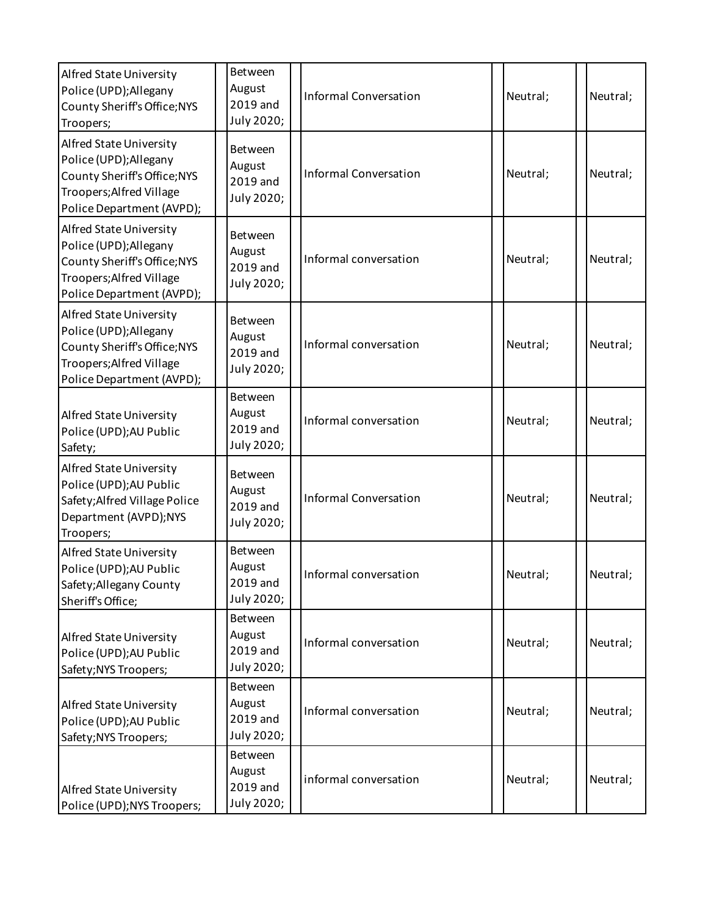| Alfred State University<br>Police (UPD); Allegany<br>County Sheriff's Office; NYS<br>Troopers;                                             | Between<br>August<br>2019 and<br>July 2020; | <b>Informal Conversation</b> | Neutral; | Neutral; |
|--------------------------------------------------------------------------------------------------------------------------------------------|---------------------------------------------|------------------------------|----------|----------|
| Alfred State University<br>Police (UPD); Allegany<br>County Sheriff's Office; NYS<br>Troopers; Alfred Village<br>Police Department (AVPD); | Between<br>August<br>2019 and<br>July 2020; | <b>Informal Conversation</b> | Neutral; | Neutral; |
| Alfred State University<br>Police (UPD); Allegany<br>County Sheriff's Office; NYS<br>Troopers; Alfred Village<br>Police Department (AVPD); | Between<br>August<br>2019 and<br>July 2020; | Informal conversation        | Neutral; | Neutral; |
| Alfred State University<br>Police (UPD); Allegany<br>County Sheriff's Office; NYS<br>Troopers; Alfred Village<br>Police Department (AVPD); | Between<br>August<br>2019 and<br>July 2020; | Informal conversation        | Neutral; | Neutral; |
| Alfred State University<br>Police (UPD); AU Public<br>Safety;                                                                              | Between<br>August<br>2019 and<br>July 2020; | Informal conversation        | Neutral; | Neutral; |
| Alfred State University<br>Police (UPD); AU Public<br>Safety; Alfred Village Police<br>Department (AVPD);NYS<br>Troopers;                  | Between<br>August<br>2019 and<br>July 2020; | <b>Informal Conversation</b> | Neutral; | Neutral; |
| Alfred State University<br>Police (UPD); AU Public<br>Safety; Allegany County<br>Sheriff's Office;                                         | Between<br>August<br>2019 and<br>July 2020; | Informal conversation        | Neutral; | Neutral; |
| Alfred State University<br>Police (UPD); AU Public<br>Safety; NYS Troopers;                                                                | Between<br>August<br>2019 and<br>July 2020; | Informal conversation        | Neutral; | Neutral; |
| Alfred State University<br>Police (UPD); AU Public<br>Safety; NYS Troopers;                                                                | Between<br>August<br>2019 and<br>July 2020; | Informal conversation        | Neutral; | Neutral; |
| Alfred State University<br>Police (UPD); NYS Troopers;                                                                                     | Between<br>August<br>2019 and<br>July 2020; | informal conversation        | Neutral; | Neutral; |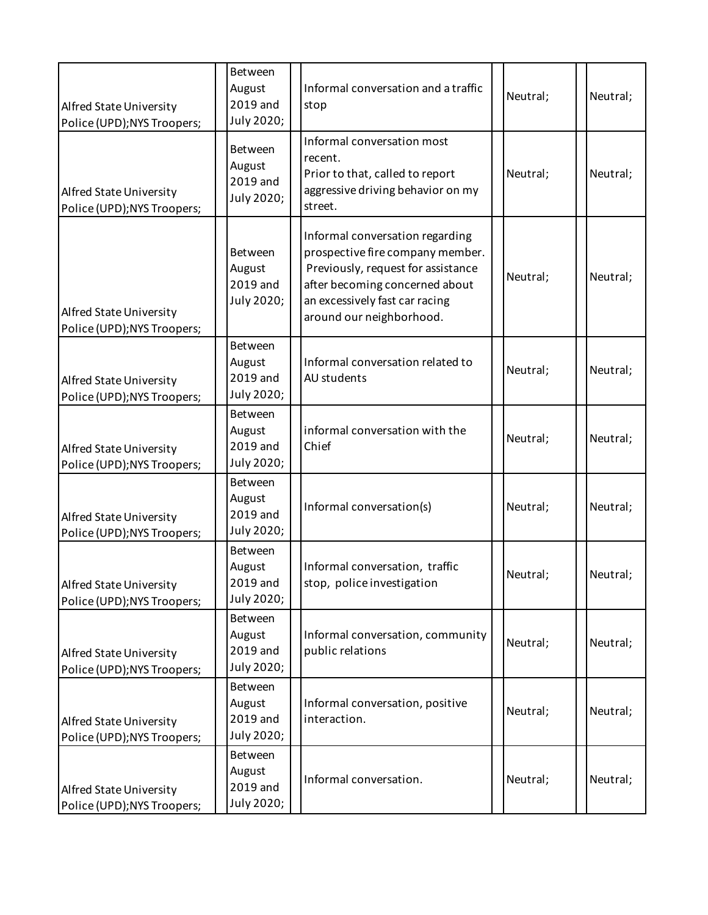| Alfred State University<br>Police (UPD); NYS Troopers; | <b>Between</b><br>August<br>2019 and<br>July 2020; | Informal conversation and a traffic<br>stop                                                                                                                                                               | Neutral; | Neutral; |
|--------------------------------------------------------|----------------------------------------------------|-----------------------------------------------------------------------------------------------------------------------------------------------------------------------------------------------------------|----------|----------|
| Alfred State University<br>Police (UPD); NYS Troopers; | Between<br>August<br>2019 and<br>July 2020;        | Informal conversation most<br>recent.<br>Prior to that, called to report<br>aggressive driving behavior on my<br>street.                                                                                  | Neutral; | Neutral; |
| Alfred State University<br>Police (UPD); NYS Troopers; | Between<br>August<br>2019 and<br>July 2020;        | Informal conversation regarding<br>prospective fire company member.<br>Previously, request for assistance<br>after becoming concerned about<br>an excessively fast car racing<br>around our neighborhood. | Neutral; | Neutral; |
| Alfred State University<br>Police (UPD); NYS Troopers; | Between<br>August<br>2019 and<br>July 2020;        | Informal conversation related to<br>AU students                                                                                                                                                           | Neutral; | Neutral; |
| Alfred State University<br>Police (UPD); NYS Troopers; | Between<br>August<br>2019 and<br>July 2020;        | informal conversation with the<br>Chief                                                                                                                                                                   | Neutral; | Neutral; |
| Alfred State University<br>Police (UPD); NYS Troopers; | Between<br>August<br>2019 and<br>July 2020;        | Informal conversation(s)                                                                                                                                                                                  | Neutral; | Neutral; |
| Alfred State University<br>Police (UPD); NYS Troopers; | Between<br>August<br>2019 and<br>July 2020;        | Informal conversation, traffic<br>stop, police investigation                                                                                                                                              | Neutral; | Neutral; |
| Alfred State University<br>Police (UPD); NYS Troopers; | Between<br>August<br>2019 and<br>July 2020;        | Informal conversation, community<br>public relations                                                                                                                                                      | Neutral; | Neutral; |
| Alfred State University<br>Police (UPD); NYS Troopers; | <b>Between</b><br>August<br>2019 and<br>July 2020; | Informal conversation, positive<br>interaction.                                                                                                                                                           | Neutral; | Neutral; |
| Alfred State University<br>Police (UPD); NYS Troopers; | Between<br>August<br>2019 and<br>July 2020;        | Informal conversation.                                                                                                                                                                                    | Neutral; | Neutral; |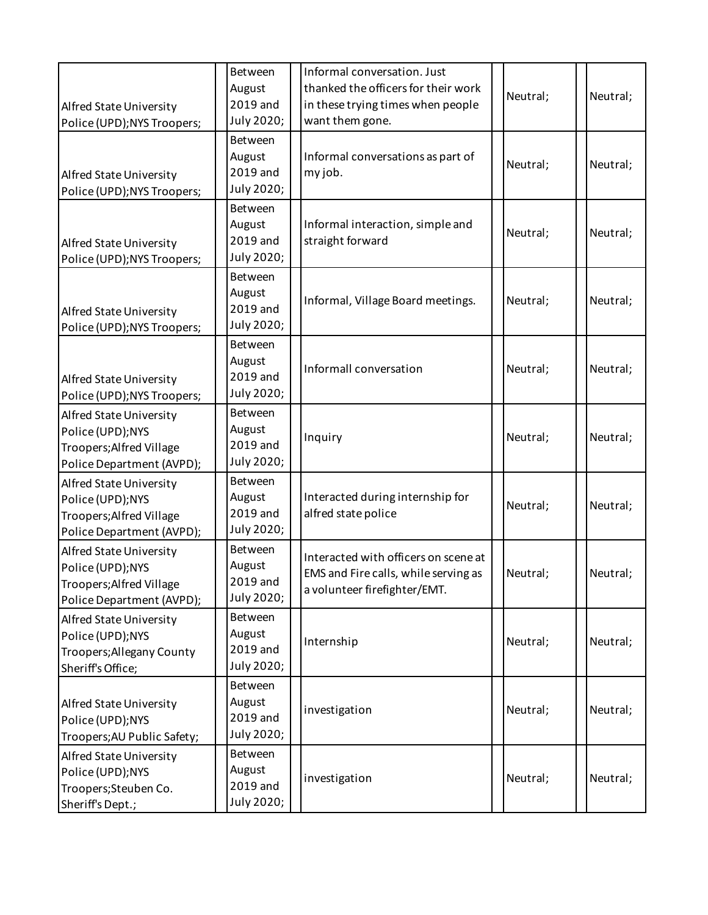| Alfred State University<br>Police (UPD); NYS Troopers;                                               | Between<br>August<br>2019 and<br>July 2020; | Informal conversation. Just<br>thanked the officers for their work<br>in these trying times when people<br>want them gone. | Neutral; | Neutral; |
|------------------------------------------------------------------------------------------------------|---------------------------------------------|----------------------------------------------------------------------------------------------------------------------------|----------|----------|
| Alfred State University<br>Police (UPD); NYS Troopers;                                               | Between<br>August<br>2019 and<br>July 2020; | Informal conversations as part of<br>my job.                                                                               | Neutral; | Neutral; |
| Alfred State University<br>Police (UPD); NYS Troopers;                                               | Between<br>August<br>2019 and<br>July 2020; | Informal interaction, simple and<br>straight forward                                                                       | Neutral; | Neutral; |
| Alfred State University<br>Police (UPD); NYS Troopers;                                               | Between<br>August<br>2019 and<br>July 2020; | Informal, Village Board meetings.                                                                                          | Neutral; | Neutral; |
| Alfred State University<br>Police (UPD); NYS Troopers;                                               | Between<br>August<br>2019 and<br>July 2020; | Informall conversation                                                                                                     | Neutral; | Neutral; |
| Alfred State University<br>Police (UPD);NYS<br>Troopers; Alfred Village<br>Police Department (AVPD); | Between<br>August<br>2019 and<br>July 2020; | Inquiry                                                                                                                    | Neutral; | Neutral; |
| Alfred State University<br>Police (UPD);NYS<br>Troopers; Alfred Village<br>Police Department (AVPD); | Between<br>August<br>2019 and<br>July 2020; | Interacted during internship for<br>alfred state police                                                                    | Neutral; | Neutral; |
| Alfred State University<br>Police (UPD);NYS<br>Troopers; Alfred Village<br>Police Department (AVPD); | Between<br>August<br>2019 and<br>July 2020; | Interacted with officers on scene at<br>EMS and Fire calls, while serving as<br>a volunteer firefighter/EMT.               | Neutral; | Neutral; |
| Alfred State University<br>Police (UPD);NYS<br>Troopers; Allegany County<br>Sheriff's Office;        | Between<br>August<br>2019 and<br>July 2020; | Internship                                                                                                                 | Neutral; | Neutral; |
| Alfred State University<br>Police (UPD);NYS<br>Troopers; AU Public Safety;                           | Between<br>August<br>2019 and<br>July 2020; | investigation                                                                                                              | Neutral; | Neutral; |
| Alfred State University<br>Police (UPD);NYS<br>Troopers; Steuben Co.<br>Sheriff's Dept.;             | Between<br>August<br>2019 and<br>July 2020; | investigation                                                                                                              | Neutral; | Neutral; |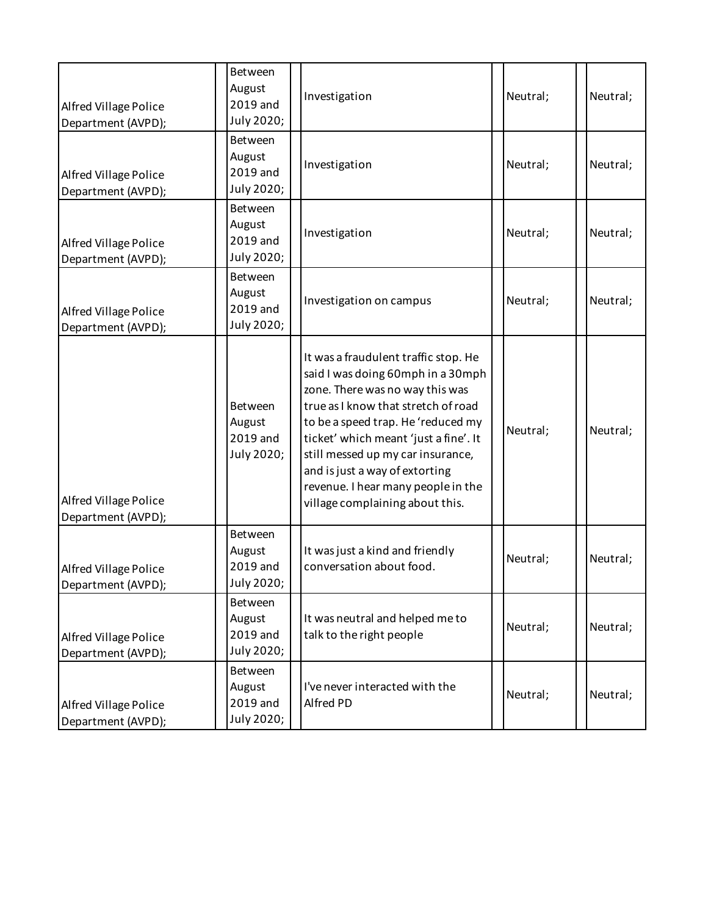| <b>Alfred Village Police</b><br>Department (AVPD); | Between<br>August<br>2019 and<br>July 2020; | Investigation                                                                                                                                                                                                                                                                                                                                                                      | Neutral; | Neutral; |
|----------------------------------------------------|---------------------------------------------|------------------------------------------------------------------------------------------------------------------------------------------------------------------------------------------------------------------------------------------------------------------------------------------------------------------------------------------------------------------------------------|----------|----------|
| <b>Alfred Village Police</b><br>Department (AVPD); | Between<br>August<br>2019 and<br>July 2020; | Investigation                                                                                                                                                                                                                                                                                                                                                                      | Neutral; | Neutral; |
| <b>Alfred Village Police</b><br>Department (AVPD); | Between<br>August<br>2019 and<br>July 2020; | Investigation                                                                                                                                                                                                                                                                                                                                                                      | Neutral; | Neutral; |
| <b>Alfred Village Police</b><br>Department (AVPD); | Between<br>August<br>2019 and<br>July 2020; | Investigation on campus                                                                                                                                                                                                                                                                                                                                                            | Neutral; | Neutral; |
| <b>Alfred Village Police</b><br>Department (AVPD); | Between<br>August<br>2019 and<br>July 2020; | It was a fraudulent traffic stop. He<br>said I was doing 60mph in a 30mph<br>zone. There was no way this was<br>true as I know that stretch of road<br>to be a speed trap. He 'reduced my<br>ticket' which meant 'just a fine'. It<br>still messed up my car insurance,<br>and is just a way of extorting<br>revenue. I hear many people in the<br>village complaining about this. | Neutral; | Neutral; |
| Alfred Village Police<br>Department (AVPD);        | Between<br>August<br>2019 and<br>July 2020; | It was just a kind and friendly<br>conversation about food.                                                                                                                                                                                                                                                                                                                        | Neutral; | Neutral; |
| Alfred Village Police<br>Department (AVPD);        | Between<br>August<br>2019 and<br>July 2020; | It was neutral and helped me to<br>talk to the right people                                                                                                                                                                                                                                                                                                                        | Neutral; | Neutral; |
| Alfred Village Police<br>Department (AVPD);        | Between<br>August<br>2019 and<br>July 2020; | I've never interacted with the<br>Alfred PD                                                                                                                                                                                                                                                                                                                                        | Neutral; | Neutral; |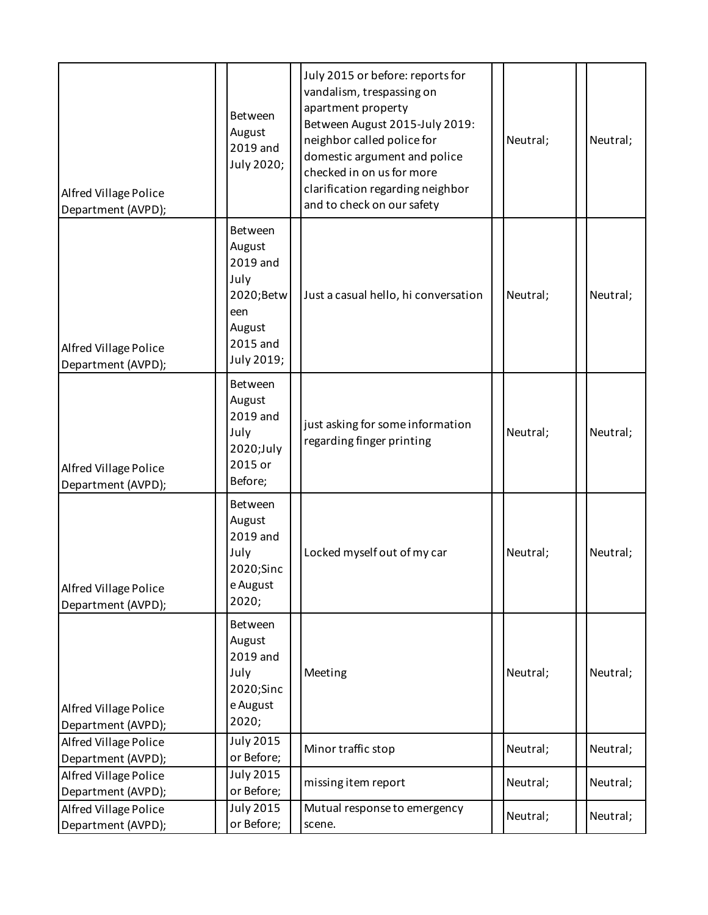| <b>Alfred Village Police</b><br>Department (AVPD); | Between<br>August<br>2019 and<br>July 2020;                                                   | July 2015 or before: reports for<br>vandalism, trespassing on<br>apartment property<br>Between August 2015-July 2019:<br>neighbor called police for<br>domestic argument and police<br>checked in on us for more<br>clarification regarding neighbor<br>and to check on our safety | Neutral; | Neutral; |
|----------------------------------------------------|-----------------------------------------------------------------------------------------------|------------------------------------------------------------------------------------------------------------------------------------------------------------------------------------------------------------------------------------------------------------------------------------|----------|----------|
| Alfred Village Police<br>Department (AVPD);        | Between<br>August<br>2019 and<br>July<br>2020;Betw<br>een<br>August<br>2015 and<br>July 2019; | Just a casual hello, hi conversation                                                                                                                                                                                                                                               | Neutral; | Neutral; |
| Alfred Village Police<br>Department (AVPD);        | Between<br>August<br>2019 and<br>July<br>2020;July<br>2015 or<br>Before;                      | just asking for some information<br>regarding finger printing                                                                                                                                                                                                                      | Neutral; | Neutral; |
| <b>Alfred Village Police</b><br>Department (AVPD); | Between<br>August<br>2019 and<br>July<br>2020;Sinc<br>e August<br>2020;                       | Locked myself out of my car                                                                                                                                                                                                                                                        | Neutral; | Neutral; |
| Alfred Village Police<br>Department (AVPD);        | Between<br>August<br>2019 and<br>July<br>2020;Sinc<br>e August<br>2020;                       | Meeting                                                                                                                                                                                                                                                                            | Neutral; | Neutral; |
| Alfred Village Police<br>Department (AVPD);        | <b>July 2015</b><br>or Before;                                                                | Minor traffic stop                                                                                                                                                                                                                                                                 | Neutral; | Neutral; |
| Alfred Village Police<br>Department (AVPD);        | July 2015<br>or Before;                                                                       | missing item report                                                                                                                                                                                                                                                                | Neutral; | Neutral; |
| Alfred Village Police<br>Department (AVPD);        | <b>July 2015</b><br>or Before;                                                                | Mutual response to emergency<br>scene.                                                                                                                                                                                                                                             | Neutral; | Neutral; |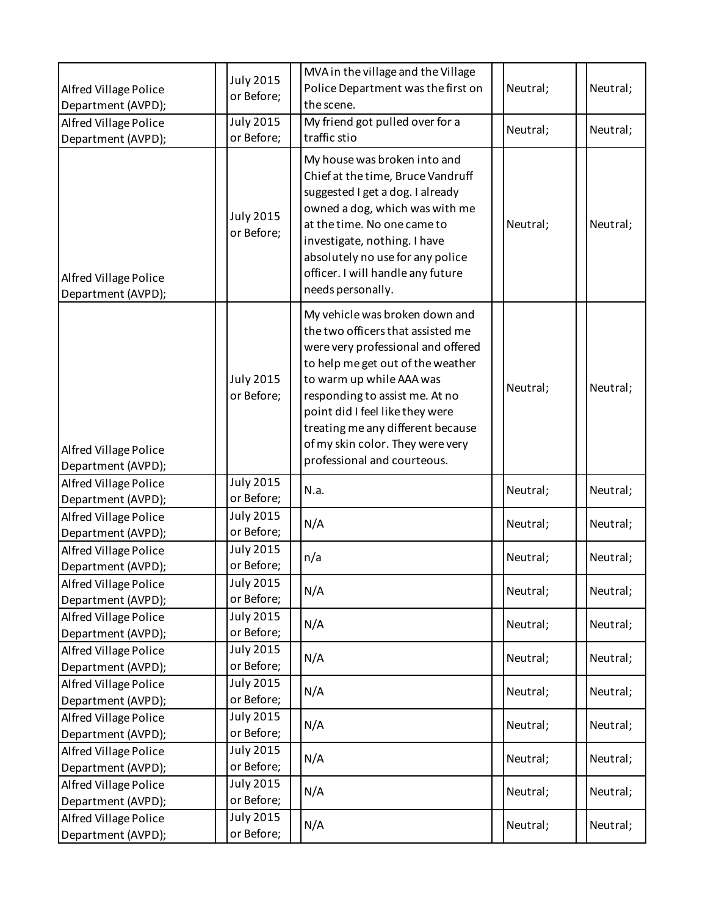| Alfred Village Police<br>Department (AVPD); | <b>July 2015</b><br>or Before;       | MVA in the village and the Village<br>Police Department was the first on<br>the scene.                                                                                                                                                                                                                                                                  | Neutral; | Neutral; |
|---------------------------------------------|--------------------------------------|---------------------------------------------------------------------------------------------------------------------------------------------------------------------------------------------------------------------------------------------------------------------------------------------------------------------------------------------------------|----------|----------|
| Alfred Village Police<br>Department (AVPD); | <b>July 2015</b><br>or Before;       | My friend got pulled over for a<br>traffic stio                                                                                                                                                                                                                                                                                                         | Neutral; | Neutral; |
| Alfred Village Police<br>Department (AVPD); | <b>July 2015</b><br>or Before;       | My house was broken into and<br>Chief at the time, Bruce Vandruff<br>suggested I get a dog. I already<br>owned a dog, which was with me<br>at the time. No one came to<br>investigate, nothing. I have<br>absolutely no use for any police<br>officer. I will handle any future<br>needs personally.                                                    | Neutral; | Neutral; |
| Alfred Village Police<br>Department (AVPD); | <b>July 2015</b><br>or Before;       | My vehicle was broken down and<br>the two officers that assisted me<br>were very professional and offered<br>to help me get out of the weather<br>to warm up while AAA was<br>responding to assist me. At no<br>point did I feel like they were<br>treating me any different because<br>of my skin color. They were very<br>professional and courteous. | Neutral; | Neutral; |
| Alfred Village Police<br>Department (AVPD); | <b>July 2015</b><br>or Before;       | N.a.                                                                                                                                                                                                                                                                                                                                                    | Neutral; | Neutral; |
| Alfred Village Police<br>Department (AVPD); | <b>July 2015</b><br>or Before;       | N/A                                                                                                                                                                                                                                                                                                                                                     | Neutral; | Neutral; |
| Alfred Village Police<br>Department (AVPD); | July 2015<br>or Before;              | n/a                                                                                                                                                                                                                                                                                                                                                     | Neutral; | Neutral; |
| Alfred Village Police<br>Department (AVPD); | <b>July 2015</b><br>or Before;       | N/A                                                                                                                                                                                                                                                                                                                                                     | Neutral; | Neutral; |
| Alfred Village Police<br>Department (AVPD); | <b>July 2015</b><br>or Before;       | N/A                                                                                                                                                                                                                                                                                                                                                     | Neutral; | Neutral; |
| Alfred Village Police<br>Department (AVPD); | <b>July 2015</b><br>or Before;       | N/A                                                                                                                                                                                                                                                                                                                                                     | Neutral; | Neutral; |
| Alfred Village Police<br>Department (AVPD); | <b>July 2015</b><br>or Before;       | N/A                                                                                                                                                                                                                                                                                                                                                     | Neutral; | Neutral; |
| Alfred Village Police<br>Department (AVPD); | <b>July 2015</b><br>or Before;       | N/A                                                                                                                                                                                                                                                                                                                                                     | Neutral; | Neutral; |
| Alfred Village Police<br>Department (AVPD); | $\overline{July}$ 2015<br>or Before; | N/A                                                                                                                                                                                                                                                                                                                                                     | Neutral; | Neutral; |
| Alfred Village Police<br>Department (AVPD); | <b>July 2015</b><br>or Before;       | N/A                                                                                                                                                                                                                                                                                                                                                     | Neutral; | Neutral; |
| Alfred Village Police<br>Department (AVPD); | <b>July 2015</b><br>or Before;       | N/A                                                                                                                                                                                                                                                                                                                                                     | Neutral; | Neutral; |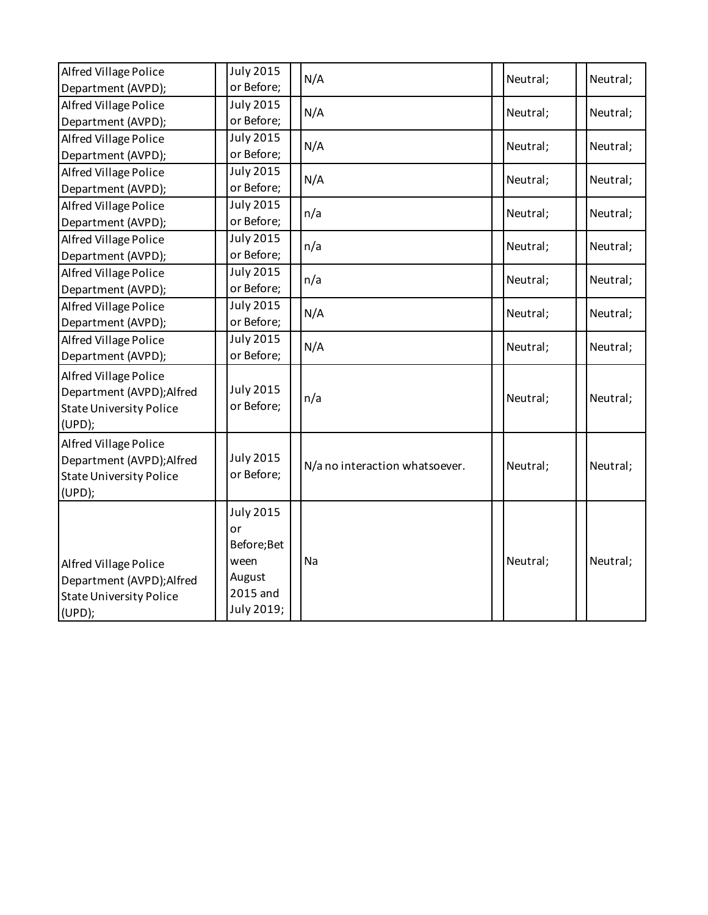| Alfred Village Police          | <b>July 2015</b><br>or Before; | N/A                            | Neutral; | Neutral; |
|--------------------------------|--------------------------------|--------------------------------|----------|----------|
| Department (AVPD);             |                                |                                |          |          |
| <b>Alfred Village Police</b>   | July 2015                      | N/A                            | Neutral; | Neutral; |
| Department (AVPD);             | or Before;                     |                                |          |          |
| Alfred Village Police          | <b>July 2015</b>               | N/A                            | Neutral; | Neutral; |
| Department (AVPD);             | or Before;                     |                                |          |          |
| Alfred Village Police          | July 2015                      | N/A                            | Neutral; | Neutral; |
| Department (AVPD);             | or Before;                     |                                |          |          |
| Alfred Village Police          | <b>July 2015</b>               | n/a                            | Neutral; | Neutral; |
| Department (AVPD);             | or Before;                     |                                |          |          |
| Alfred Village Police          | <b>July 2015</b>               | n/a                            | Neutral; | Neutral; |
| Department (AVPD);             | or Before;                     |                                |          |          |
| Alfred Village Police          | <b>July 2015</b>               |                                |          |          |
| Department (AVPD);             | or Before;                     | n/a                            | Neutral; | Neutral; |
| <b>Alfred Village Police</b>   | <b>July 2015</b>               |                                |          |          |
| Department (AVPD);             | or Before;                     | N/A                            | Neutral; | Neutral; |
| Alfred Village Police          | <b>July 2015</b>               |                                |          |          |
| Department (AVPD);             | or Before;                     | N/A                            | Neutral; | Neutral; |
| Alfred Village Police          |                                |                                |          |          |
| Department (AVPD); Alfred      | <b>July 2015</b>               |                                |          |          |
| <b>State University Police</b> | or Before;                     | n/a                            | Neutral; | Neutral; |
| (UPD);                         |                                |                                |          |          |
| Alfred Village Police          |                                |                                |          |          |
| Department (AVPD); Alfred      | <b>July 2015</b>               |                                |          |          |
| <b>State University Police</b> | or Before;                     | N/a no interaction whatsoever. | Neutral; | Neutral; |
| (UPD);                         |                                |                                |          |          |
|                                |                                |                                |          |          |
|                                | <b>July 2015</b>               |                                |          |          |
|                                | or                             |                                |          |          |
|                                | Before; Bet                    |                                |          |          |
| <b>Alfred Village Police</b>   | ween                           | Na                             | Neutral; | Neutral; |
| Department (AVPD); Alfred      | August                         |                                |          |          |
| <b>State University Police</b> | 2015 and                       |                                |          |          |
| (UPD);                         | July 2019;                     |                                |          |          |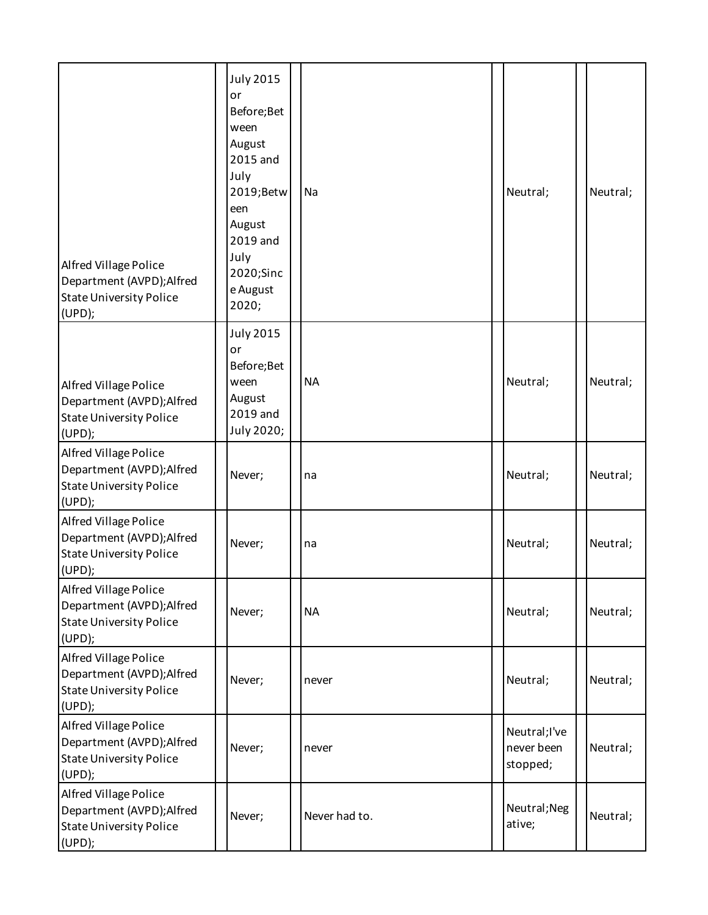| Alfred Village Police<br>Department (AVPD); Alfred<br><b>State University Police</b><br>(UPD); | <b>July 2015</b><br>or<br>Before; Bet<br>ween<br>August<br>2015 and<br>July<br>2019; Betw<br>een<br>August<br>2019 and<br>July<br>2020;Sinc<br>e August<br>2020; | Na            | Neutral;                               | Neutral; |
|------------------------------------------------------------------------------------------------|------------------------------------------------------------------------------------------------------------------------------------------------------------------|---------------|----------------------------------------|----------|
| Alfred Village Police<br>Department (AVPD); Alfred<br><b>State University Police</b><br>(UPD); | <b>July 2015</b><br>or<br>Before; Bet<br>ween<br>August<br>2019 and<br>July 2020;                                                                                | <b>NA</b>     | Neutral;                               | Neutral; |
| Alfred Village Police<br>Department (AVPD); Alfred<br><b>State University Police</b><br>(UPD); | Never;                                                                                                                                                           | na            | Neutral;                               | Neutral; |
| Alfred Village Police<br>Department (AVPD); Alfred<br><b>State University Police</b><br>(UPD); | Never;                                                                                                                                                           | na            | Neutral;                               | Neutral; |
| Alfred Village Police<br>Department (AVPD); Alfred<br><b>State University Police</b><br>(UPD); | Never;                                                                                                                                                           | <b>NA</b>     | Neutral;                               | Neutral; |
| Alfred Village Police<br>Department (AVPD); Alfred<br><b>State University Police</b><br>(UPD); | Never;                                                                                                                                                           | never         | Neutral;                               | Neutral; |
| Alfred Village Police<br>Department (AVPD); Alfred<br><b>State University Police</b><br>(UPD); | Never;                                                                                                                                                           | never         | Neutral;I've<br>never been<br>stopped; | Neutral; |
| Alfred Village Police<br>Department (AVPD); Alfred<br><b>State University Police</b><br>(UPD); | Never;                                                                                                                                                           | Never had to. | Neutral; Neg<br>ative;                 | Neutral; |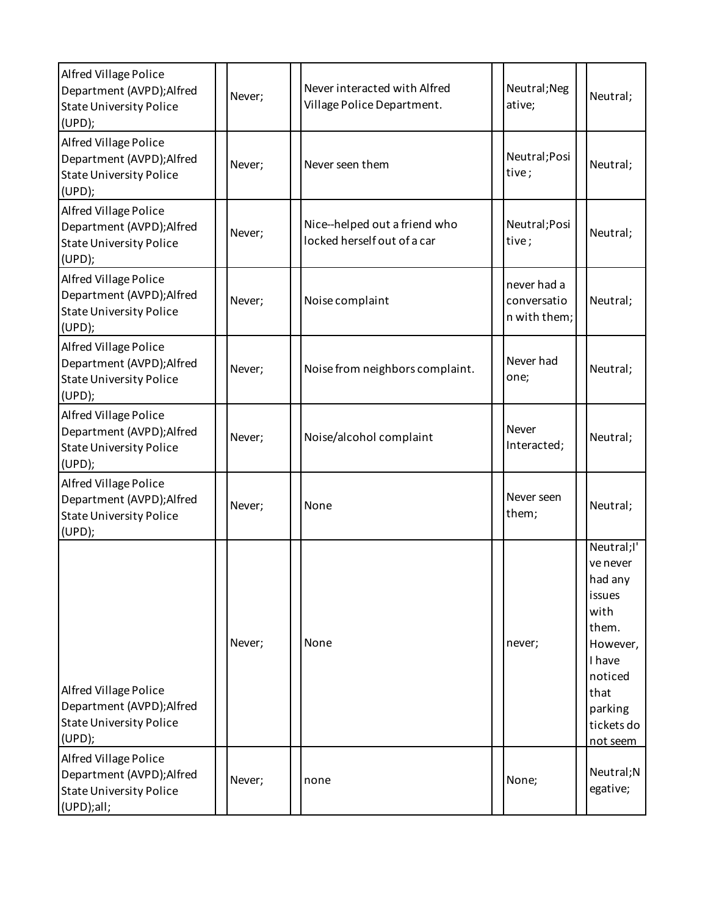| Alfred Village Police<br>Department (AVPD); Alfred<br><b>State University Police</b><br>(UPD);        | Never; | Never interacted with Alfred<br>Village Police Department.   | Neutral; Neg<br>ative;                     | Neutral;                                                                                                                                   |
|-------------------------------------------------------------------------------------------------------|--------|--------------------------------------------------------------|--------------------------------------------|--------------------------------------------------------------------------------------------------------------------------------------------|
| Alfred Village Police<br>Department (AVPD); Alfred<br><b>State University Police</b><br>(UPD);        | Never; | Never seen them                                              | Neutral; Posi<br>tive;                     | Neutral;                                                                                                                                   |
| Alfred Village Police<br>Department (AVPD); Alfred<br><b>State University Police</b><br>(UPD);        | Never; | Nice--helped out a friend who<br>locked herself out of a car | Neutral; Posi<br>tive;                     | Neutral;                                                                                                                                   |
| Alfred Village Police<br>Department (AVPD); Alfred<br><b>State University Police</b><br>(UPD);        | Never; | Noise complaint                                              | never had a<br>conversatio<br>n with them; | Neutral;                                                                                                                                   |
| Alfred Village Police<br>Department (AVPD); Alfred<br><b>State University Police</b><br>(UPD);        | Never; | Noise from neighbors complaint.                              | Never had<br>one;                          | Neutral;                                                                                                                                   |
| <b>Alfred Village Police</b><br>Department (AVPD); Alfred<br><b>State University Police</b><br>(UPD); | Never; | Noise/alcohol complaint                                      | Never<br>Interacted;                       | Neutral;                                                                                                                                   |
| Alfred Village Police<br>Department (AVPD); Alfred<br><b>State University Police</b><br>(UPD);        | Never; | None                                                         | Never seen<br>them;                        | Neutral;                                                                                                                                   |
| Alfred Village Police<br>Department (AVPD); Alfred<br><b>State University Police</b><br>(UPD);        | Never; | None                                                         | never;                                     | Neutral;I'<br>ve never<br>had any<br>issues<br>with<br>them.<br>However,<br>I have<br>noticed<br>that<br>parking<br>tickets do<br>not seem |
| Alfred Village Police<br>Department (AVPD); Alfred<br><b>State University Police</b><br>(UPD);all;    | Never; | none                                                         | None;                                      | Neutral;N<br>egative;                                                                                                                      |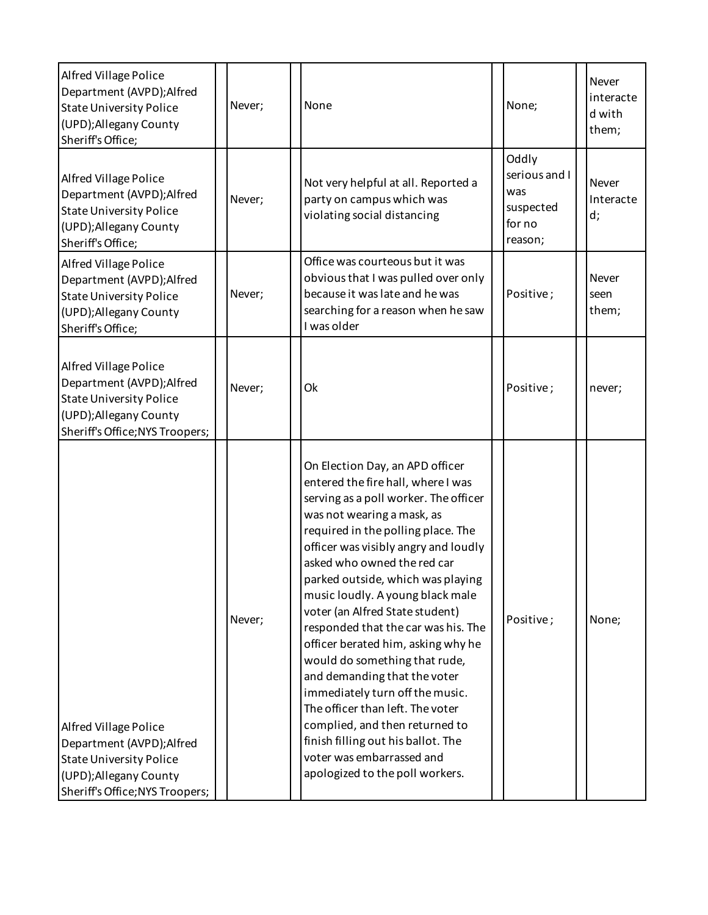| <b>Alfred Village Police</b><br>Department (AVPD); Alfred<br><b>State University Police</b><br>(UPD); Allegany County<br>Sheriff's Office;               | Never; | None                                                                                                                                                                                                                                                                                                                                                                                                                                                                                                                                                                                                                                                                                                                               | None;                                                           | Never<br>interacte<br>d with<br>them; |
|----------------------------------------------------------------------------------------------------------------------------------------------------------|--------|------------------------------------------------------------------------------------------------------------------------------------------------------------------------------------------------------------------------------------------------------------------------------------------------------------------------------------------------------------------------------------------------------------------------------------------------------------------------------------------------------------------------------------------------------------------------------------------------------------------------------------------------------------------------------------------------------------------------------------|-----------------------------------------------------------------|---------------------------------------|
| Alfred Village Police<br>Department (AVPD); Alfred<br><b>State University Police</b><br>(UPD); Allegany County<br>Sheriff's Office;                      | Never; | Not very helpful at all. Reported a<br>party on campus which was<br>violating social distancing                                                                                                                                                                                                                                                                                                                                                                                                                                                                                                                                                                                                                                    | Oddly<br>serious and I<br>was<br>suspected<br>for no<br>reason; | Never<br>Interacte<br>d;              |
| Alfred Village Police<br>Department (AVPD); Alfred<br><b>State University Police</b><br>(UPD); Allegany County<br>Sheriff's Office;                      | Never; | Office was courteous but it was<br>obvious that I was pulled over only<br>because it was late and he was<br>searching for a reason when he saw<br>I was older                                                                                                                                                                                                                                                                                                                                                                                                                                                                                                                                                                      | Positive;                                                       | Never<br>seen<br>them;                |
| <b>Alfred Village Police</b><br>Department (AVPD); Alfred<br><b>State University Police</b><br>(UPD); Allegany County<br>Sheriff's Office; NYS Troopers; | Never; | Ok                                                                                                                                                                                                                                                                                                                                                                                                                                                                                                                                                                                                                                                                                                                                 | Positive;                                                       | never;                                |
| <b>Alfred Village Police</b><br>Department (AVPD); Alfred<br><b>State University Police</b><br>(UPD); Allegany County<br>Sheriff's Office; NYS Troopers; | Never; | On Election Day, an APD officer<br>entered the fire hall, where I was<br>serving as a poll worker. The officer<br>was not wearing a mask, as<br>required in the polling place. The<br>officer was visibly angry and loudly<br>asked who owned the red car<br>parked outside, which was playing<br>music loudly. A young black male<br>voter (an Alfred State student)<br>responded that the car was his. The<br>officer berated him, asking why he<br>would do something that rude,<br>and demanding that the voter<br>immediately turn off the music.<br>The officer than left. The voter<br>complied, and then returned to<br>finish filling out his ballot. The<br>voter was embarrassed and<br>apologized to the poll workers. | Positive;                                                       | None;                                 |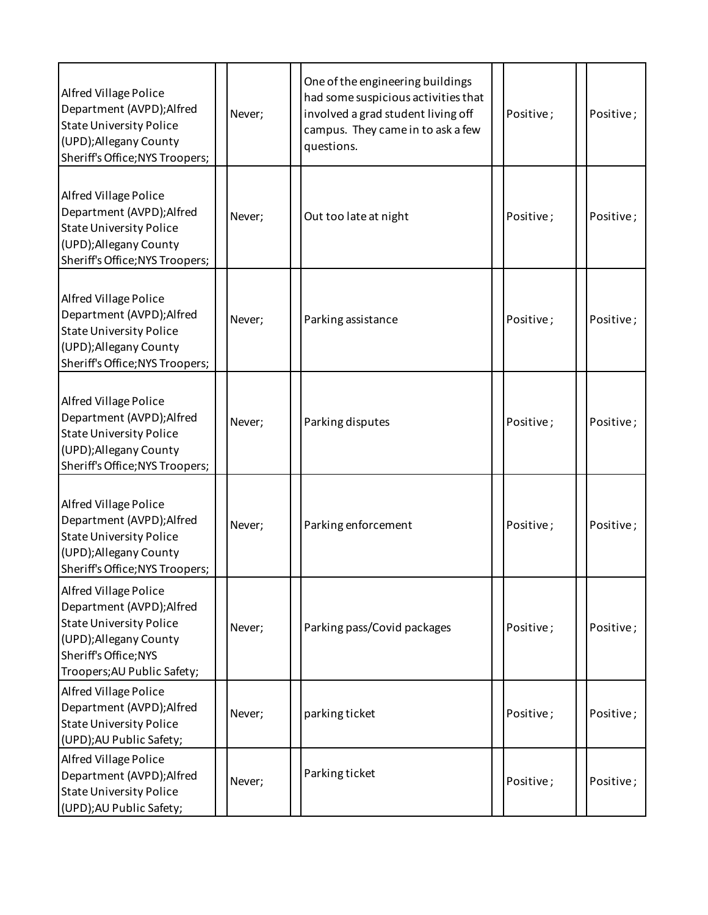| Alfred Village Police<br>Department (AVPD); Alfred<br><b>State University Police</b><br>(UPD); Allegany County<br>Sheriff's Office; NYS Troopers;                      | Never; | One of the engineering buildings<br>had some suspicious activities that<br>involved a grad student living off<br>campus. They came in to ask a few<br>questions. | Positive; | Positive; |
|------------------------------------------------------------------------------------------------------------------------------------------------------------------------|--------|------------------------------------------------------------------------------------------------------------------------------------------------------------------|-----------|-----------|
| Alfred Village Police<br>Department (AVPD); Alfred<br><b>State University Police</b><br>(UPD); Allegany County<br>Sheriff's Office; NYS Troopers;                      | Never; | Out too late at night                                                                                                                                            | Positive; | Positive; |
| Alfred Village Police<br>Department (AVPD); Alfred<br><b>State University Police</b><br>(UPD); Allegany County<br>Sheriff's Office; NYS Troopers;                      | Never; | Parking assistance                                                                                                                                               | Positive; | Positive; |
| Alfred Village Police<br>Department (AVPD); Alfred<br><b>State University Police</b><br>(UPD); Allegany County<br>Sheriff's Office; NYS Troopers;                      | Never; | Parking disputes                                                                                                                                                 | Positive; | Positive; |
| Alfred Village Police<br>Department (AVPD); Alfred<br><b>State University Police</b><br>(UPD);Allegany County<br>Sheriff's Office; NYS Troopers;                       | Never; | Parking enforcement                                                                                                                                              | Positive; | Positive; |
| Alfred Village Police<br>Department (AVPD); Alfred<br><b>State University Police</b><br>(UPD); Allegany County<br>Sheriff's Office; NYS<br>Troopers; AU Public Safety; | Never; | Parking pass/Covid packages                                                                                                                                      | Positive; | Positive; |
| Alfred Village Police<br>Department (AVPD); Alfred<br><b>State University Police</b><br>(UPD); AU Public Safety;                                                       | Never; | parking ticket                                                                                                                                                   | Positive; | Positive; |
| Alfred Village Police<br>Department (AVPD); Alfred<br><b>State University Police</b><br>(UPD); AU Public Safety;                                                       | Never; | Parking ticket                                                                                                                                                   | Positive; | Positive; |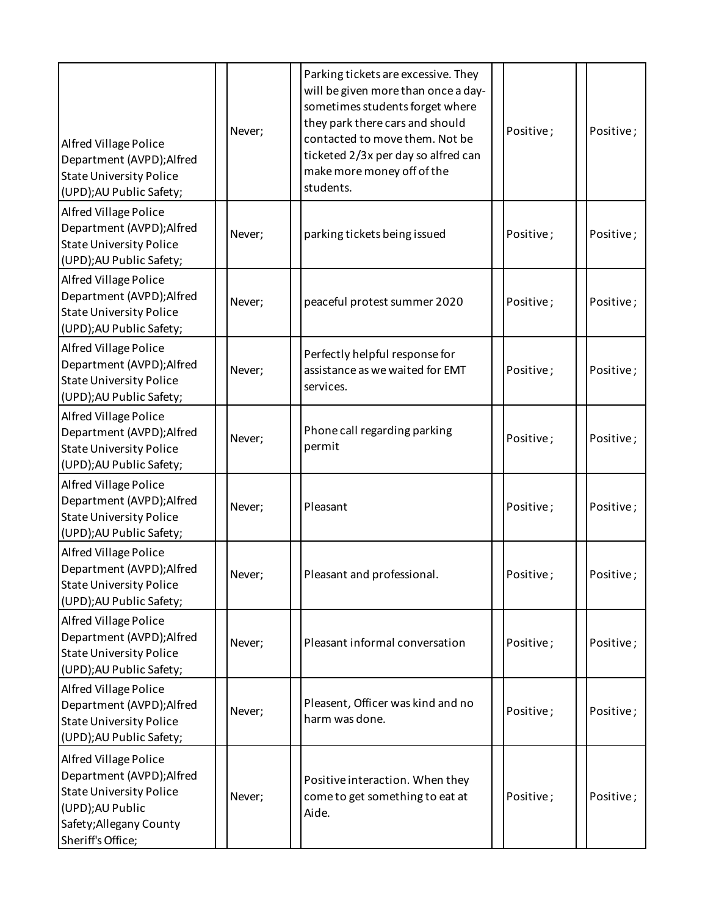| <b>Alfred Village Police</b><br>Department (AVPD); Alfred<br><b>State University Police</b><br>(UPD); AU Public Safety;                                 | Never; | Parking tickets are excessive. They<br>will be given more than once a day-<br>sometimes students forget where<br>they park there cars and should<br>contacted to move them. Not be<br>ticketed 2/3x per day so alfred can<br>make more money off of the<br>students. | Positive; | Positive; |
|---------------------------------------------------------------------------------------------------------------------------------------------------------|--------|----------------------------------------------------------------------------------------------------------------------------------------------------------------------------------------------------------------------------------------------------------------------|-----------|-----------|
| Alfred Village Police<br>Department (AVPD); Alfred<br><b>State University Police</b><br>(UPD); AU Public Safety;                                        | Never; | parking tickets being issued                                                                                                                                                                                                                                         | Positive; | Positive; |
| Alfred Village Police<br>Department (AVPD); Alfred<br><b>State University Police</b><br>(UPD); AU Public Safety;                                        | Never; | peaceful protest summer 2020                                                                                                                                                                                                                                         | Positive; | Positive; |
| Alfred Village Police<br>Department (AVPD); Alfred<br><b>State University Police</b><br>(UPD); AU Public Safety;                                        | Never; | Perfectly helpful response for<br>assistance as we waited for EMT<br>services.                                                                                                                                                                                       | Positive; | Positive; |
| Alfred Village Police<br>Department (AVPD); Alfred<br><b>State University Police</b><br>(UPD); AU Public Safety;                                        | Never; | Phone call regarding parking<br>permit                                                                                                                                                                                                                               | Positive; | Positive; |
| Alfred Village Police<br>Department (AVPD); Alfred<br><b>State University Police</b><br>(UPD); AU Public Safety;                                        | Never; | Pleasant                                                                                                                                                                                                                                                             | Positive; | Positive; |
| Alfred Village Police<br>Department (AVPD); Alfred<br><b>State University Police</b><br>(UPD); AU Public Safety;                                        | Never; | Pleasant and professional.                                                                                                                                                                                                                                           | Positive; | Positive; |
| Alfred Village Police<br>Department (AVPD); Alfred<br><b>State University Police</b><br>(UPD); AU Public Safety;                                        | Never; | Pleasant informal conversation                                                                                                                                                                                                                                       | Positive; | Positive; |
| Alfred Village Police<br>Department (AVPD); Alfred<br><b>State University Police</b><br>(UPD); AU Public Safety;                                        | Never; | Pleasent, Officer was kind and no<br>harm was done.                                                                                                                                                                                                                  | Positive; | Positive; |
| Alfred Village Police<br>Department (AVPD); Alfred<br><b>State University Police</b><br>(UPD);AU Public<br>Safety; Allegany County<br>Sheriff's Office; | Never; | Positive interaction. When they<br>come to get something to eat at<br>Aide.                                                                                                                                                                                          | Positive; | Positive; |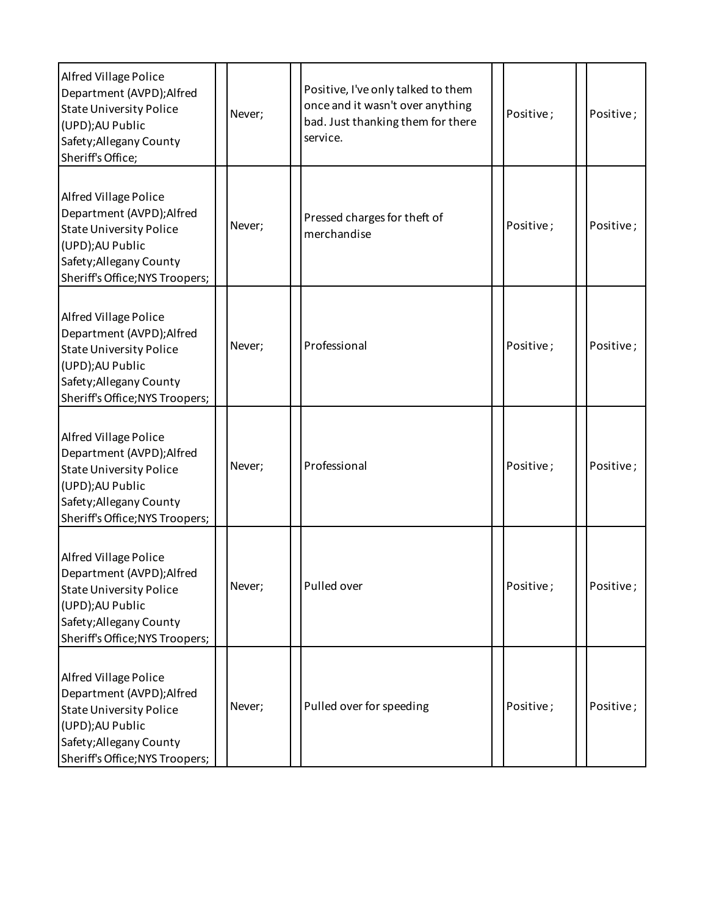| <b>Alfred Village Police</b><br>Department (AVPD); Alfred<br><b>State University Police</b><br>(UPD);AU Public<br>Safety; Allegany County<br>Sheriff's Office;               | Never; | Positive, I've only talked to them<br>once and it wasn't over anything<br>bad. Just thanking them for there<br>service. | Positive; | Positive; |
|------------------------------------------------------------------------------------------------------------------------------------------------------------------------------|--------|-------------------------------------------------------------------------------------------------------------------------|-----------|-----------|
| Alfred Village Police<br>Department (AVPD); Alfred<br><b>State University Police</b><br>(UPD);AU Public<br>Safety; Allegany County<br>Sheriff's Office; NYS Troopers;        | Never; | Pressed charges for theft of<br>merchandise                                                                             | Positive; | Positive; |
| Alfred Village Police<br>Department (AVPD); Alfred<br><b>State University Police</b><br>(UPD);AU Public<br>Safety; Allegany County<br>Sheriff's Office; NYS Troopers;        | Never; | Professional                                                                                                            | Positive; | Positive; |
| Alfred Village Police<br>Department (AVPD); Alfred<br><b>State University Police</b><br>(UPD);AU Public<br>Safety; Allegany County<br>Sheriff's Office; NYS Troopers;        | Never; | Professional                                                                                                            | Positive; | Positive; |
| <b>Alfred Village Police</b><br>Department (AVPD); Alfred<br><b>State University Police</b><br>(UPD);AU Public<br>Safety; Allegany County<br>Sheriff's Office; NYS Troopers; | Never; | Pulled over                                                                                                             | Positive; | Positive; |
| Alfred Village Police<br>Department (AVPD);Alfred<br><b>State University Police</b><br>(UPD);AU Public<br>Safety; Allegany County<br>Sheriff's Office; NYS Troopers;         | Never; | Pulled over for speeding                                                                                                | Positive; | Positive; |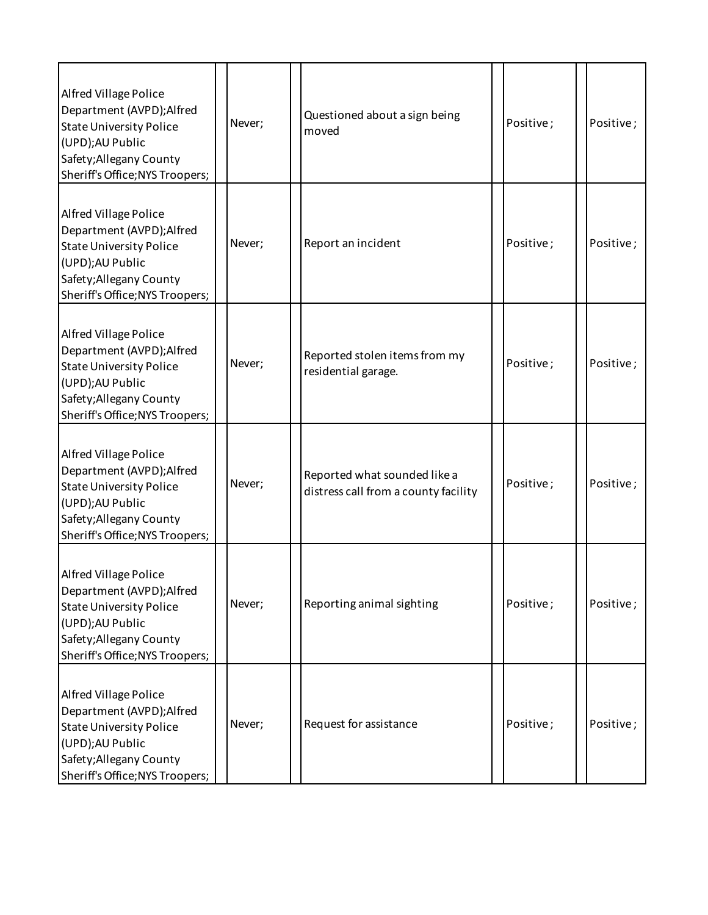| Alfred Village Police<br>Department (AVPD); Alfred<br><b>State University Police</b><br>(UPD);AU Public<br>Safety; Allegany County<br>Sheriff's Office; NYS Troopers; | Never; | Questioned about a sign being<br>moved                               | Positive; | Positive; |
|-----------------------------------------------------------------------------------------------------------------------------------------------------------------------|--------|----------------------------------------------------------------------|-----------|-----------|
| Alfred Village Police<br>Department (AVPD); Alfred<br><b>State University Police</b><br>(UPD);AU Public<br>Safety; Allegany County<br>Sheriff's Office; NYS Troopers; | Never; | Report an incident                                                   | Positive; | Positive; |
| Alfred Village Police<br>Department (AVPD); Alfred<br><b>State University Police</b><br>(UPD);AU Public<br>Safety; Allegany County<br>Sheriff's Office; NYS Troopers; | Never; | Reported stolen items from my<br>residential garage.                 | Positive; | Positive; |
| Alfred Village Police<br>Department (AVPD); Alfred<br><b>State University Police</b><br>(UPD);AU Public<br>Safety; Allegany County<br>Sheriff's Office; NYS Troopers; | Never; | Reported what sounded like a<br>distress call from a county facility | Positive; | Positive; |
| Alfred Village Police<br>Department (AVPD); Alfred<br><b>State University Police</b><br>(UPD);AU Public<br>Safety; Allegany County<br>Sheriff's Office; NYS Troopers; | Never; | Reporting animal sighting                                            | Positive; | Positive; |
| Alfred Village Police<br>Department (AVPD); Alfred<br><b>State University Police</b><br>(UPD);AU Public<br>Safety; Allegany County<br>Sheriff's Office; NYS Troopers; | Never; | Request for assistance                                               | Positive; | Positive; |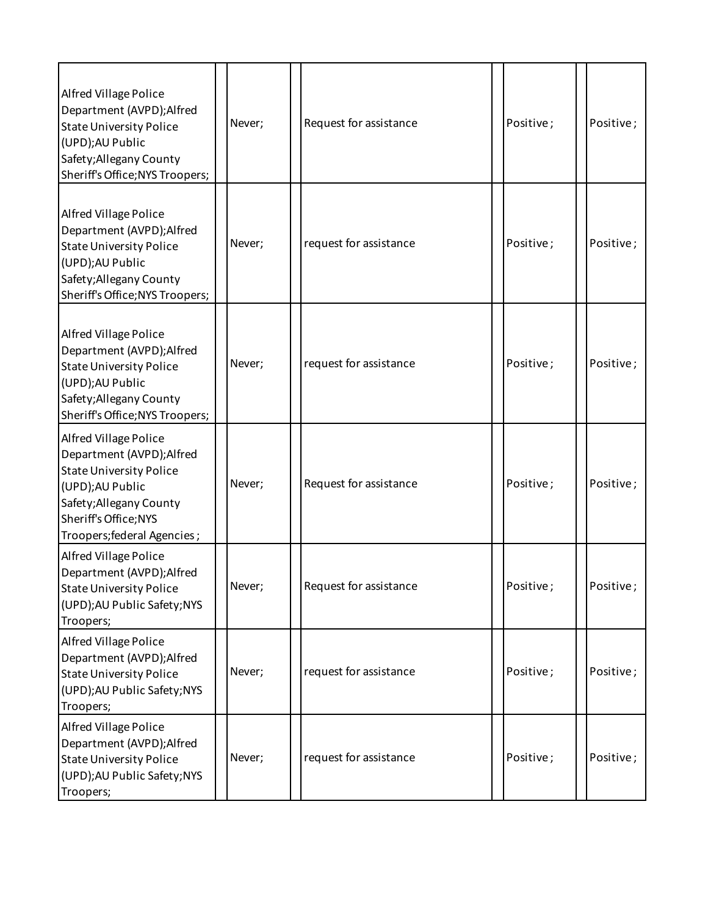| Alfred Village Police<br>Department (AVPD); Alfred<br><b>State University Police</b><br>(UPD);AU Public<br>Safety; Allegany County<br>Sheriff's Office; NYS Troopers;                      | Never; | Request for assistance | Positive; | Positive; |
|--------------------------------------------------------------------------------------------------------------------------------------------------------------------------------------------|--------|------------------------|-----------|-----------|
| Alfred Village Police<br>Department (AVPD); Alfred<br><b>State University Police</b><br>(UPD);AU Public<br>Safety; Allegany County<br>Sheriff's Office; NYS Troopers;                      | Never; | request for assistance | Positive; | Positive; |
| Alfred Village Police<br>Department (AVPD); Alfred<br><b>State University Police</b><br>(UPD);AU Public<br>Safety; Allegany County<br>Sheriff's Office; NYS Troopers;                      | Never; | request for assistance | Positive; | Positive; |
| Alfred Village Police<br>Department (AVPD); Alfred<br><b>State University Police</b><br>(UPD);AU Public<br>Safety; Allegany County<br>Sheriff's Office; NYS<br>Troopers; federal Agencies; | Never; | Request for assistance | Positive; | Positive; |
| <b>Alfred Village Police</b><br>Department (AVPD); Alfred<br><b>State University Police</b><br>(UPD); AU Public Safety; NYS<br>Troopers;                                                   | Never; | Request for assistance | Positive; | Positive; |
| Alfred Village Police<br>Department (AVPD); Alfred<br><b>State University Police</b><br>(UPD); AU Public Safety; NYS<br>Troopers;                                                          | Never; | request for assistance | Positive; | Positive; |
| Alfred Village Police<br>Department (AVPD); Alfred<br><b>State University Police</b><br>(UPD); AU Public Safety; NYS<br>Troopers;                                                          | Never; | request for assistance | Positive; | Positive; |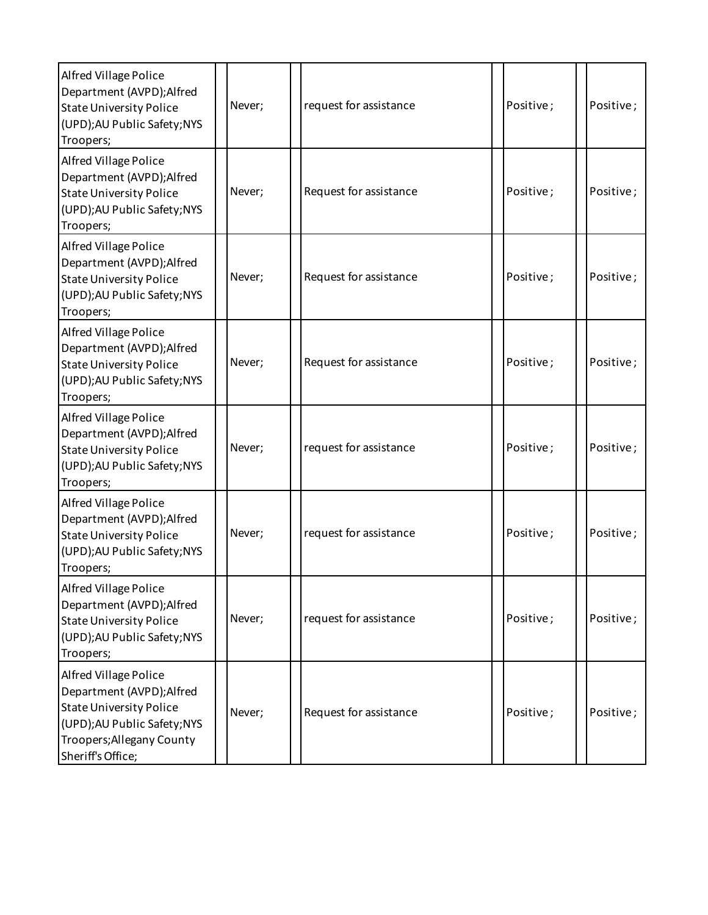| <b>Alfred Village Police</b><br>Department (AVPD); Alfred<br><b>State University Police</b><br>(UPD); AU Public Safety; NYS<br>Troopers;                               | Never; | request for assistance | Positive; | Positive; |
|------------------------------------------------------------------------------------------------------------------------------------------------------------------------|--------|------------------------|-----------|-----------|
| <b>Alfred Village Police</b><br>Department (AVPD); Alfred<br><b>State University Police</b><br>(UPD); AU Public Safety; NYS<br>Troopers;                               | Never; | Request for assistance | Positive; | Positive; |
| Alfred Village Police<br>Department (AVPD); Alfred<br><b>State University Police</b><br>(UPD); AU Public Safety; NYS<br>Troopers;                                      | Never; | Request for assistance | Positive; | Positive; |
| Alfred Village Police<br>Department (AVPD); Alfred<br><b>State University Police</b><br>(UPD); AU Public Safety; NYS<br>Troopers;                                      | Never; | Request for assistance | Positive; | Positive; |
| Alfred Village Police<br>Department (AVPD); Alfred<br><b>State University Police</b><br>(UPD); AU Public Safety; NYS<br>Troopers;                                      | Never; | request for assistance | Positive; | Positive; |
| Alfred Village Police<br>Department (AVPD); Alfred<br><b>State University Police</b><br>(UPD); AU Public Safety; NYS<br>Troopers;                                      | Never; | request for assistance | Positive; | Positive; |
| Alfred Village Police<br>Department (AVPD); Alfred<br><b>State University Police</b><br>(UPD); AU Public Safety; NYS<br>Troopers;                                      | Never; | request for assistance | Positive; | Positive; |
| Alfred Village Police<br>Department (AVPD); Alfred<br><b>State University Police</b><br>(UPD); AU Public Safety; NYS<br>Troopers; Allegany County<br>Sheriff's Office; | Never; | Request for assistance | Positive; | Positive; |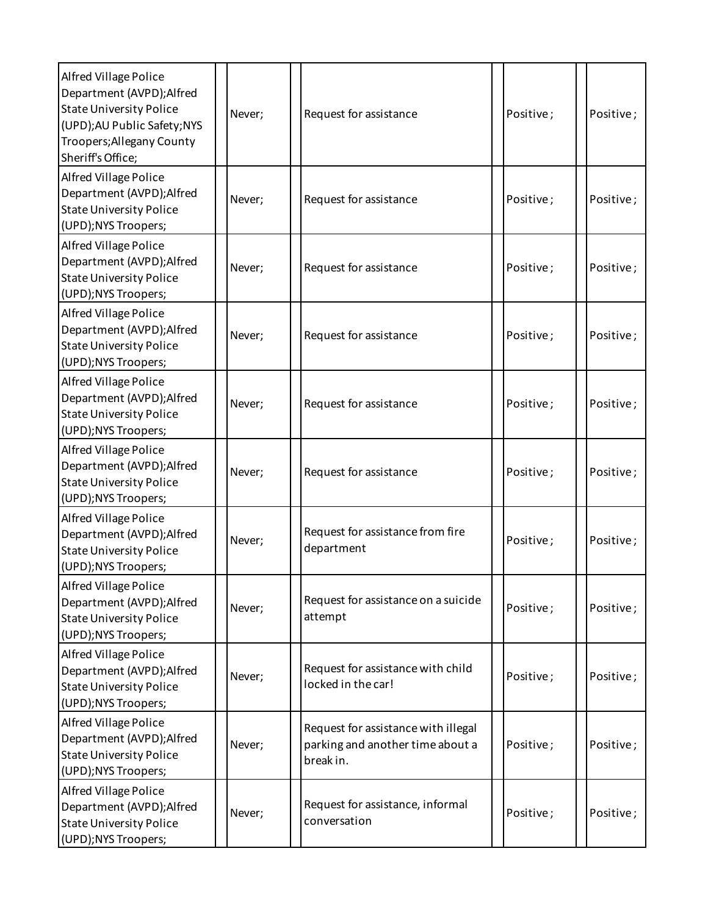| Alfred Village Police<br>Department (AVPD); Alfred<br><b>State University Police</b><br>(UPD); AU Public Safety; NYS<br>Troopers; Allegany County<br>Sheriff's Office; | Never; | Request for assistance                                                               | Positive; | Positive; |
|------------------------------------------------------------------------------------------------------------------------------------------------------------------------|--------|--------------------------------------------------------------------------------------|-----------|-----------|
| Alfred Village Police<br>Department (AVPD);Alfred<br><b>State University Police</b><br>(UPD);NYS Troopers;                                                             | Never; | Request for assistance                                                               | Positive; | Positive; |
| Alfred Village Police<br>Department (AVPD); Alfred<br><b>State University Police</b><br>(UPD);NYS Troopers;                                                            | Never; | Request for assistance                                                               | Positive; | Positive; |
| Alfred Village Police<br>Department (AVPD); Alfred<br><b>State University Police</b><br>(UPD);NYS Troopers;                                                            | Never; | Request for assistance                                                               | Positive; | Positive; |
| Alfred Village Police<br>Department (AVPD);Alfred<br><b>State University Police</b><br>(UPD);NYS Troopers;                                                             | Never; | Request for assistance                                                               | Positive; | Positive; |
| Alfred Village Police<br>Department (AVPD); Alfred<br><b>State University Police</b><br>(UPD); NYS Troopers;                                                           | Never; | Request for assistance                                                               | Positive; | Positive; |
| Alfred Village Police<br>Department (AVPD); Alfred<br><b>State University Police</b><br>(UPD);NYS Troopers;                                                            | Never; | Request for assistance from fire<br>department                                       | Positive; | Positive; |
| Alfred Village Police<br>Department (AVPD); Alfred<br><b>State University Police</b><br>(UPD);NYS Troopers;                                                            | Never; | Request for assistance on a suicide<br>attempt                                       | Positive; | Positive; |
| Alfred Village Police<br>Department (AVPD); Alfred<br><b>State University Police</b><br>(UPD);NYS Troopers;                                                            | Never; | Request for assistance with child<br>locked in the car!                              | Positive; | Positive; |
| Alfred Village Police<br>Department (AVPD); Alfred<br><b>State University Police</b><br>(UPD);NYS Troopers;                                                            | Never; | Request for assistance with illegal<br>parking and another time about a<br>break in. | Positive; | Positive; |
| Alfred Village Police<br>Department (AVPD); Alfred<br><b>State University Police</b><br>(UPD);NYS Troopers;                                                            | Never; | Request for assistance, informal<br>conversation                                     | Positive; | Positive; |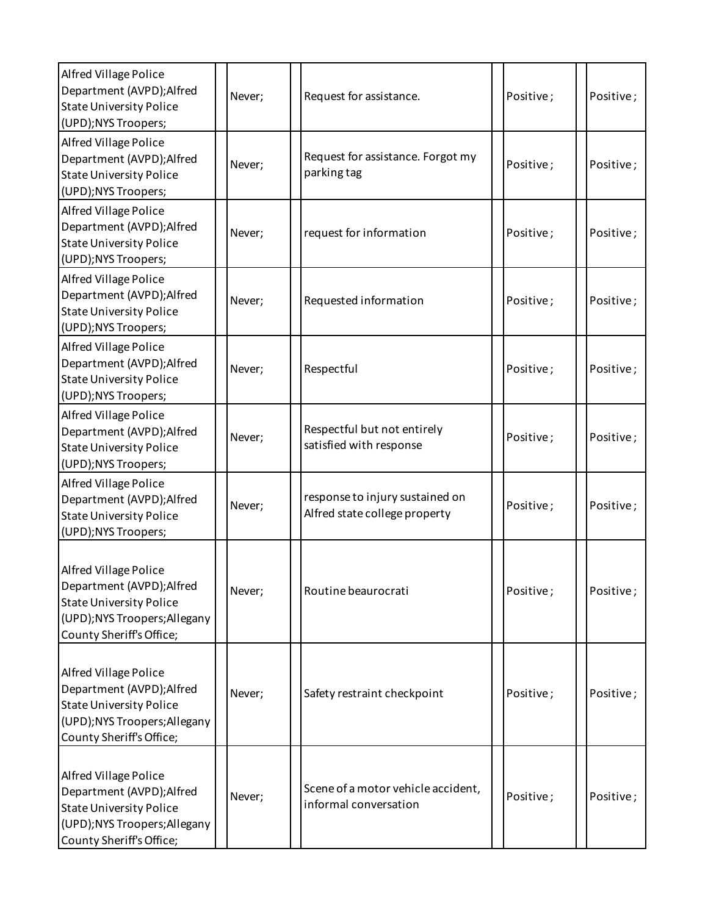| Alfred Village Police<br>Department (AVPD);Alfred<br><b>State University Police</b><br>(UPD); NYS Troopers;                                       | Never; | Request for assistance.                                          | Positive; | Positive; |
|---------------------------------------------------------------------------------------------------------------------------------------------------|--------|------------------------------------------------------------------|-----------|-----------|
| Alfred Village Police<br>Department (AVPD);Alfred<br><b>State University Police</b><br>(UPD);NYS Troopers;                                        | Never; | Request for assistance. Forgot my<br>parking tag                 | Positive; | Positive; |
| Alfred Village Police<br>Department (AVPD); Alfred<br><b>State University Police</b><br>(UPD);NYS Troopers;                                       | Never; | request for information                                          | Positive; | Positive; |
| <b>Alfred Village Police</b><br>Department (AVPD);Alfred<br><b>State University Police</b><br>(UPD); NYS Troopers;                                | Never; | Requested information                                            | Positive; | Positive; |
| <b>Alfred Village Police</b><br>Department (AVPD);Alfred<br><b>State University Police</b><br>(UPD);NYS Troopers;                                 | Never; | Respectful                                                       | Positive; | Positive; |
| <b>Alfred Village Police</b><br>Department (AVPD); Alfred<br><b>State University Police</b><br>(UPD);NYS Troopers;                                | Never; | Respectful but not entirely<br>satisfied with response           | Positive; | Positive; |
| <b>Alfred Village Police</b><br>Department (AVPD); Alfred<br><b>State University Police</b><br>(UPD);NYS Troopers;                                | Never; | response to injury sustained on<br>Alfred state college property | Positive; | Positive; |
| Alfred Village Police<br>Department (AVPD); Alfred<br><b>State University Police</b><br>(UPD); NYS Troopers; Allegany<br>County Sheriff's Office; | Never; | Routine beaurocrati                                              | Positive; | Positive; |
| Alfred Village Police<br>Department (AVPD); Alfred<br><b>State University Police</b><br>(UPD); NYS Troopers; Allegany<br>County Sheriff's Office; | Never; | Safety restraint checkpoint                                      | Positive; | Positive; |
| Alfred Village Police<br>Department (AVPD); Alfred<br><b>State University Police</b><br>(UPD); NYS Troopers; Allegany<br>County Sheriff's Office; | Never; | Scene of a motor vehicle accident,<br>informal conversation      | Positive; | Positive; |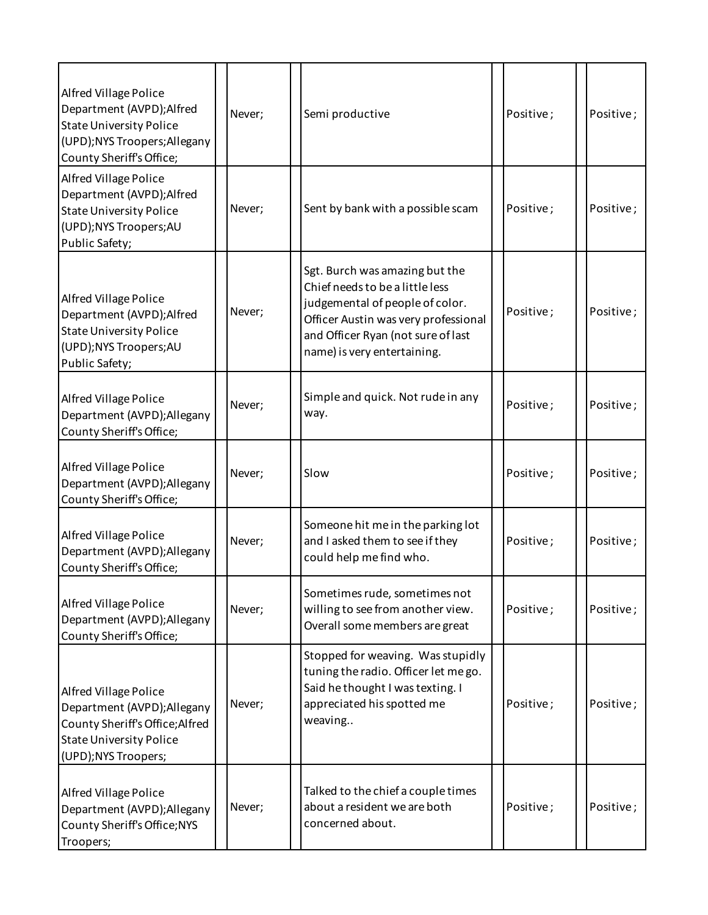| <b>Alfred Village Police</b><br>Department (AVPD); Alfred<br><b>State University Police</b><br>(UPD); NYS Troopers; Allegany<br>County Sheriff's Office; | Never; | Semi productive                                                                                                                                                                                                   | Positive; | Positive;  |
|----------------------------------------------------------------------------------------------------------------------------------------------------------|--------|-------------------------------------------------------------------------------------------------------------------------------------------------------------------------------------------------------------------|-----------|------------|
| Alfred Village Police<br>Department (AVPD); Alfred<br><b>State University Police</b><br>(UPD); NYS Troopers; AU<br>Public Safety;                        | Never; | Sent by bank with a possible scam                                                                                                                                                                                 | Positive; | Positive;  |
| <b>Alfred Village Police</b><br>Department (AVPD); Alfred<br><b>State University Police</b><br>(UPD); NYS Troopers; AU<br>Public Safety;                 | Never; | Sgt. Burch was amazing but the<br>Chief needs to be a little less<br>judgemental of people of color.<br>Officer Austin was very professional<br>and Officer Ryan (not sure of last<br>name) is very entertaining. | Positive; | Positive;  |
| Alfred Village Police<br>Department (AVPD); Allegany<br>County Sheriff's Office;                                                                         | Never; | Simple and quick. Not rude in any<br>way.                                                                                                                                                                         | Positive; | Positive;  |
| Alfred Village Police<br>Department (AVPD); Allegany<br>County Sheriff's Office;                                                                         | Never; | Slow                                                                                                                                                                                                              | Positive; | Positive;  |
| <b>Alfred Village Police</b><br>Department (AVPD); Allegany<br>County Sheriff's Office;                                                                  | Never; | Someone hit me in the parking lot<br>and I asked them to see if they<br>could help me find who.                                                                                                                   | Positive; | Positive ; |
| <b>Alfred Village Police</b><br>Department (AVPD); Allegany<br>County Sheriff's Office;                                                                  | Never; | Sometimes rude, sometimes not<br>willing to see from another view.<br>Overall some members are great                                                                                                              | Positive; | Positive;  |
| Alfred Village Police<br>Department (AVPD); Allegany<br>County Sheriff's Office; Alfred<br><b>State University Police</b><br>(UPD);NYS Troopers;         | Never; | Stopped for weaving. Was stupidly<br>tuning the radio. Officer let me go.<br>Said he thought I was texting. I<br>appreciated his spotted me<br>weaving                                                            | Positive; | Positive;  |
| Alfred Village Police<br>Department (AVPD); Allegany<br>County Sheriff's Office; NYS<br>Troopers;                                                        | Never; | Talked to the chief a couple times<br>about a resident we are both<br>concerned about.                                                                                                                            | Positive; | Positive;  |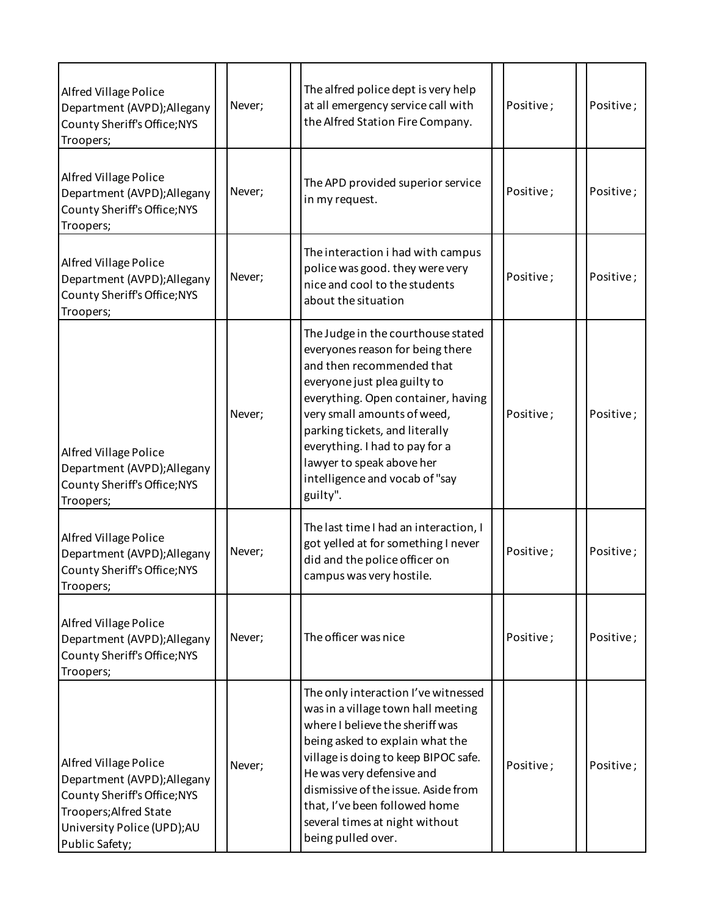| Alfred Village Police<br>Department (AVPD); Allegany<br>County Sheriff's Office; NYS<br>Troopers;                                                              | Never; | The alfred police dept is very help<br>at all emergency service call with<br>the Alfred Station Fire Company.                                                                                                                                                                                                                                           | Positive; | Positive; |
|----------------------------------------------------------------------------------------------------------------------------------------------------------------|--------|---------------------------------------------------------------------------------------------------------------------------------------------------------------------------------------------------------------------------------------------------------------------------------------------------------------------------------------------------------|-----------|-----------|
| Alfred Village Police<br>Department (AVPD); Allegany<br>County Sheriff's Office; NYS<br>Troopers;                                                              | Never; | The APD provided superior service<br>in my request.                                                                                                                                                                                                                                                                                                     | Positive; | Positive; |
| Alfred Village Police<br>Department (AVPD); Allegany<br>County Sheriff's Office; NYS<br>Troopers;                                                              | Never; | The interaction i had with campus<br>police was good. they were very<br>nice and cool to the students<br>about the situation                                                                                                                                                                                                                            | Positive; | Positive; |
| Alfred Village Police<br>Department (AVPD); Allegany<br>County Sheriff's Office; NYS<br>Troopers;                                                              | Never; | The Judge in the courthouse stated<br>everyones reason for being there<br>and then recommended that<br>everyone just plea guilty to<br>everything. Open container, having<br>very small amounts of weed,<br>parking tickets, and literally<br>everything. I had to pay for a<br>lawyer to speak above her<br>intelligence and vocab of "say<br>guilty". | Positive; | Positive; |
| <b>Alfred Village Police</b><br>Department (AVPD); Allegany<br>County Sheriff's Office; NYS<br>Troopers;                                                       | Never; | The last time I had an interaction, I<br>got yelled at for something I never<br>did and the police officer on<br>campus was very hostile.                                                                                                                                                                                                               | Positive; | Positive; |
| Alfred Village Police<br>Department (AVPD); Allegany<br>County Sheriff's Office; NYS<br>Troopers;                                                              | Never; | The officer was nice                                                                                                                                                                                                                                                                                                                                    | Positive; | Positive; |
| Alfred Village Police<br>Department (AVPD); Allegany<br>County Sheriff's Office; NYS<br>Troopers; Alfred State<br>University Police (UPD);AU<br>Public Safety; | Never; | The only interaction I've witnessed<br>was in a village town hall meeting<br>where I believe the sheriff was<br>being asked to explain what the<br>village is doing to keep BIPOC safe.<br>He was very defensive and<br>dismissive of the issue. Aside from<br>that, I've been followed home<br>several times at night without<br>being pulled over.    | Positive; | Positive; |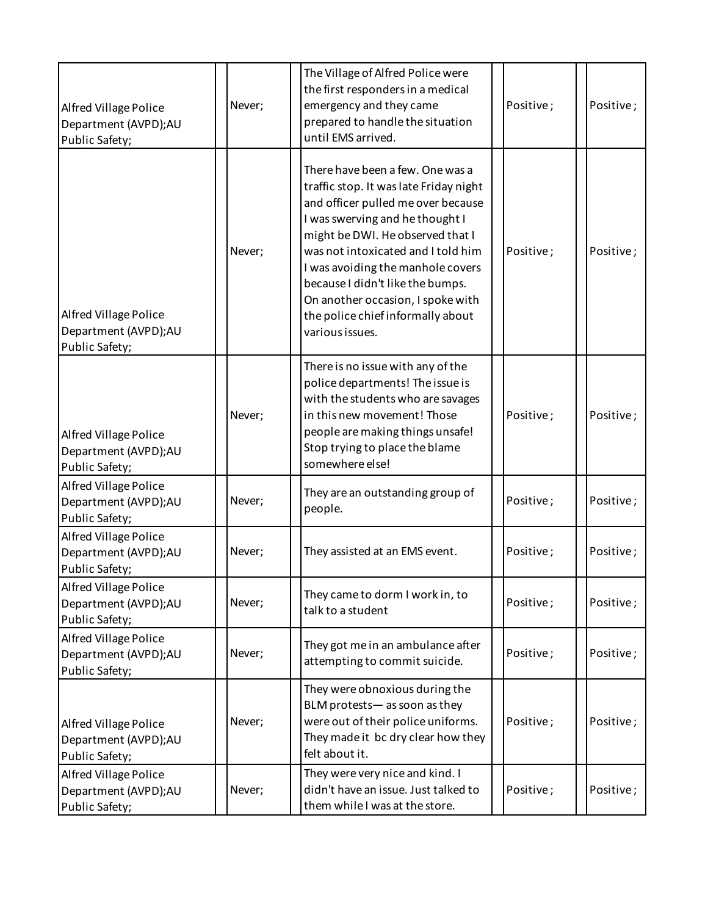| Alfred Village Police<br>Department (AVPD);AU<br>Public Safety;        | Never; | The Village of Alfred Police were<br>the first responders in a medical<br>emergency and they came<br>prepared to handle the situation<br>until EMS arrived.                                                                                                                                                                                                                                         | Positive; | Positive; |
|------------------------------------------------------------------------|--------|-----------------------------------------------------------------------------------------------------------------------------------------------------------------------------------------------------------------------------------------------------------------------------------------------------------------------------------------------------------------------------------------------------|-----------|-----------|
| Alfred Village Police<br>Department (AVPD);AU<br>Public Safety;        | Never; | There have been a few. One was a<br>traffic stop. It was late Friday night<br>and officer pulled me over because<br>I was swerving and he thought I<br>might be DWI. He observed that I<br>was not intoxicated and I told him<br>I was avoiding the manhole covers<br>because I didn't like the bumps.<br>On another occasion, I spoke with<br>the police chief informally about<br>various issues. | Positive; | Positive; |
| Alfred Village Police<br>Department (AVPD);AU<br>Public Safety;        | Never; | There is no issue with any of the<br>police departments! The issue is<br>with the students who are savages<br>in this new movement! Those<br>people are making things unsafe!<br>Stop trying to place the blame<br>somewhere else!                                                                                                                                                                  | Positive; | Positive; |
| Alfred Village Police<br>Department (AVPD);AU<br>Public Safety;        | Never; | They are an outstanding group of<br>people.                                                                                                                                                                                                                                                                                                                                                         | Positive; | Positive; |
| Alfred Village Police<br>Department (AVPD);AU<br>Public Safety;        | Never; | They assisted at an EMS event.                                                                                                                                                                                                                                                                                                                                                                      | Positive; | Positive; |
| Alfred Village Police<br>Department (AVPD);AU<br>Public Safety;        | Never; | They came to dorm I work in, to<br>talk to a student                                                                                                                                                                                                                                                                                                                                                | Positive; | Positive; |
| Alfred Village Police<br>Department (AVPD);AU<br>Public Safety;        | Never; | They got me in an ambulance after<br>attempting to commit suicide.                                                                                                                                                                                                                                                                                                                                  | Positive; | Positive; |
| <b>Alfred Village Police</b><br>Department (AVPD);AU<br>Public Safety; | Never; | They were obnoxious during the<br>BLM protests-as soon as they<br>were out of their police uniforms.<br>They made it bc dry clear how they<br>felt about it.                                                                                                                                                                                                                                        | Positive; | Positive; |
| Alfred Village Police<br>Department (AVPD);AU<br>Public Safety;        | Never; | They were very nice and kind. I<br>didn't have an issue. Just talked to<br>them while I was at the store.                                                                                                                                                                                                                                                                                           | Positive; | Positive; |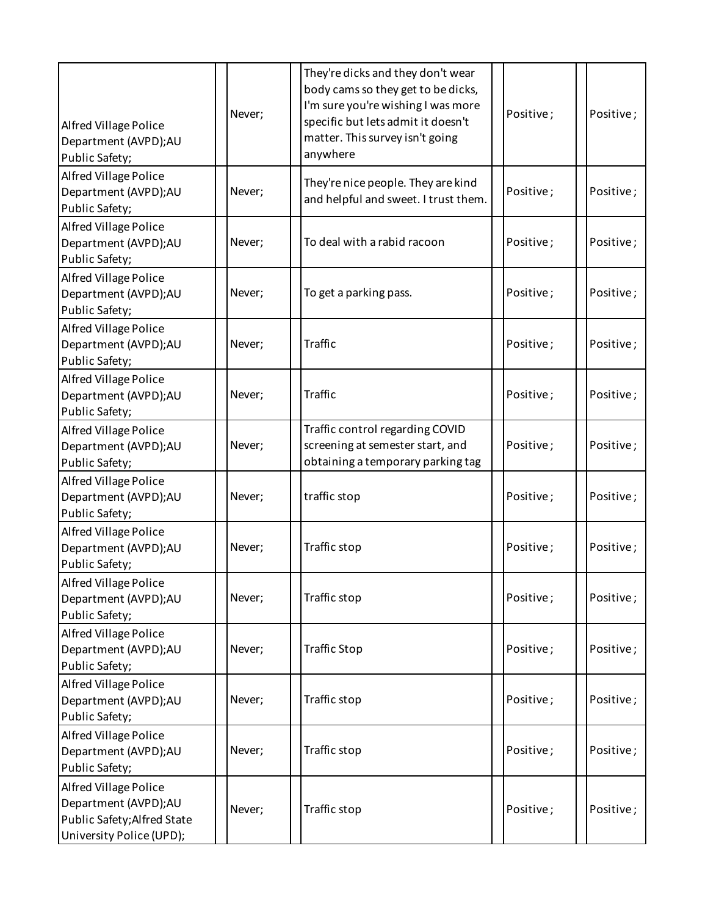| Alfred Village Police<br>Department (AVPD);AU<br>Public Safety;                                          | Never; | They're dicks and they don't wear<br>body cams so they get to be dicks,<br>I'm sure you're wishing I was more<br>specific but lets admit it doesn't<br>matter. This survey isn't going<br>anywhere | Positive; | Positive; |
|----------------------------------------------------------------------------------------------------------|--------|----------------------------------------------------------------------------------------------------------------------------------------------------------------------------------------------------|-----------|-----------|
| <b>Alfred Village Police</b><br>Department (AVPD);AU<br>Public Safety;                                   | Never; | They're nice people. They are kind<br>and helpful and sweet. I trust them.                                                                                                                         | Positive; | Positive; |
| Alfred Village Police<br>Department (AVPD);AU<br>Public Safety;                                          | Never; | To deal with a rabid racoon                                                                                                                                                                        | Positive; | Positive; |
| Alfred Village Police<br>Department (AVPD);AU<br>Public Safety;                                          | Never; | To get a parking pass.                                                                                                                                                                             | Positive; | Positive; |
| Alfred Village Police<br>Department (AVPD);AU<br>Public Safety;                                          | Never; | <b>Traffic</b>                                                                                                                                                                                     | Positive; | Positive; |
| Alfred Village Police<br>Department (AVPD);AU<br>Public Safety;                                          | Never; | Traffic                                                                                                                                                                                            | Positive; | Positive; |
| Alfred Village Police<br>Department (AVPD);AU<br>Public Safety;                                          | Never; | Traffic control regarding COVID<br>screening at semester start, and<br>obtaining a temporary parking tag                                                                                           | Positive; | Positive; |
| Alfred Village Police<br>Department (AVPD);AU<br>Public Safety;                                          | Never; | traffic stop                                                                                                                                                                                       | Positive; | Positive; |
| Alfred Village Police<br>Department (AVPD);AU<br>Public Safety;                                          | Never; | Traffic stop                                                                                                                                                                                       | Positive; | Positive; |
| Alfred Village Police<br>Department (AVPD);AU<br>Public Safety;                                          | Never; | Traffic stop                                                                                                                                                                                       | Positive; | Positive; |
| <b>Alfred Village Police</b><br>Department (AVPD);AU<br>Public Safety;                                   | Never; | <b>Traffic Stop</b>                                                                                                                                                                                | Positive; | Positive; |
| Alfred Village Police<br>Department (AVPD);AU<br>Public Safety;                                          | Never; | Traffic stop                                                                                                                                                                                       | Positive; | Positive; |
| Alfred Village Police<br>Department (AVPD);AU<br>Public Safety;                                          | Never; | Traffic stop                                                                                                                                                                                       | Positive; | Positive; |
| Alfred Village Police<br>Department (AVPD);AU<br>Public Safety; Alfred State<br>University Police (UPD); | Never; | Traffic stop                                                                                                                                                                                       | Positive; | Positive; |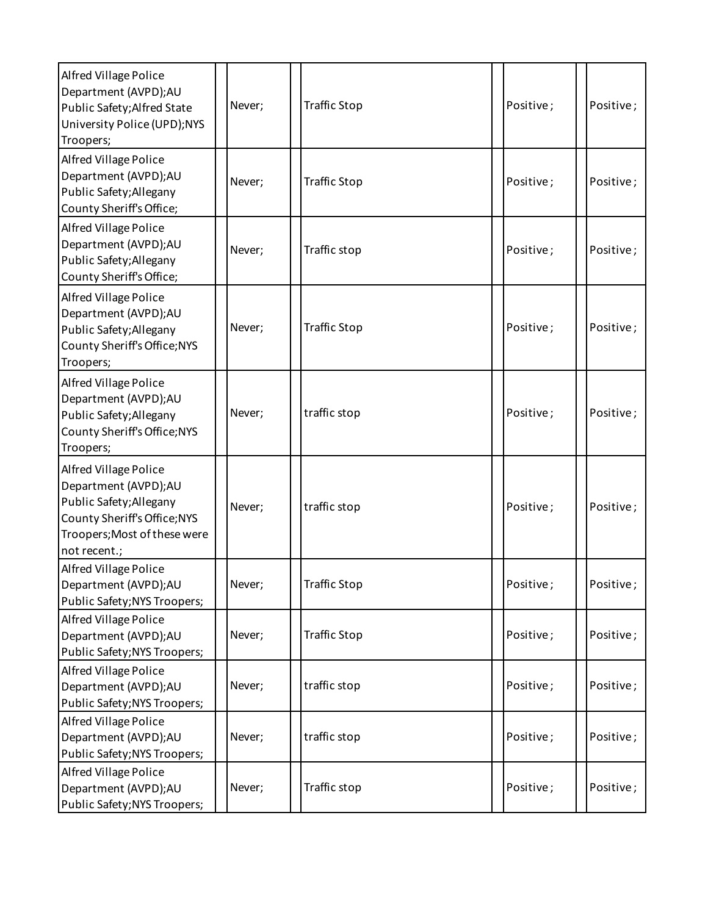| <b>Alfred Village Police</b><br>Department (AVPD);AU<br>Public Safety; Alfred State<br>University Police (UPD);NYS<br>Troopers;                          | Never; | <b>Traffic Stop</b> | Positive; | Positive; |
|----------------------------------------------------------------------------------------------------------------------------------------------------------|--------|---------------------|-----------|-----------|
| <b>Alfred Village Police</b><br>Department (AVPD);AU<br>Public Safety; Allegany<br>County Sheriff's Office;                                              | Never; | <b>Traffic Stop</b> | Positive; | Positive; |
| Alfred Village Police<br>Department (AVPD);AU<br>Public Safety; Allegany<br>County Sheriff's Office;                                                     | Never; | Traffic stop        | Positive; | Positive; |
| <b>Alfred Village Police</b><br>Department (AVPD);AU<br>Public Safety; Allegany<br>County Sheriff's Office; NYS<br>Troopers;                             | Never; | <b>Traffic Stop</b> | Positive; | Positive; |
| Alfred Village Police<br>Department (AVPD);AU<br>Public Safety; Allegany<br>County Sheriff's Office; NYS<br>Troopers;                                    | Never; | traffic stop        | Positive; | Positive; |
| Alfred Village Police<br>Department (AVPD);AU<br>Public Safety; Allegany<br>County Sheriff's Office; NYS<br>Troopers; Most of these were<br>not recent.; | Never; | traffic stop        | Positive; | Positive; |
| Alfred Village Police<br>Department (AVPD);AU<br>Public Safety; NYS Troopers;                                                                            | Never; | Traffic Stop        | Positive; | Positive; |
| <b>Alfred Village Police</b><br>Department (AVPD);AU<br>Public Safety; NYS Troopers;                                                                     | Never; | <b>Traffic Stop</b> | Positive; | Positive; |
| Alfred Village Police<br>Department (AVPD);AU<br>Public Safety; NYS Troopers;                                                                            | Never; | traffic stop        | Positive; | Positive; |
| Alfred Village Police<br>Department (AVPD);AU<br>Public Safety; NYS Troopers;                                                                            | Never; | traffic stop        | Positive; | Positive; |
| Alfred Village Police<br>Department (AVPD);AU<br>Public Safety; NYS Troopers;                                                                            | Never; | Traffic stop        | Positive; | Positive; |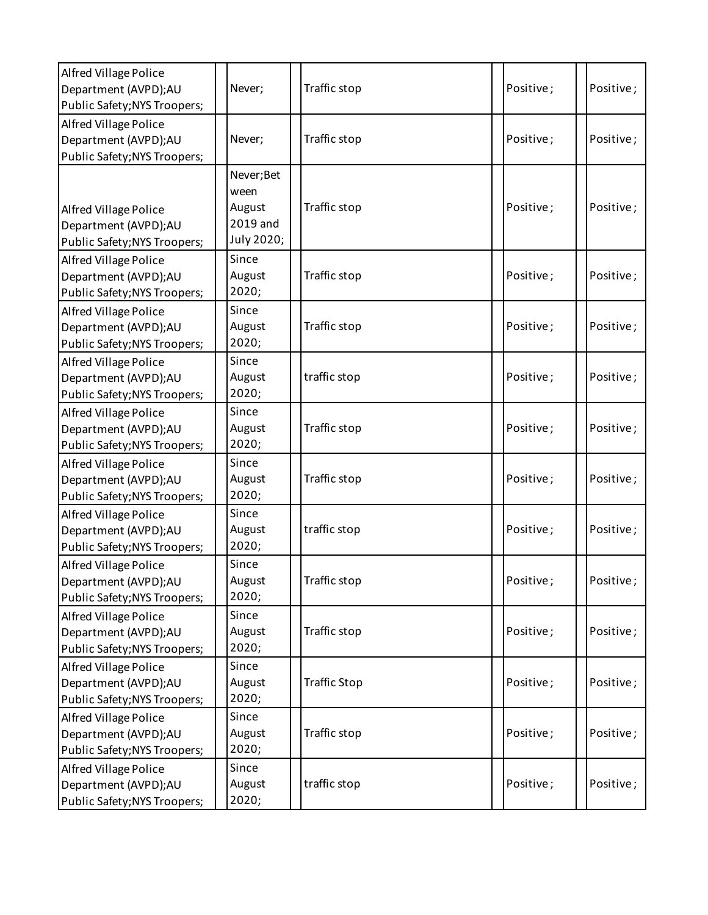| Alfred Village Police<br>Department (AVPD);AU<br>Public Safety; NYS Troopers;        | Never;                                                 | Traffic stop        | Positive; | Positive; |
|--------------------------------------------------------------------------------------|--------------------------------------------------------|---------------------|-----------|-----------|
| Alfred Village Police<br>Department (AVPD);AU<br>Public Safety; NYS Troopers;        | Never;                                                 | Traffic stop        | Positive; | Positive; |
| Alfred Village Police<br>Department (AVPD);AU<br>Public Safety; NYS Troopers;        | Never; Bet<br>ween<br>August<br>2019 and<br>July 2020; | Traffic stop        | Positive; | Positive; |
| Alfred Village Police<br>Department (AVPD);AU<br>Public Safety; NYS Troopers;        | Since<br>August<br>2020;                               | Traffic stop        | Positive; | Positive; |
| <b>Alfred Village Police</b><br>Department (AVPD);AU<br>Public Safety; NYS Troopers; | Since<br>August<br>2020;                               | Traffic stop        | Positive; | Positive; |
| Alfred Village Police<br>Department (AVPD);AU<br>Public Safety; NYS Troopers;        | Since<br>August<br>2020;                               | traffic stop        | Positive; | Positive; |
| Alfred Village Police<br>Department (AVPD);AU<br>Public Safety; NYS Troopers;        | Since<br>August<br>2020;                               | Traffic stop        | Positive; | Positive; |
| <b>Alfred Village Police</b><br>Department (AVPD);AU<br>Public Safety; NYS Troopers; | Since<br>August<br>2020;                               | Traffic stop        | Positive; | Positive; |
| Alfred Village Police<br>Department (AVPD);AU<br>Public Safety; NYS Troopers;        | Since<br>August<br>2020;                               | traffic stop        | Positive; | Positive; |
| Alfred Village Police<br>Department (AVPD);AU<br>Public Safety; NYS Troopers;        | Since<br>August<br>2020;                               | Traffic stop        | Positive; | Positive; |
| Alfred Village Police<br>Department (AVPD);AU<br>Public Safety; NYS Troopers;        | Since<br>August<br>2020;                               | Traffic stop        | Positive; | Positive; |
| Alfred Village Police<br>Department (AVPD);AU<br>Public Safety; NYS Troopers;        | Since<br>August<br>2020;                               | <b>Traffic Stop</b> | Positive; | Positive; |
| Alfred Village Police<br>Department (AVPD);AU<br>Public Safety; NYS Troopers;        | Since<br>August<br>2020;                               | Traffic stop        | Positive; | Positive; |
| Alfred Village Police<br>Department (AVPD);AU<br>Public Safety; NYS Troopers;        | Since<br>August<br>2020;                               | traffic stop        | Positive; | Positive; |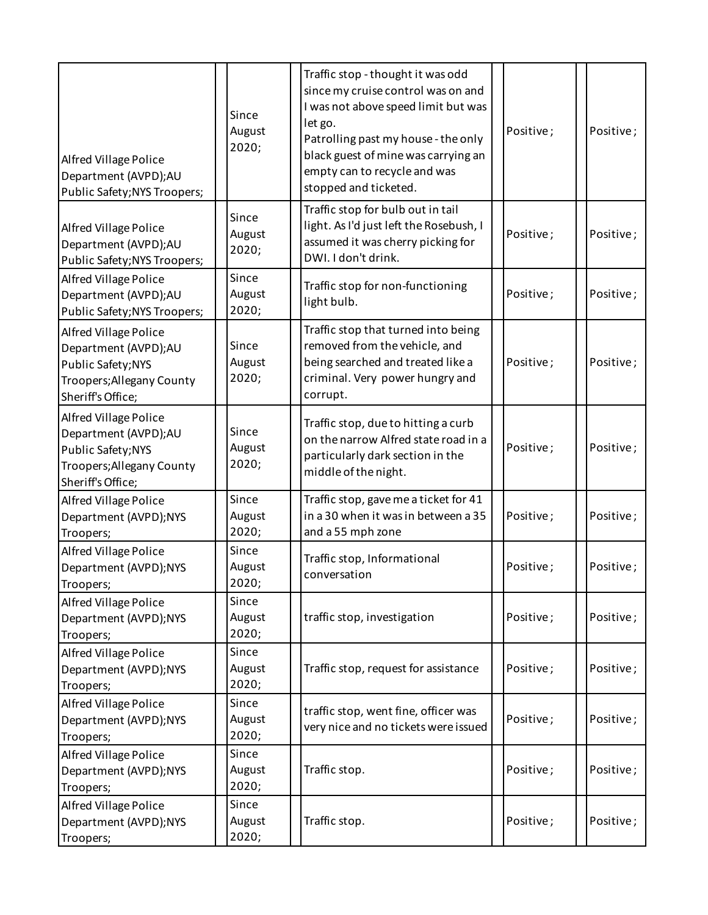| <b>Alfred Village Police</b><br>Department (AVPD);AU<br>Public Safety; NYS Troopers;                                  | Since<br>August<br>2020; | Traffic stop - thought it was odd<br>since my cruise control was on and<br>I was not above speed limit but was<br>let go.<br>Positive;<br>Patrolling past my house - the only<br>black guest of mine was carrying an<br>empty can to recycle and was<br>stopped and ticketed. | Positive; |
|-----------------------------------------------------------------------------------------------------------------------|--------------------------|-------------------------------------------------------------------------------------------------------------------------------------------------------------------------------------------------------------------------------------------------------------------------------|-----------|
| <b>Alfred Village Police</b><br>Department (AVPD);AU<br>Public Safety; NYS Troopers;                                  | Since<br>August<br>2020; | Traffic stop for bulb out in tail<br>light. As I'd just left the Rosebush, I<br>Positive;<br>assumed it was cherry picking for<br>DWI. I don't drink.                                                                                                                         | Positive; |
| Alfred Village Police<br>Department (AVPD);AU<br>Public Safety; NYS Troopers;                                         | Since<br>August<br>2020; | Traffic stop for non-functioning<br>Positive;<br>light bulb.                                                                                                                                                                                                                  | Positive; |
| Alfred Village Police<br>Department (AVPD);AU<br>Public Safety; NYS<br>Troopers; Allegany County<br>Sheriff's Office; | Since<br>August<br>2020; | Traffic stop that turned into being<br>removed from the vehicle, and<br>being searched and treated like a<br>Positive;<br>criminal. Very power hungry and<br>corrupt.                                                                                                         | Positive; |
| Alfred Village Police<br>Department (AVPD);AU<br>Public Safety; NYS<br>Troopers; Allegany County<br>Sheriff's Office; | Since<br>August<br>2020; | Traffic stop, due to hitting a curb<br>on the narrow Alfred state road in a<br>Positive;<br>particularly dark section in the<br>middle of the night.                                                                                                                          | Positive; |
| Alfred Village Police<br>Department (AVPD);NYS<br>Troopers;                                                           | Since<br>August<br>2020; | Traffic stop, gave me a ticket for 41<br>in a 30 when it was in between a 35<br>Positive;<br>and a 55 mph zone                                                                                                                                                                | Positive; |
| Alfred Village Police<br>Department (AVPD);NYS<br>Troopers;                                                           | Since<br>August<br>2020; | Traffic stop, Informational<br>Positive;<br>conversation                                                                                                                                                                                                                      | Positive; |
| <b>Alfred Village Police</b><br>Department (AVPD);NYS<br>Troopers;                                                    | Since<br>August<br>2020; | traffic stop, investigation<br>Positive;                                                                                                                                                                                                                                      | Positive; |
| Alfred Village Police<br>Department (AVPD);NYS<br>Troopers;                                                           | Since<br>August<br>2020; | Traffic stop, request for assistance<br>Positive;                                                                                                                                                                                                                             | Positive; |
| Alfred Village Police<br>Department (AVPD);NYS<br>Troopers;                                                           | Since<br>August<br>2020; | traffic stop, went fine, officer was<br>Positive;<br>very nice and no tickets were issued                                                                                                                                                                                     | Positive; |
| Alfred Village Police<br>Department (AVPD);NYS<br>Troopers;                                                           | Since<br>August<br>2020; | Traffic stop.<br>Positive;                                                                                                                                                                                                                                                    | Positive; |
| Alfred Village Police<br>Department (AVPD);NYS<br>Troopers;                                                           | Since<br>August<br>2020; | Traffic stop.<br>Positive;                                                                                                                                                                                                                                                    | Positive; |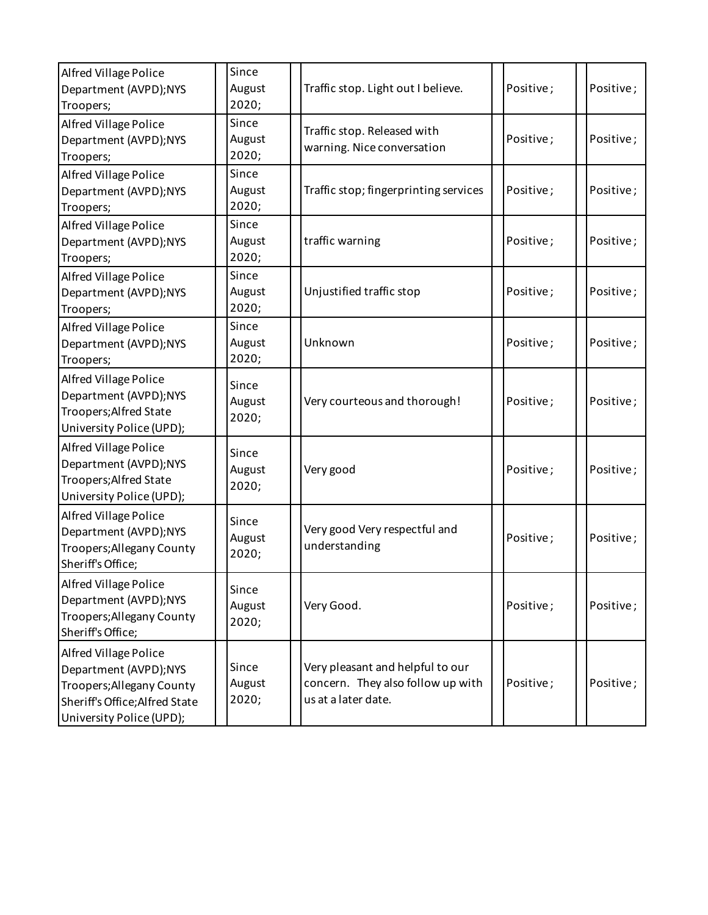| Alfred Village Police<br>Department (AVPD);NYS<br>Troopers;                                                                               | Since<br>August<br>2020; | Traffic stop. Light out I believe.                                                           | Positive; | Positive; |
|-------------------------------------------------------------------------------------------------------------------------------------------|--------------------------|----------------------------------------------------------------------------------------------|-----------|-----------|
| Alfred Village Police<br>Department (AVPD);NYS<br>Troopers;                                                                               | Since<br>August<br>2020; | Traffic stop. Released with<br>warning. Nice conversation                                    | Positive; | Positive; |
| <b>Alfred Village Police</b><br>Department (AVPD);NYS<br>Troopers;                                                                        | Since<br>August<br>2020; | Traffic stop; fingerprinting services                                                        | Positive; | Positive; |
| Alfred Village Police<br>Department (AVPD);NYS<br>Troopers;                                                                               | Since<br>August<br>2020; | traffic warning                                                                              | Positive; | Positive; |
| Alfred Village Police<br>Department (AVPD);NYS<br>Troopers;                                                                               | Since<br>August<br>2020; | Unjustified traffic stop                                                                     | Positive; | Positive; |
| <b>Alfred Village Police</b><br>Department (AVPD);NYS<br>Troopers;                                                                        | Since<br>August<br>2020; | Unknown                                                                                      | Positive; | Positive; |
| <b>Alfred Village Police</b><br>Department (AVPD);NYS<br>Troopers; Alfred State<br>University Police (UPD);                               | Since<br>August<br>2020; | Very courteous and thorough!                                                                 | Positive; | Positive; |
| Alfred Village Police<br>Department (AVPD);NYS<br>Troopers; Alfred State<br>University Police (UPD);                                      | Since<br>August<br>2020; | Very good                                                                                    | Positive; | Positive; |
| Alfred Village Police<br>Department (AVPD);NYS<br>Troopers; Allegany County<br>Sheriff's Office;                                          | Since<br>August<br>2020; | Very good Very respectful and<br>understanding                                               | Positive; | Positive; |
| Alfred Village Police<br>Department (AVPD);NYS<br>Troopers; Allegany County<br>Sheriff's Office;                                          | Since<br>August<br>2020; | Very Good.                                                                                   | Positive; | Positive; |
| Alfred Village Police<br>Department (AVPD);NYS<br>Troopers; Allegany County<br>Sheriff's Office; Alfred State<br>University Police (UPD); | Since<br>August<br>2020; | Very pleasant and helpful to our<br>concern. They also follow up with<br>us at a later date. | Positive; | Positive; |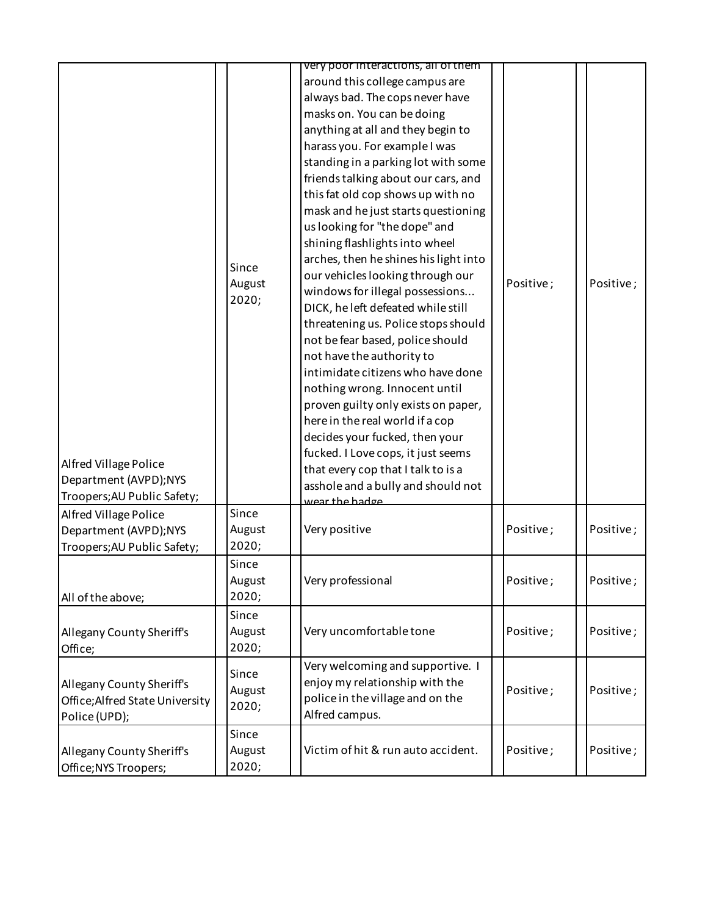|                                                                                                              |                          | very poor interactions, all of them                                                                                                                                                                                                                                                                                                                                                                                                                                                                                                                                                                                                                                                                                                                                                                                                                                                                                            |           |           |
|--------------------------------------------------------------------------------------------------------------|--------------------------|--------------------------------------------------------------------------------------------------------------------------------------------------------------------------------------------------------------------------------------------------------------------------------------------------------------------------------------------------------------------------------------------------------------------------------------------------------------------------------------------------------------------------------------------------------------------------------------------------------------------------------------------------------------------------------------------------------------------------------------------------------------------------------------------------------------------------------------------------------------------------------------------------------------------------------|-----------|-----------|
| Alfred Village Police<br>Department (AVPD);NYS                                                               | Since<br>August<br>2020; | around this college campus are<br>always bad. The cops never have<br>masks on. You can be doing<br>anything at all and they begin to<br>harass you. For example I was<br>standing in a parking lot with some<br>friends talking about our cars, and<br>this fat old cop shows up with no<br>mask and he just starts questioning<br>us looking for "the dope" and<br>shining flashlights into wheel<br>arches, then he shines his light into<br>our vehicles looking through our<br>windows for illegal possessions<br>DICK, he left defeated while still<br>threatening us. Police stops should<br>not be fear based, police should<br>not have the authority to<br>intimidate citizens who have done<br>nothing wrong. Innocent until<br>proven guilty only exists on paper,<br>here in the real world if a cop<br>decides your fucked, then your<br>fucked. I Love cops, it just seems<br>that every cop that I talk to is a | Positive; | Positive; |
| Troopers; AU Public Safety;<br>Alfred Village Police<br>Department (AVPD);NYS<br>Troopers; AU Public Safety; | Since<br>August<br>2020; | asshole and a bully and should not<br>wear the hadge<br>Very positive                                                                                                                                                                                                                                                                                                                                                                                                                                                                                                                                                                                                                                                                                                                                                                                                                                                          | Positive; | Positive; |
| All of the above;                                                                                            | Since<br>August<br>2020; | Very professional                                                                                                                                                                                                                                                                                                                                                                                                                                                                                                                                                                                                                                                                                                                                                                                                                                                                                                              | Positive; | Positive; |
| Allegany County Sheriff's<br>Office;                                                                         | Since<br>August<br>2020; | Very uncomfortable tone                                                                                                                                                                                                                                                                                                                                                                                                                                                                                                                                                                                                                                                                                                                                                                                                                                                                                                        | Positive; | Positive; |
| Allegany County Sheriff's<br>Office; Alfred State University<br>Police (UPD);                                | Since<br>August<br>2020; | Very welcoming and supportive. I<br>enjoy my relationship with the<br>police in the village and on the<br>Alfred campus.                                                                                                                                                                                                                                                                                                                                                                                                                                                                                                                                                                                                                                                                                                                                                                                                       | Positive; | Positive; |
| Allegany County Sheriff's<br>Office; NYS Troopers;                                                           | Since<br>August<br>2020; | Victim of hit & run auto accident.                                                                                                                                                                                                                                                                                                                                                                                                                                                                                                                                                                                                                                                                                                                                                                                                                                                                                             | Positive; | Positive; |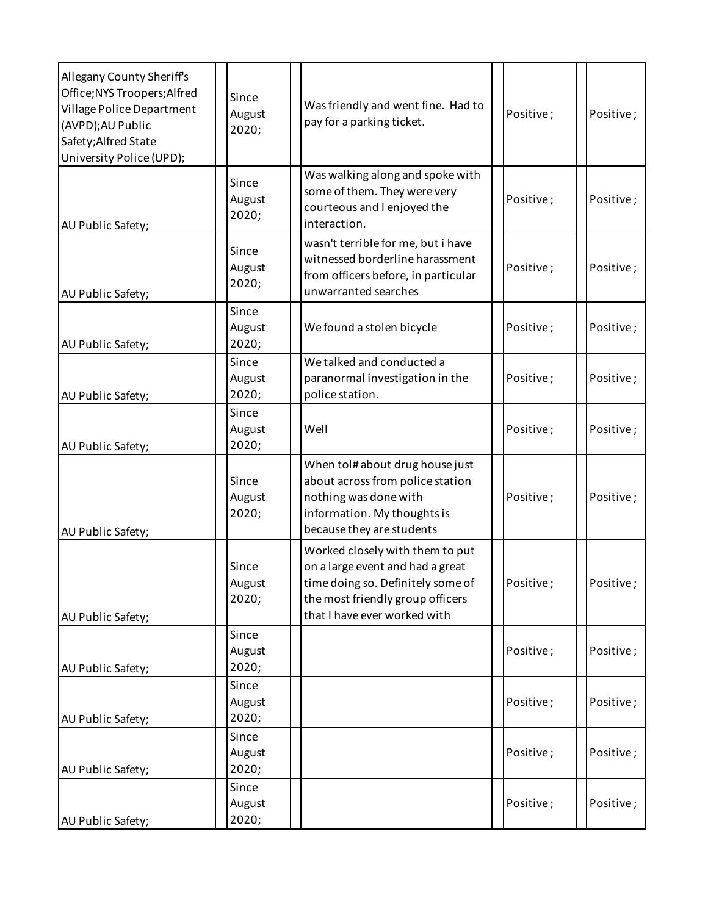| Allegany County Sheriff's<br>Office; NYS Troopers; Alfred<br>Village Police Department<br>(AVPD);AU Public<br>Safety; Alfred State<br>University Police (UPD); | Since<br>August<br>2020; | Was friendly and went fine. Had to<br>pay for a parking ticket.                                                                                                              | Positive; | Positive; |
|----------------------------------------------------------------------------------------------------------------------------------------------------------------|--------------------------|------------------------------------------------------------------------------------------------------------------------------------------------------------------------------|-----------|-----------|
| AU Public Safety;                                                                                                                                              | Since<br>August<br>2020; | Was walking along and spoke with<br>some of them. They were very<br>courteous and I enjoyed the<br>interaction.                                                              | Positive; | Positive; |
| AU Public Safety;                                                                                                                                              | Since<br>August<br>2020; | wasn't terrible for me, but i have<br>witnessed borderline harassment<br>from officers before, in particular<br>unwarranted searches                                         | Positive; | Positive; |
| AU Public Safety;                                                                                                                                              | Since<br>August<br>2020; | We found a stolen bicycle                                                                                                                                                    | Positive; | Positive; |
| AU Public Safety;                                                                                                                                              | Since<br>August<br>2020; | We talked and conducted a<br>paranormal investigation in the<br>police station.                                                                                              | Positive; | Positive; |
| AU Public Safety;                                                                                                                                              | Since<br>August<br>2020; | Well                                                                                                                                                                         | Positive; | Positive; |
| AU Public Safety;                                                                                                                                              | Since<br>August<br>2020; | When tol# about drug house just<br>about across from police station<br>nothing was done with<br>information. My thoughts is<br>because they are students                     | Positive; | Positive; |
| AU Public Safety;                                                                                                                                              | Since<br>August<br>2020; | Worked closely with them to put<br>on a large event and had a great<br>time doing so. Definitely some of<br>the most friendly group officers<br>that I have ever worked with | Positive; | Positive; |
| AU Public Safety;                                                                                                                                              | Since<br>August<br>2020; |                                                                                                                                                                              | Positive; | Positive; |
| AU Public Safety;                                                                                                                                              | Since<br>August<br>2020; |                                                                                                                                                                              | Positive; | Positive; |
| AU Public Safety;                                                                                                                                              | Since<br>August<br>2020; |                                                                                                                                                                              | Positive; | Positive; |
| AU Public Safety;                                                                                                                                              | Since<br>August<br>2020; |                                                                                                                                                                              | Positive; | Positive; |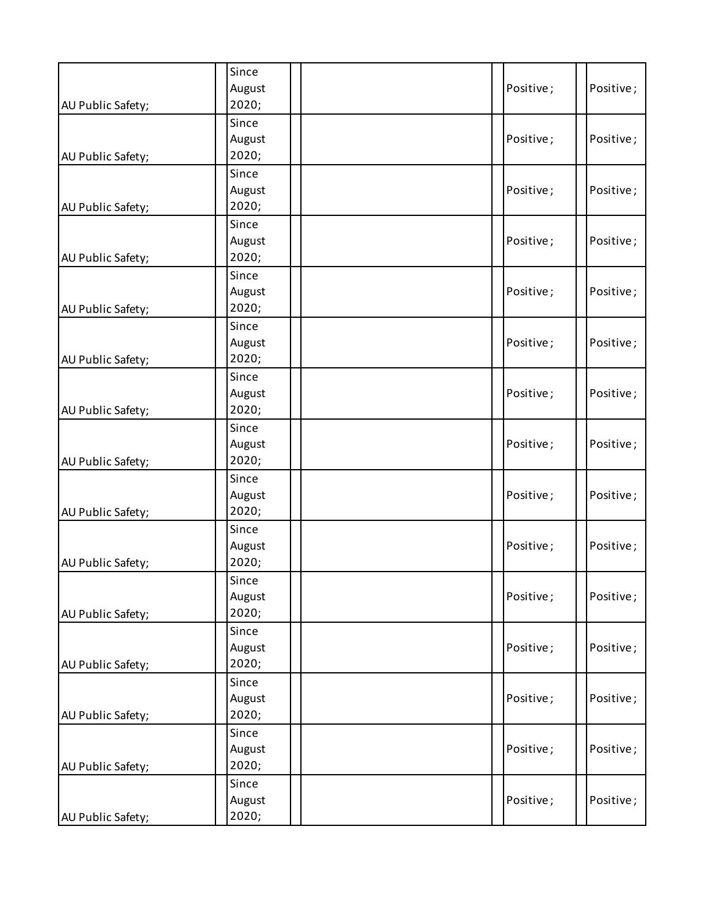| AU Public Safety; | Since<br>August<br>2020; | Positive; | Positive; |
|-------------------|--------------------------|-----------|-----------|
| AU Public Safety; | Since<br>August<br>2020; | Positive; | Positive; |
| AU Public Safety; | Since<br>August<br>2020; | Positive; | Positive; |
| AU Public Safety; | Since<br>August<br>2020; | Positive; | Positive; |
| AU Public Safety; | Since<br>August<br>2020; | Positive; | Positive; |
| AU Public Safety; | Since<br>August<br>2020; | Positive; | Positive; |
| AU Public Safety; | Since<br>August<br>2020; | Positive; | Positive; |
| AU Public Safety; | Since<br>August<br>2020; | Positive; | Positive; |
| AU Public Safety; | Since<br>August<br>2020; | Positive; | Positive; |
| AU Public Safety; | Since<br>August<br>2020; | Positive; | Positive; |
| AU Public Safety; | Since<br>August<br>2020; | Positive; | Positive; |
| AU Public Safety; | Since<br>August<br>2020; | Positive; | Positive; |
| AU Public Safety; | Since<br>August<br>2020; | Positive; | Positive; |
| AU Public Safety; | Since<br>August<br>2020; | Positive; | Positive; |
| AU Public Safety; | Since<br>August<br>2020; | Positive; | Positive; |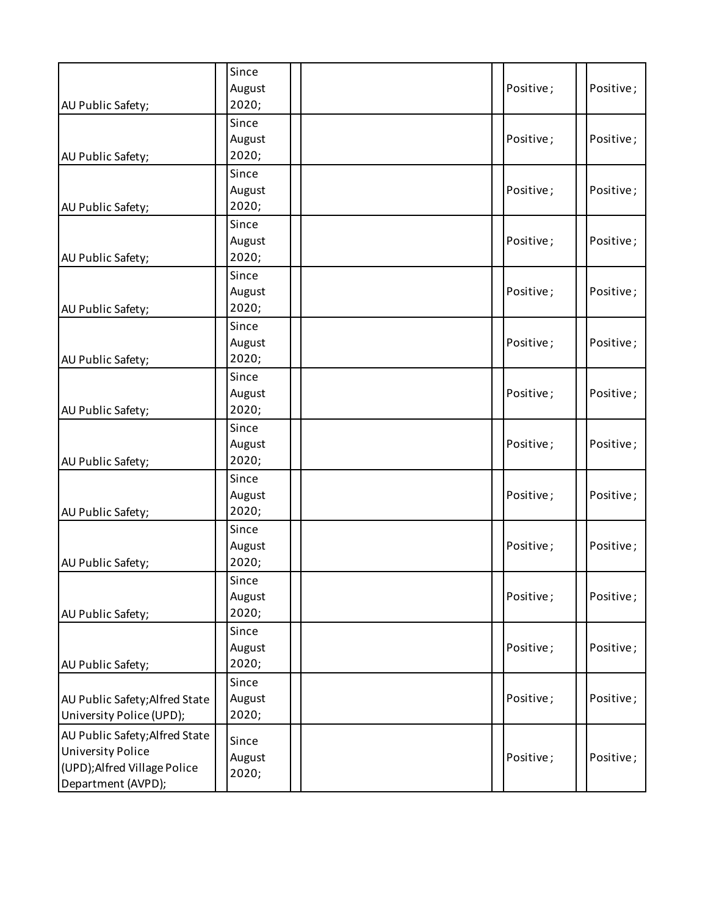| AU Public Safety;                                                                                                | Since<br>August<br>2020; | Positive; | Positive; |
|------------------------------------------------------------------------------------------------------------------|--------------------------|-----------|-----------|
| AU Public Safety;                                                                                                | Since<br>August<br>2020; | Positive; | Positive; |
| AU Public Safety;                                                                                                | Since<br>August<br>2020; | Positive; | Positive; |
| AU Public Safety;                                                                                                | Since<br>August<br>2020; | Positive; | Positive; |
| AU Public Safety;                                                                                                | Since<br>August<br>2020; | Positive; | Positive; |
| AU Public Safety;                                                                                                | Since<br>August<br>2020; | Positive; | Positive; |
| AU Public Safety;                                                                                                | Since<br>August<br>2020; | Positive; | Positive; |
| AU Public Safety;                                                                                                | Since<br>August<br>2020; | Positive; | Positive; |
| AU Public Safety;                                                                                                | Since<br>August<br>2020; | Positive; | Positive; |
| AU Public Safety;                                                                                                | Since<br>August<br>2020; | Positive; | Positive; |
| AU Public Safety;                                                                                                | Since<br>August<br>2020; | Positive; | Positive; |
| AU Public Safety;                                                                                                | Since<br>August<br>2020; | Positive; | Positive; |
| AU Public Safety; Alfred State<br>University Police (UPD);                                                       | Since<br>August<br>2020; | Positive; | Positive; |
| AU Public Safety; Alfred State<br><b>University Police</b><br>(UPD); Alfred Village Police<br>Department (AVPD); | Since<br>August<br>2020; | Positive; | Positive; |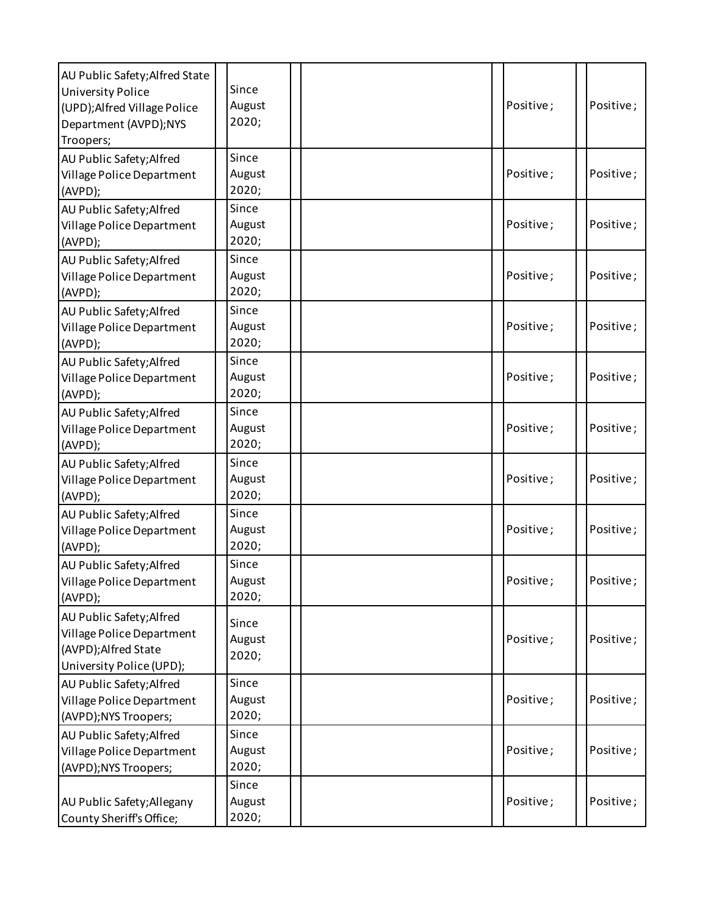| AU Public Safety; Alfred State<br><b>University Police</b><br>(UPD); Alfred Village Police<br>Department (AVPD);NYS<br>Troopers; | Since<br>August<br>2020; |  | Positive; | Positive; |
|----------------------------------------------------------------------------------------------------------------------------------|--------------------------|--|-----------|-----------|
| AU Public Safety; Alfred<br>Village Police Department<br>(AVPD);                                                                 | Since<br>August<br>2020; |  | Positive; | Positive; |
| AU Public Safety; Alfred<br>Village Police Department<br>(AVPD);                                                                 | Since<br>August<br>2020; |  | Positive; | Positive; |
| AU Public Safety; Alfred<br>Village Police Department<br>(AVPD);                                                                 | Since<br>August<br>2020; |  | Positive; | Positive; |
| AU Public Safety; Alfred<br>Village Police Department<br>(AVPD);                                                                 | Since<br>August<br>2020; |  | Positive; | Positive; |
| AU Public Safety; Alfred<br>Village Police Department<br>(AVPD);                                                                 | Since<br>August<br>2020; |  | Positive; | Positive; |
| AU Public Safety; Alfred<br>Village Police Department<br>(AVPD);                                                                 | Since<br>August<br>2020; |  | Positive; | Positive; |
| AU Public Safety; Alfred<br>Village Police Department<br>(AVPD);                                                                 | Since<br>August<br>2020; |  | Positive; | Positive; |
| AU Public Safety; Alfred<br>Village Police Department<br>(AVPD);                                                                 | Since<br>August<br>2020; |  | Positive; | Positive; |
| AU Public Safety; Alfred<br>Village Police Department<br>(AVPD);                                                                 | Since<br>August<br>2020; |  | Positive; | Positive; |
| AU Public Safety; Alfred<br>Village Police Department<br>(AVPD);Alfred State<br>University Police (UPD);                         | Since<br>August<br>2020; |  | Positive; | Positive; |
| AU Public Safety; Alfred<br>Village Police Department<br>(AVPD); NYS Troopers;                                                   | Since<br>August<br>2020; |  | Positive; | Positive; |
| AU Public Safety; Alfred<br>Village Police Department<br>(AVPD); NYS Troopers;                                                   | Since<br>August<br>2020; |  | Positive; | Positive; |
| AU Public Safety; Allegany<br>County Sheriff's Office;                                                                           | Since<br>August<br>2020; |  | Positive; | Positive; |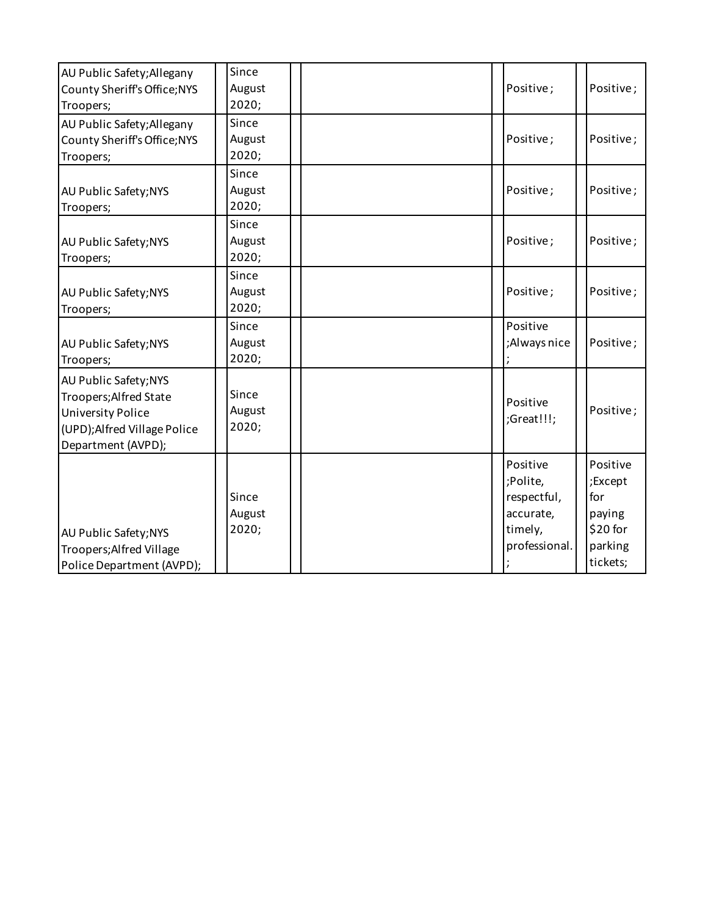| AU Public Safety; Allegany<br>County Sheriff's Office; NYS<br>Troopers;                                                           | Since<br>August<br>2020; | Positive;                                                                    | Positive;                                                               |
|-----------------------------------------------------------------------------------------------------------------------------------|--------------------------|------------------------------------------------------------------------------|-------------------------------------------------------------------------|
| AU Public Safety; Allegany<br>County Sheriff's Office; NYS<br>Troopers;                                                           | Since<br>August<br>2020; | Positive;                                                                    | Positive;                                                               |
| AU Public Safety; NYS<br>Troopers;                                                                                                | Since<br>August<br>2020; | Positive;                                                                    | Positive;                                                               |
| AU Public Safety; NYS<br>Troopers;                                                                                                | Since<br>August<br>2020; | Positive;                                                                    | Positive;                                                               |
| AU Public Safety; NYS<br>Troopers;                                                                                                | Since<br>August<br>2020; | Positive;                                                                    | Positive;                                                               |
| AU Public Safety; NYS<br>Troopers;                                                                                                | Since<br>August<br>2020; | Positive<br>;Always nice                                                     | Positive;                                                               |
| AU Public Safety; NYS<br>Troopers; Alfred State<br><b>University Police</b><br>(UPD); Alfred Village Police<br>Department (AVPD); | Since<br>August<br>2020; | Positive<br>;Great!!!;                                                       | Positive;                                                               |
| AU Public Safety; NYS<br>Troopers; Alfred Village<br>Police Department (AVPD);                                                    | Since<br>August<br>2020; | Positive<br>;Polite,<br>respectful,<br>accurate,<br>timely,<br>professional. | Positive<br>;Except<br>for<br>paying<br>\$20 for<br>parking<br>tickets; |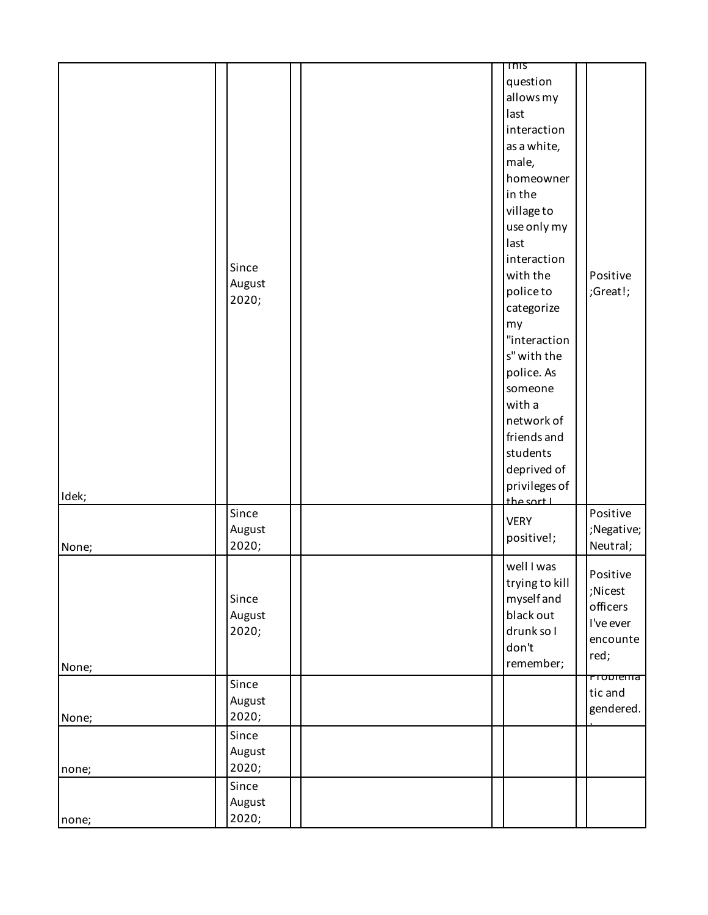|       |                          | $\overline{1}$ nis                                                                                                                                                                                                                                                                                     |                                                                  |
|-------|--------------------------|--------------------------------------------------------------------------------------------------------------------------------------------------------------------------------------------------------------------------------------------------------------------------------------------------------|------------------------------------------------------------------|
|       | Since<br>August<br>2020; | question<br>allows my<br>last<br>interaction<br>as a white,<br>male,<br>homeowner<br>in the<br>village to<br>use only my<br>last<br>interaction<br>with the<br>policeto<br>categorize<br>my<br>"interaction<br>s" with the<br>police. As<br>someone<br>with a<br>network of<br>friends and<br>students | Positive<br>;Great!;                                             |
| Idek; | Since                    | deprived of<br>privileges of<br>the sort L<br><b>VERY</b>                                                                                                                                                                                                                                              | Positive                                                         |
| None; | August<br>2020;          | positive!;                                                                                                                                                                                                                                                                                             | ;Negative;<br>Neutral;                                           |
| None; | Since<br>August<br>2020; | well I was<br>trying to kill<br>myself and<br>black out<br>drunk so I<br>don't<br>remember;                                                                                                                                                                                                            | Positive<br>;Nicest<br>officers<br>I've ever<br>encounte<br>red; |
| None; | Since<br>August<br>2020; |                                                                                                                                                                                                                                                                                                        | Problema<br>tic and<br>gendered.                                 |
| none; | Since<br>August<br>2020; |                                                                                                                                                                                                                                                                                                        |                                                                  |
| none; | Since<br>August<br>2020; |                                                                                                                                                                                                                                                                                                        |                                                                  |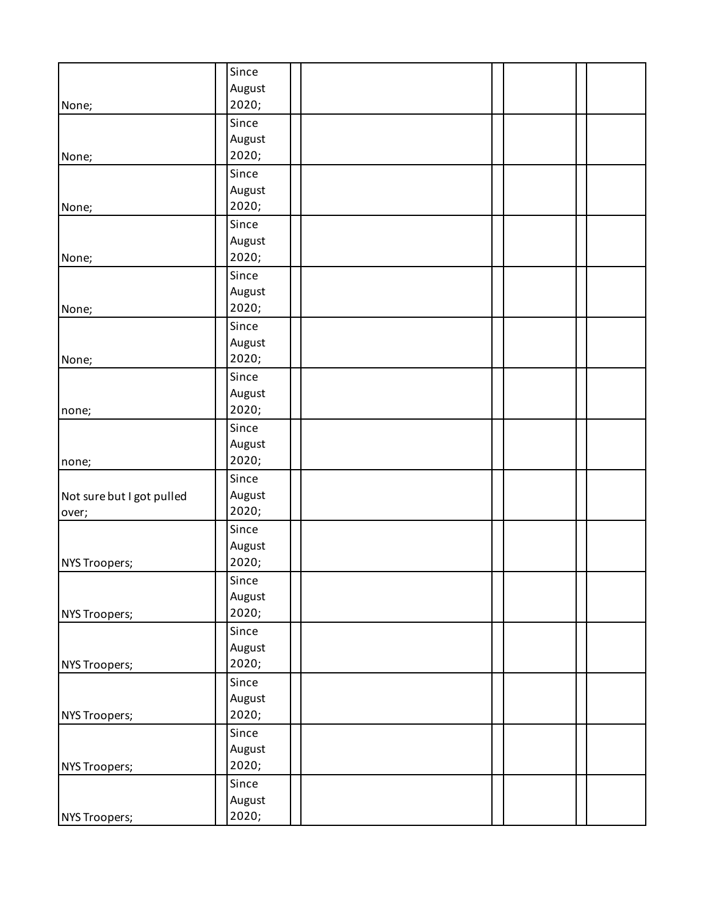|                           | Since           |  |
|---------------------------|-----------------|--|
|                           | August          |  |
| None;                     | 2020;           |  |
|                           | Since           |  |
|                           | August          |  |
| None;                     | 2020;           |  |
|                           | Since           |  |
|                           | August          |  |
| None;                     | 2020;           |  |
|                           | Since           |  |
|                           | August<br>2020; |  |
| None;                     | Since           |  |
|                           | August          |  |
| None;                     | 2020;           |  |
|                           | Since           |  |
|                           | August          |  |
| None;                     | 2020;           |  |
|                           | Since           |  |
|                           | August          |  |
| none;                     | 2020;           |  |
|                           | Since           |  |
|                           | August          |  |
| none;                     | 2020;           |  |
|                           | Since           |  |
| Not sure but I got pulled | August          |  |
| over;                     | 2020;           |  |
|                           | Since           |  |
|                           | August          |  |
| NYS Troopers;             | 2020;           |  |
|                           | Since           |  |
|                           | August          |  |
| NYS Troopers;             | 2020;           |  |
|                           | Since           |  |
|                           | August<br>2020; |  |
| NYS Troopers;             | Since           |  |
|                           | August          |  |
| NYS Troopers;             | 2020;           |  |
|                           | Since           |  |
|                           | August          |  |
| NYS Troopers;             | 2020;           |  |
|                           | Since           |  |
|                           | August          |  |
| NYS Troopers;             | 2020;           |  |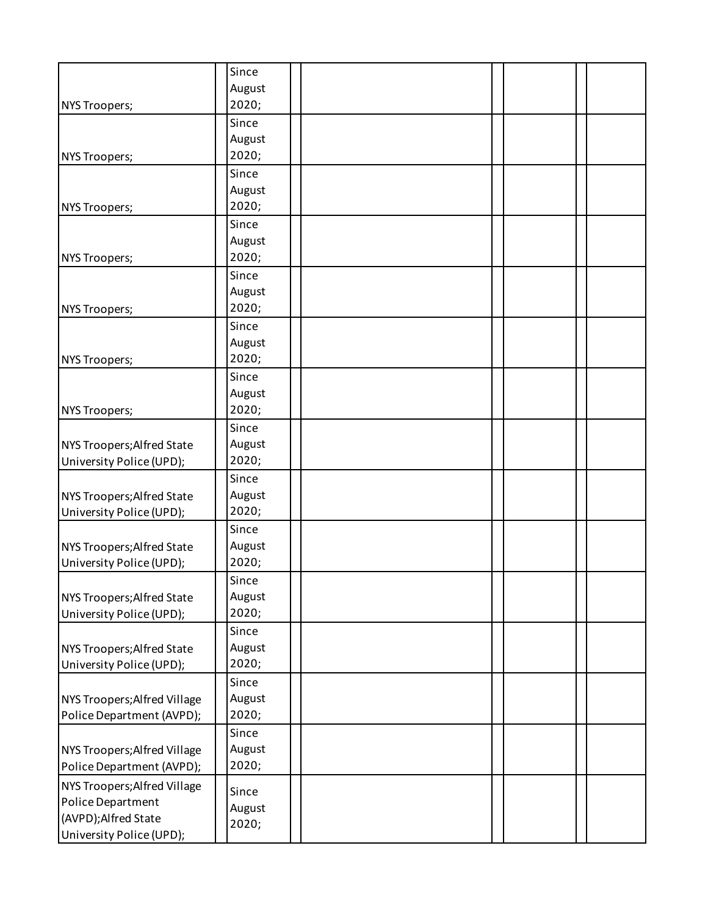| NYS Troopers;                                                                                        | Since<br>August<br>2020; |  |
|------------------------------------------------------------------------------------------------------|--------------------------|--|
| NYS Troopers;                                                                                        | Since<br>August<br>2020; |  |
| NYS Troopers;                                                                                        | Since<br>August<br>2020; |  |
| NYS Troopers;                                                                                        | Since<br>August<br>2020; |  |
| <b>NYS Troopers;</b>                                                                                 | Since<br>August<br>2020; |  |
| NYS Troopers;                                                                                        | Since<br>August<br>2020; |  |
| NYS Troopers;                                                                                        | Since<br>August<br>2020; |  |
| NYS Troopers; Alfred State<br>University Police (UPD);                                               | Since<br>August<br>2020; |  |
| NYS Troopers; Alfred State<br>University Police (UPD);                                               | Since<br>August<br>2020; |  |
| NYS Troopers; Alfred State<br>University Police (UPD);                                               | Since<br>August<br>2020; |  |
| NYS Troopers; Alfred State<br>University Police (UPD);                                               | Since<br>August<br>2020; |  |
| NYS Troopers; Alfred State<br>University Police (UPD);                                               | Since<br>August<br>2020; |  |
| NYS Troopers; Alfred Village<br>Police Department (AVPD);                                            | Since<br>August<br>2020; |  |
| NYS Troopers; Alfred Village<br>Police Department (AVPD);                                            | Since<br>August<br>2020; |  |
| NYS Troopers; Alfred Village<br>Police Department<br>(AVPD);Alfred State<br>University Police (UPD); | Since<br>August<br>2020; |  |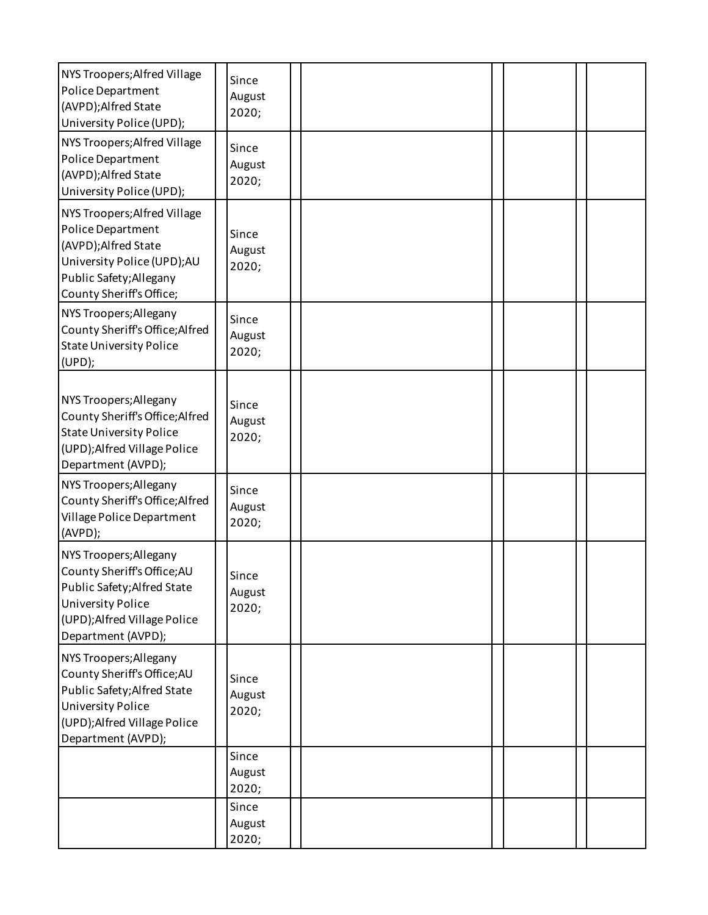| NYS Troopers; Alfred Village<br>Police Department<br>(AVPD);Alfred State<br>University Police (UPD);                                                                   | Since<br>August<br>2020; |  |  |  |
|------------------------------------------------------------------------------------------------------------------------------------------------------------------------|--------------------------|--|--|--|
| NYS Troopers; Alfred Village<br>Police Department<br>(AVPD);Alfred State<br>University Police (UPD);                                                                   | Since<br>August<br>2020; |  |  |  |
| NYS Troopers; Alfred Village<br>Police Department<br>(AVPD);Alfred State<br>University Police (UPD);AU<br>Public Safety; Allegany<br>County Sheriff's Office;          | Since<br>August<br>2020; |  |  |  |
| NYS Troopers; Allegany<br>County Sheriff's Office; Alfred<br><b>State University Police</b><br>(UPD);                                                                  | Since<br>August<br>2020; |  |  |  |
| NYS Troopers; Allegany<br>County Sheriff's Office; Alfred<br><b>State University Police</b><br>(UPD); Alfred Village Police<br>Department (AVPD);                      | Since<br>August<br>2020; |  |  |  |
| NYS Troopers; Allegany<br>County Sheriff's Office; Alfred<br>Village Police Department<br>(AVPD);                                                                      | Since<br>August<br>2020; |  |  |  |
| NYS Troopers; Allegany<br>County Sheriff's Office; AU<br>Public Safety; Alfred State<br><b>University Police</b><br>(UPD); Alfred Village Police<br>Department (AVPD); | Since<br>August<br>2020; |  |  |  |
| NYS Troopers; Allegany<br>County Sheriff's Office; AU<br>Public Safety; Alfred State<br><b>University Police</b><br>(UPD); Alfred Village Police<br>Department (AVPD); | Since<br>August<br>2020; |  |  |  |
|                                                                                                                                                                        | Since<br>August<br>2020; |  |  |  |
|                                                                                                                                                                        | Since<br>August<br>2020; |  |  |  |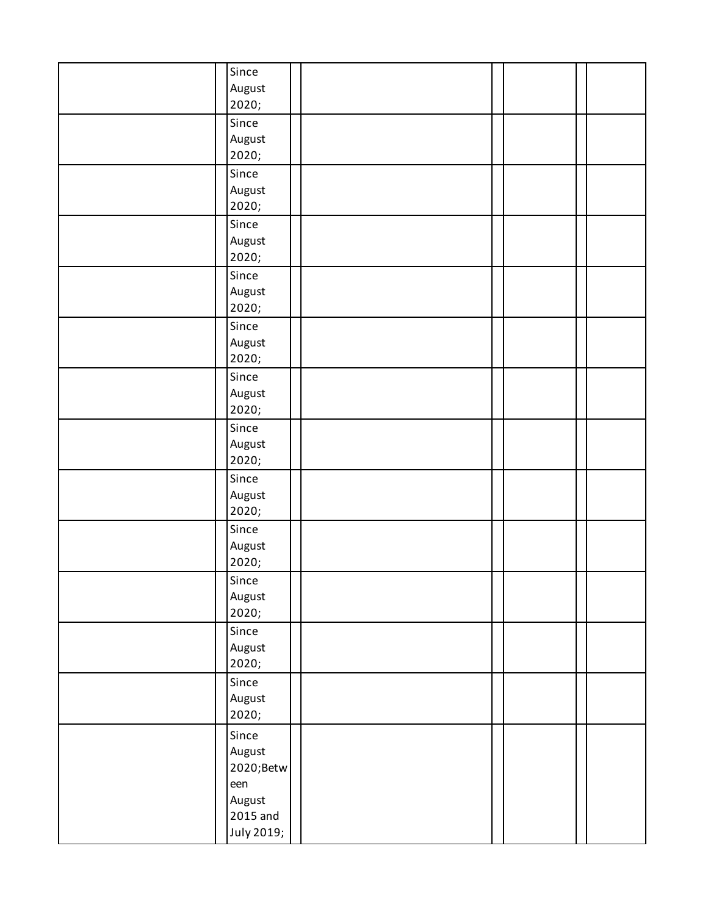| Since<br>August<br>2020;            |  |  |  |
|-------------------------------------|--|--|--|
| Since<br>August<br>2020;            |  |  |  |
| Since<br>August<br>2020;            |  |  |  |
| Since<br>August<br>2020;            |  |  |  |
| Since<br>August<br>2020;            |  |  |  |
| Since<br>August<br>2020;            |  |  |  |
| Since<br>August<br>2020;            |  |  |  |
| Since<br>August<br>2020;            |  |  |  |
| Since<br>August<br>2020;            |  |  |  |
| Since<br>August<br>2020;            |  |  |  |
| Since<br>August<br>2020;            |  |  |  |
| Since<br>August<br>2020;            |  |  |  |
| Since<br>August<br>2020;            |  |  |  |
| Since<br>August<br>2020;Betw<br>een |  |  |  |
| August<br>2015 and<br>July 2019;    |  |  |  |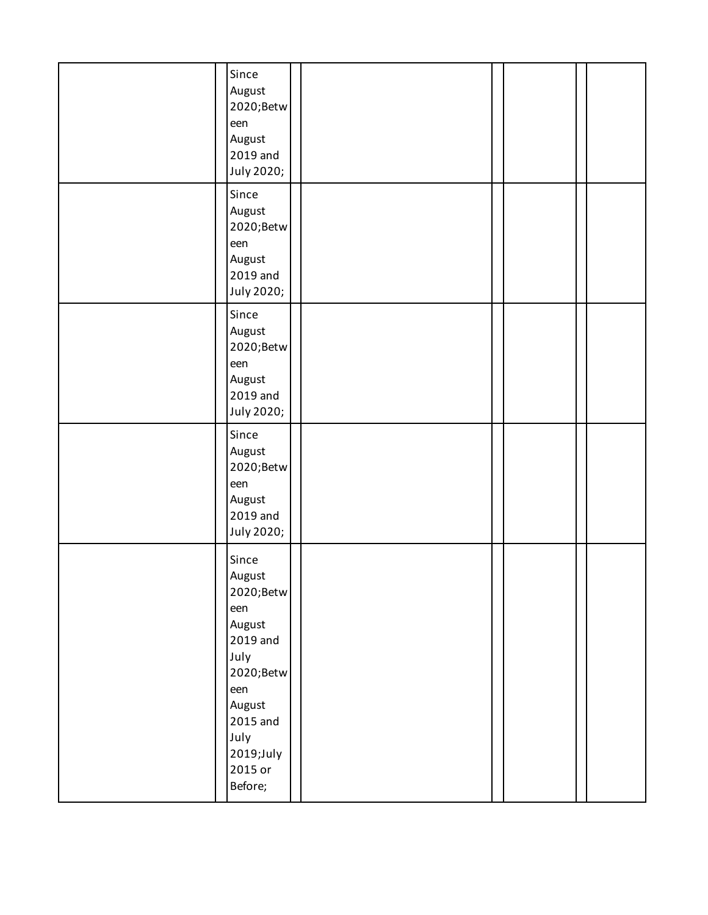| Since<br>August<br>2020;Betw<br>een<br>August<br>2019 and<br>July 2020;                                                                                |  |  |
|--------------------------------------------------------------------------------------------------------------------------------------------------------|--|--|
| Since<br>August<br>2020;Betw<br>een<br>August<br>2019 and<br>July 2020;                                                                                |  |  |
| Since<br>August<br>2020;Betw<br>een<br>August<br>2019 and<br>July 2020;                                                                                |  |  |
| Since<br>August<br>2020;Betw<br>een<br>August<br>2019 and<br>July 2020;                                                                                |  |  |
| Since<br>August<br>2020;Betw<br>een<br>August<br>2019 and<br>July<br>2020;Betw<br>een<br>August<br>2015 and<br>July<br>2019;July<br>2015 or<br>Before; |  |  |